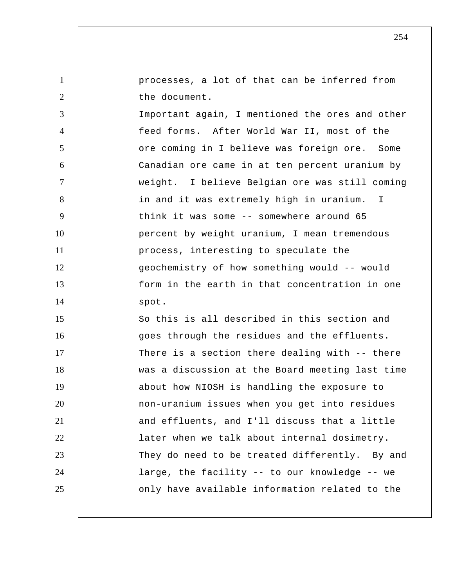processes, a lot of that can be inferred from the document.

3 4 5 6 7 8 9 10 11 12 13 14 Important again, I mentioned the ores and other feed forms. After World War II, most of the ore coming in I believe was foreign ore. Some Canadian ore came in at ten percent uranium by weight. I believe Belgian ore was still coming in and it was extremely high in uranium. I think it was some -- somewhere around 65 percent by weight uranium, I mean tremendous process, interesting to speculate the geochemistry of how something would -- would form in the earth in that concentration in one spot.

1

2

15 16 17 18 19 20 21 22 23 24 25 So this is all described in this section and goes through the residues and the effluents. There is a section there dealing with -- there was a discussion at the Board meeting last time about how NIOSH is handling the exposure to non-uranium issues when you get into residues and effluents, and I'll discuss that a little later when we talk about internal dosimetry. They do need to be treated differently. By and large, the facility -- to our knowledge -- we only have available information related to the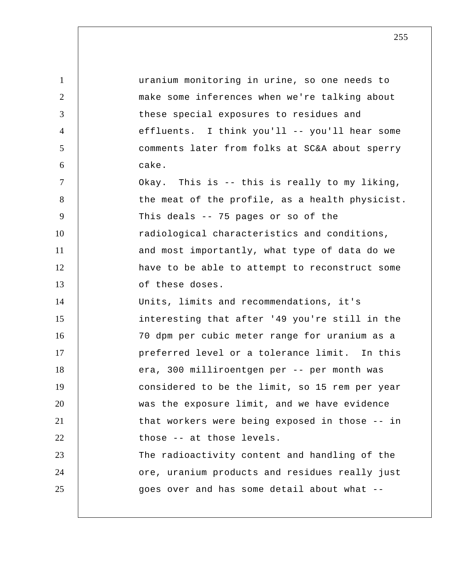| $\mathbf{1}$   | uranium monitoring in urine, so one needs to    |
|----------------|-------------------------------------------------|
| 2              | make some inferences when we're talking about   |
| 3              | these special exposures to residues and         |
| $\overline{4}$ | effluents. I think you'll -- you'll hear some   |
| 5              | comments later from folks at SC&A about sperry  |
| 6              | cake.                                           |
| 7              | Okay. This is -- this is really to my liking,   |
| 8              | the meat of the profile, as a health physicist. |
| 9              | This deals -- 75 pages or so of the             |
| 10             | radiological characteristics and conditions,    |
| 11             | and most importantly, what type of data do we   |
| 12             | have to be able to attempt to reconstruct some  |
| 13             | of these doses.                                 |
| 14             | Units, limits and recommendations, it's         |
| 15             | interesting that after '49 you're still in the  |
| 16             | 70 dpm per cubic meter range for uranium as a   |
| 17             | preferred level or a tolerance limit. In this   |
| 18             | era, 300 milliroentgen per -- per month was     |
| 19             | considered to be the limit, so 15 rem per year  |
| 20             | was the exposure limit, and we have evidence    |
| 21             | that workers were being exposed in those -- in  |
| 22             | those -- at those levels.                       |
| 23             | The radioactivity content and handling of the   |
| 24             | ore, uranium products and residues really just  |
| 25             | goes over and has some detail about what --     |
|                |                                                 |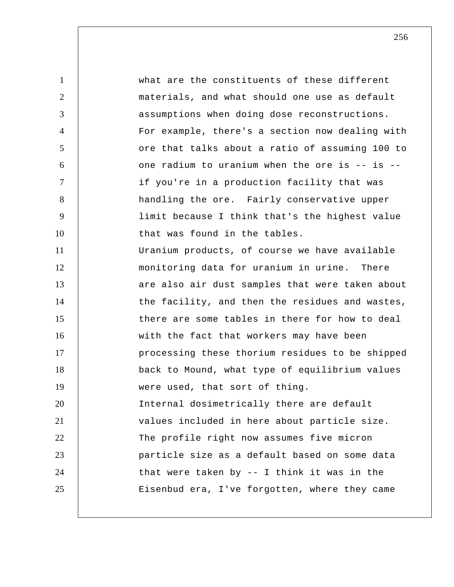1 2 3 4 5 6 7 8 9 10 11 12 13 14 15 16 17 18 19 20 21 22 23 24 25 what are the constituents of these different materials, and what should one use as default assumptions when doing dose reconstructions. For example, there's a section now dealing with ore that talks about a ratio of assuming 100 to one radium to uranium when the ore is -- is - if you're in a production facility that was handling the ore. Fairly conservative upper limit because I think that's the highest value that was found in the tables. Uranium products, of course we have available monitoring data for uranium in urine. There are also air dust samples that were taken about the facility, and then the residues and wastes, there are some tables in there for how to deal with the fact that workers may have been processing these thorium residues to be shipped back to Mound, what type of equilibrium values were used, that sort of thing. Internal dosimetrically there are default values included in here about particle size. The profile right now assumes five micron particle size as a default based on some data that were taken by -- I think it was in the Eisenbud era, I've forgotten, where they came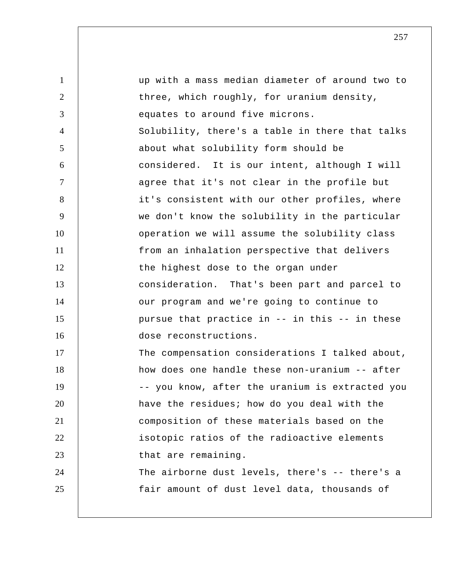| 1              | up with a mass median diameter of around two to |
|----------------|-------------------------------------------------|
| 2              | three, which roughly, for uranium density,      |
| 3              | equates to around five microns.                 |
| $\overline{4}$ | Solubility, there's a table in there that talks |
| 5              | about what solubility form should be            |
| 6              | considered. It is our intent, although I will   |
| $\tau$         | agree that it's not clear in the profile but    |
| 8              | it's consistent with our other profiles, where  |
| 9              | we don't know the solubility in the particular  |
| 10             | operation we will assume the solubility class   |
| 11             | from an inhalation perspective that delivers    |
| 12             | the highest dose to the organ under             |
| 13             | consideration. That's been part and parcel to   |
| 14             | our program and we're going to continue to      |
| 15             | pursue that practice in -- in this -- in these  |
| 16             | dose reconstructions.                           |
| 17             | The compensation considerations I talked about, |
| 18             | how does one handle these non-uranium -- after  |
| 19             | -- you know, after the uranium is extracted you |
| 20             | have the residues; how do you deal with the     |
| 21             | composition of these materials based on the     |
| 22             | isotopic ratios of the radioactive elements     |
| 23             | that are remaining.                             |
| 24             | The airborne dust levels, there's -- there's a  |
| 25             | fair amount of dust level data, thousands of    |
|                |                                                 |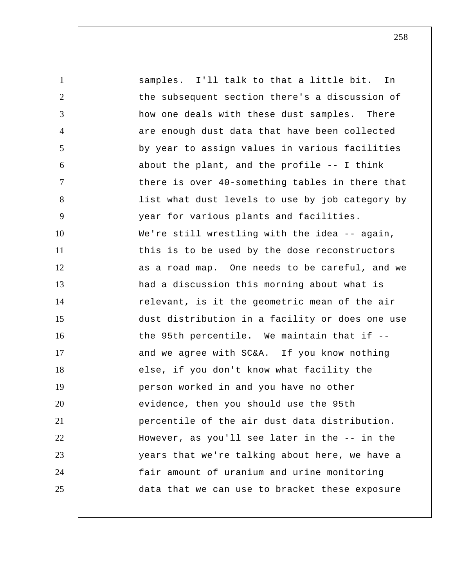1 2 3 4 5 6 7 8 9 10 11 12 13 14 15 16 17 18 19 20 21 22 23 24 25 samples. I'll talk to that a little bit. In the subsequent section there's a discussion of how one deals with these dust samples. There are enough dust data that have been collected by year to assign values in various facilities about the plant, and the profile -- I think there is over 40-something tables in there that list what dust levels to use by job category by year for various plants and facilities. We're still wrestling with the idea -- again, this is to be used by the dose reconstructors as a road map. One needs to be careful, and we had a discussion this morning about what is relevant, is it the geometric mean of the air dust distribution in a facility or does one use the 95th percentile. We maintain that if - and we agree with SC&A. If you know nothing else, if you don't know what facility the person worked in and you have no other evidence, then you should use the 95th percentile of the air dust data distribution. However, as you'll see later in the -- in the years that we're talking about here, we have a fair amount of uranium and urine monitoring data that we can use to bracket these exposure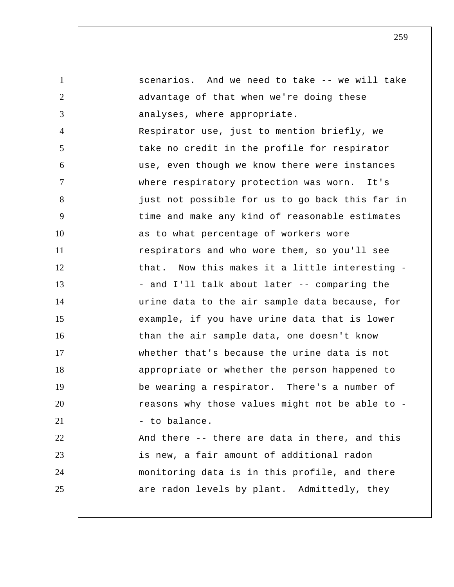1 2 3 4 5 6 7 8 9 10 11 12 13 14 15 16 17 18 19 20 21 22 23 24 25 scenarios. And we need to take -- we will take advantage of that when we're doing these analyses, where appropriate. Respirator use, just to mention briefly, we take no credit in the profile for respirator use, even though we know there were instances where respiratory protection was worn. It's just not possible for us to go back this far in time and make any kind of reasonable estimates as to what percentage of workers wore respirators and who wore them, so you'll see that. Now this makes it a little interesting - - and I'll talk about later -- comparing the urine data to the air sample data because, for example, if you have urine data that is lower than the air sample data, one doesn't know whether that's because the urine data is not appropriate or whether the person happened to be wearing a respirator. There's a number of reasons why those values might not be able to - - to balance. And there -- there are data in there, and this is new, a fair amount of additional radon monitoring data is in this profile, and there are radon levels by plant. Admittedly, they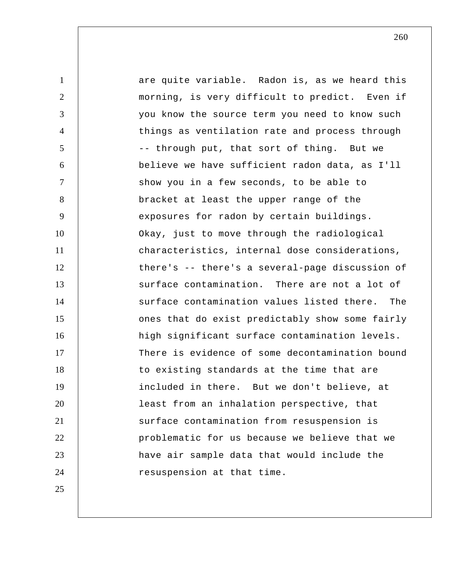1 2 3 4 5 6 7 8 9 10 11 12 13 14 15 16 17 18 19 20 21 22 23 24 25 are quite variable. Radon is, as we heard this morning, is very difficult to predict. Even if you know the source term you need to know such things as ventilation rate and process through -- through put, that sort of thing. But we believe we have sufficient radon data, as I'll show you in a few seconds, to be able to bracket at least the upper range of the exposures for radon by certain buildings. Okay, just to move through the radiological characteristics, internal dose considerations, there's -- there's a several-page discussion of surface contamination. There are not a lot of surface contamination values listed there. The ones that do exist predictably show some fairly high significant surface contamination levels. There is evidence of some decontamination bound to existing standards at the time that are included in there. But we don't believe, at least from an inhalation perspective, that surface contamination from resuspension is problematic for us because we believe that we have air sample data that would include the resuspension at that time.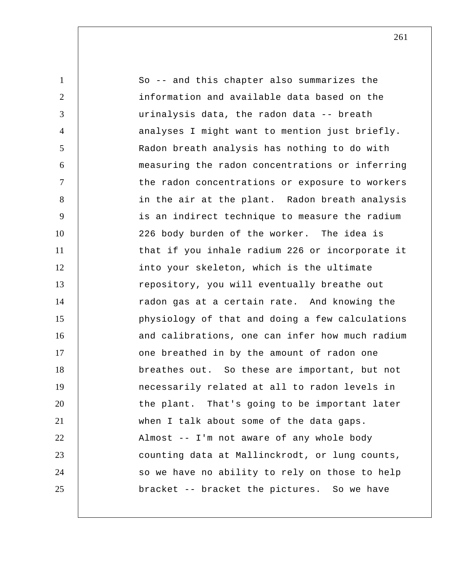1 2 3 4 5 6 7 8 9 10 11 12 13 14 15 16 17 18 19 20 21 22 23 24 25 So -- and this chapter also summarizes the information and available data based on the urinalysis data, the radon data -- breath analyses I might want to mention just briefly. Radon breath analysis has nothing to do with measuring the radon concentrations or inferring the radon concentrations or exposure to workers in the air at the plant. Radon breath analysis is an indirect technique to measure the radium 226 body burden of the worker. The idea is that if you inhale radium 226 or incorporate it into your skeleton, which is the ultimate repository, you will eventually breathe out radon gas at a certain rate. And knowing the physiology of that and doing a few calculations and calibrations, one can infer how much radium one breathed in by the amount of radon one breathes out. So these are important, but not necessarily related at all to radon levels in the plant. That's going to be important later when I talk about some of the data gaps. Almost -- I'm not aware of any whole body counting data at Mallinckrodt, or lung counts, so we have no ability to rely on those to help bracket -- bracket the pictures. So we have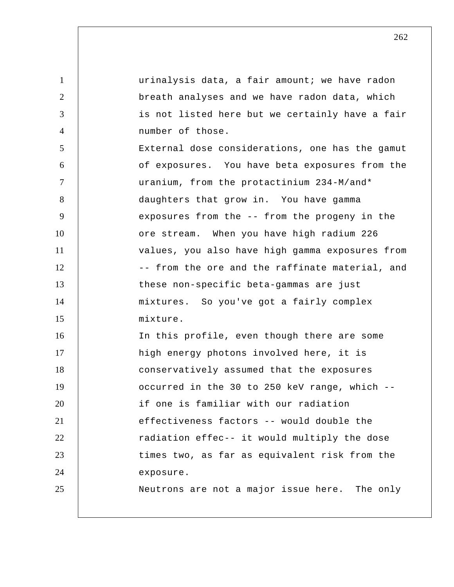1 2 3 4 5 6 7 8 9 10 11 12 13 14 15 16 17 18 19 20 21 22 23 24 25 urinalysis data, a fair amount; we have radon breath analyses and we have radon data, which is not listed here but we certainly have a fair number of those. External dose considerations, one has the gamut of exposures. You have beta exposures from the uranium, from the protactinium 234-M/and\* daughters that grow in. You have gamma exposures from the -- from the progeny in the ore stream. When you have high radium 226 values, you also have high gamma exposures from -- from the ore and the raffinate material, and these non-specific beta-gammas are just mixtures. So you've got a fairly complex mixture. In this profile, even though there are some high energy photons involved here, it is conservatively assumed that the exposures occurred in the 30 to 250 keV range, which - if one is familiar with our radiation effectiveness factors -- would double the radiation effec-- it would multiply the dose times two, as far as equivalent risk from the exposure. Neutrons are not a major issue here. The only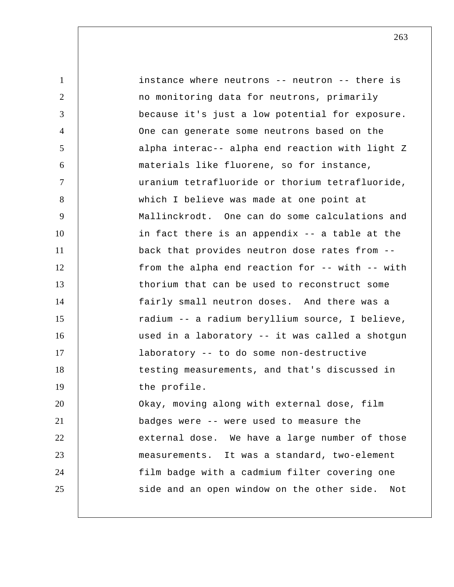1 2 3 4 5 6 7 8 9 10 11 12 13 14 15 16 17 18 19 20 21 22 23 24 25 instance where neutrons -- neutron -- there is no monitoring data for neutrons, primarily because it's just a low potential for exposure. One can generate some neutrons based on the alpha interac-- alpha end reaction with light Z materials like fluorene, so for instance, uranium tetrafluoride or thorium tetrafluoride, which I believe was made at one point at Mallinckrodt. One can do some calculations and in fact there is an appendix -- a table at the back that provides neutron dose rates from - from the alpha end reaction for -- with -- with thorium that can be used to reconstruct some fairly small neutron doses. And there was a radium -- a radium beryllium source, I believe, used in a laboratory -- it was called a shotgun laboratory -- to do some non-destructive testing measurements, and that's discussed in the profile. Okay, moving along with external dose, film badges were -- were used to measure the external dose. We have a large number of those measurements. It was a standard, two-element film badge with a cadmium filter covering one side and an open window on the other side. Not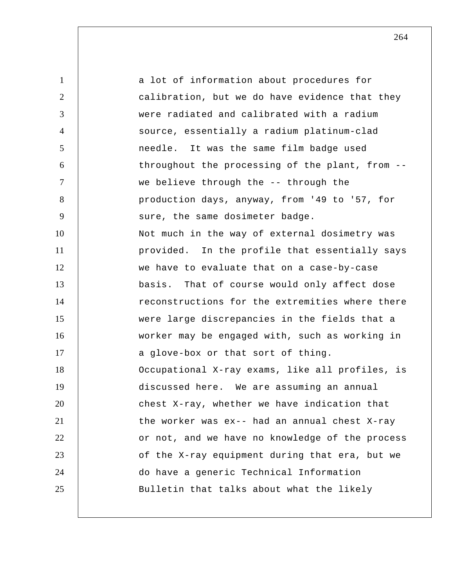1 2 3 4 5 6 7 8 9 10 11 12 13 14 15 16 17 18 19 20 21 22 23 24 25 a lot of information about procedures for calibration, but we do have evidence that they were radiated and calibrated with a radium source, essentially a radium platinum-clad needle. It was the same film badge used throughout the processing of the plant, from - we believe through the -- through the production days, anyway, from '49 to '57, for sure, the same dosimeter badge. Not much in the way of external dosimetry was provided. In the profile that essentially says we have to evaluate that on a case-by-case basis. That of course would only affect dose reconstructions for the extremities where there were large discrepancies in the fields that a worker may be engaged with, such as working in a glove-box or that sort of thing. Occupational X-ray exams, like all profiles, is discussed here. We are assuming an annual chest X-ray, whether we have indication that the worker was ex-- had an annual chest X-ray or not, and we have no knowledge of the process of the X-ray equipment during that era, but we do have a generic Technical Information Bulletin that talks about what the likely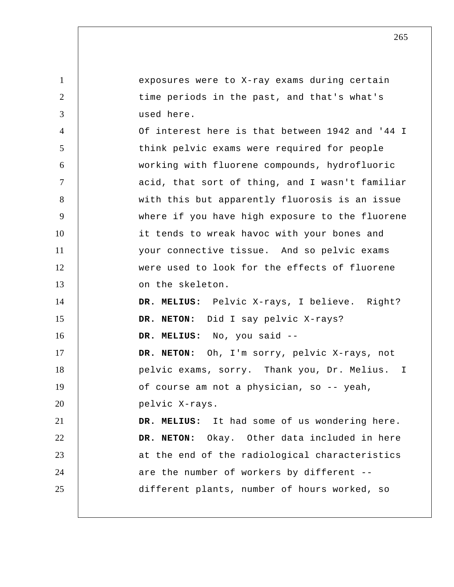1 2 3 4 5 6 7 8 9 10 11 12 13 14 15 16 17 18 19 20 21 22 23 24 25 exposures were to X-ray exams during certain time periods in the past, and that's what's used here. Of interest here is that between 1942 and '44 I think pelvic exams were required for people working with fluorene compounds, hydrofluoric acid, that sort of thing, and I wasn't familiar with this but apparently fluorosis is an issue where if you have high exposure to the fluorene it tends to wreak havoc with your bones and your connective tissue. And so pelvic exams were used to look for the effects of fluorene on the skeleton.  **DR. MELIUS:** Pelvic X-rays, I believe. Right? **DR. NETON:** Did I say pelvic X-rays?  **DR. MELIUS:** No, you said -- **DR. NETON:** Oh, I'm sorry, pelvic X-rays, not pelvic exams, sorry. Thank you, Dr. Melius. I of course am not a physician, so -- yeah, pelvic X-rays.  **DR. MELIUS:** It had some of us wondering here. **DR. NETON:** Okay. Other data included in here at the end of the radiological characteristics are the number of workers by different - different plants, number of hours worked, so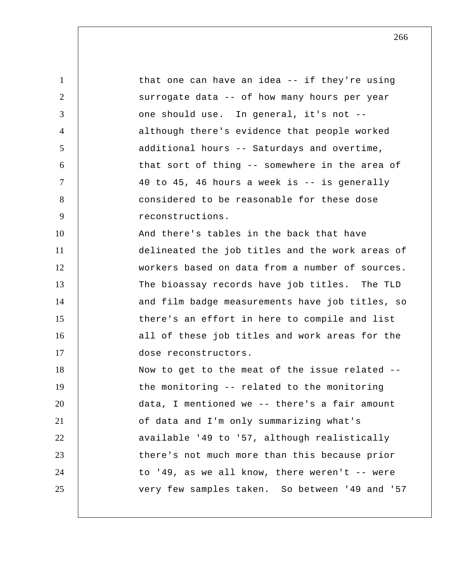1 2 3 4 5 6 7 8 9 10 11 12 13 14 15 16 17 18 19 20 21 22 23 24 25 that one can have an idea -- if they're using surrogate data -- of how many hours per year one should use. In general, it's not - although there's evidence that people worked additional hours -- Saturdays and overtime, that sort of thing -- somewhere in the area of 40 to 45, 46 hours a week is -- is generally considered to be reasonable for these dose reconstructions. And there's tables in the back that have delineated the job titles and the work areas of workers based on data from a number of sources. The bioassay records have job titles. The TLD and film badge measurements have job titles, so there's an effort in here to compile and list all of these job titles and work areas for the dose reconstructors. Now to get to the meat of the issue related - the monitoring -- related to the monitoring data, I mentioned we -- there's a fair amount of data and I'm only summarizing what's available '49 to '57, although realistically there's not much more than this because prior to '49, as we all know, there weren't -- were very few samples taken. So between '49 and '57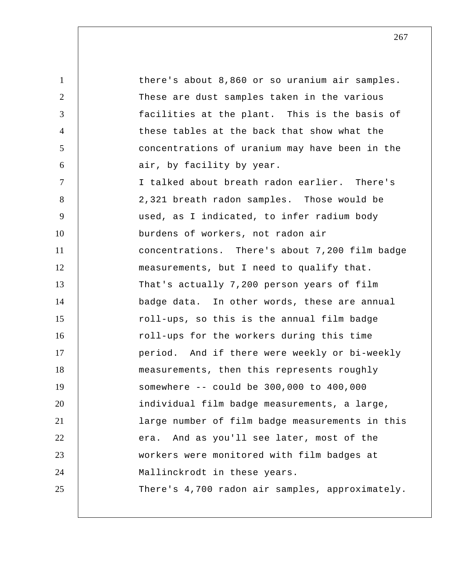1 2 3 4 5 6 7 8 9 10 11 12 13 14 15 16 17 18 19 20 21 22 23 24 25 there's about 8,860 or so uranium air samples. These are dust samples taken in the various facilities at the plant. This is the basis of these tables at the back that show what the concentrations of uranium may have been in the air, by facility by year. I talked about breath radon earlier. There's 2,321 breath radon samples. Those would be used, as I indicated, to infer radium body burdens of workers, not radon air concentrations. There's about 7,200 film badge measurements, but I need to qualify that. That's actually 7,200 person years of film badge data. In other words, these are annual roll-ups, so this is the annual film badge roll-ups for the workers during this time period. And if there were weekly or bi-weekly measurements, then this represents roughly somewhere -- could be 300,000 to 400,000 individual film badge measurements, a large, large number of film badge measurements in this era. And as you'll see later, most of the workers were monitored with film badges at Mallinckrodt in these years. There's 4,700 radon air samples, approximately.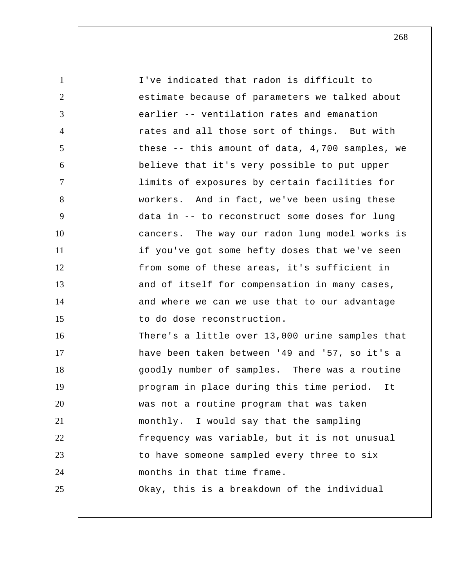| $\mathbf{1}$   | I've indicated that radon is difficult to       |
|----------------|-------------------------------------------------|
| $\overline{2}$ | estimate because of parameters we talked about  |
| 3              | earlier -- ventilation rates and emanation      |
| $\overline{4}$ | rates and all those sort of things. But with    |
| 5              | these -- this amount of data, 4,700 samples, we |
| 6              | believe that it's very possible to put upper    |
| $\tau$         | limits of exposures by certain facilities for   |
| 8              | workers. And in fact, we've been using these    |
| 9              | data in -- to reconstruct some doses for lung   |
| 10             | cancers. The way our radon lung model works is  |
| 11             | if you've got some hefty doses that we've seen  |
| 12             | from some of these areas, it's sufficient in    |
| 13             | and of itself for compensation in many cases,   |
| 14             | and where we can we use that to our advantage   |
| 15             | to do dose reconstruction.                      |
| 16             | There's a little over 13,000 urine samples that |
| 17             | have been taken between '49 and '57, so it's a  |
| 18             | goodly number of samples. There was a routine   |
| 19             | program in place during this time period. It    |
| 20             | was not a routine program that was taken        |
| 21             | monthly. I would say that the sampling          |
| 22             | frequency was variable, but it is not unusual   |
| 23             | to have someone sampled every three to six      |
| 24             | months in that time frame.                      |
| 25             | Okay, this is a breakdown of the individual     |
|                |                                                 |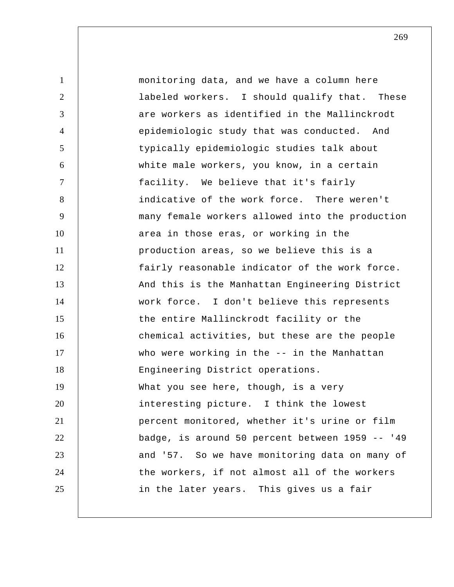| $\mathbf{1}$   | monitoring data, and we have a column here      |
|----------------|-------------------------------------------------|
| $\overline{2}$ | labeled workers. I should qualify that. These   |
| 3              | are workers as identified in the Mallinckrodt   |
| $\overline{4}$ | epidemiologic study that was conducted. And     |
| 5              | typically epidemiologic studies talk about      |
| 6              | white male workers, you know, in a certain      |
| $\tau$         | facility. We believe that it's fairly           |
| 8              | indicative of the work force. There weren't     |
| 9              | many female workers allowed into the production |
| 10             | area in those eras, or working in the           |
| 11             | production areas, so we believe this is a       |
| 12             | fairly reasonable indicator of the work force.  |
| 13             | And this is the Manhattan Engineering District  |
| 14             | work force. I don't believe this represents     |
| 15             | the entire Mallinckrodt facility or the         |
| 16             | chemical activities, but these are the people   |
| 17             | who were working in the -- in the Manhattan     |
| 18             | Engineering District operations.                |
| 19             | What you see here, though, is a very            |
| 20             | interesting picture. I think the lowest         |
| 21             | percent monitored, whether it's urine or film   |
| 22             | badge, is around 50 percent between 1959 -- '49 |
| 23             | and '57. So we have monitoring data on many of  |
| 24             | the workers, if not almost all of the workers   |
| 25             | in the later years. This gives us a fair        |
|                |                                                 |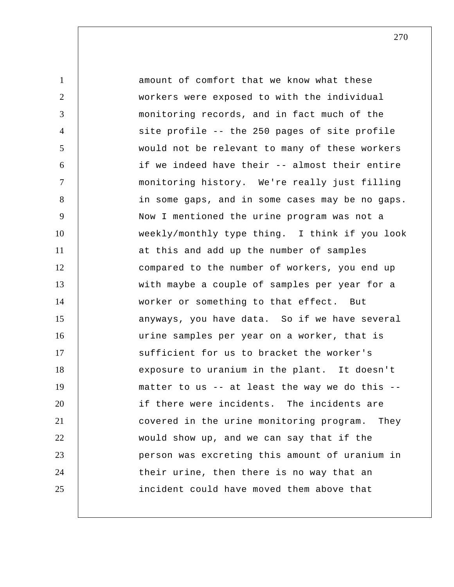1 2 3 4 5 6 7 8 9 10 11 12 13 14 15 16 17 18 19 20 21 22 23 24 25 amount of comfort that we know what these workers were exposed to with the individual monitoring records, and in fact much of the site profile -- the 250 pages of site profile would not be relevant to many of these workers if we indeed have their -- almost their entire monitoring history. We're really just filling in some gaps, and in some cases may be no gaps. Now I mentioned the urine program was not a weekly/monthly type thing. I think if you look at this and add up the number of samples compared to the number of workers, you end up with maybe a couple of samples per year for a worker or something to that effect. But anyways, you have data. So if we have several urine samples per year on a worker, that is sufficient for us to bracket the worker's exposure to uranium in the plant. It doesn't matter to us -- at least the way we do this - if there were incidents. The incidents are covered in the urine monitoring program. They would show up, and we can say that if the person was excreting this amount of uranium in their urine, then there is no way that an incident could have moved them above that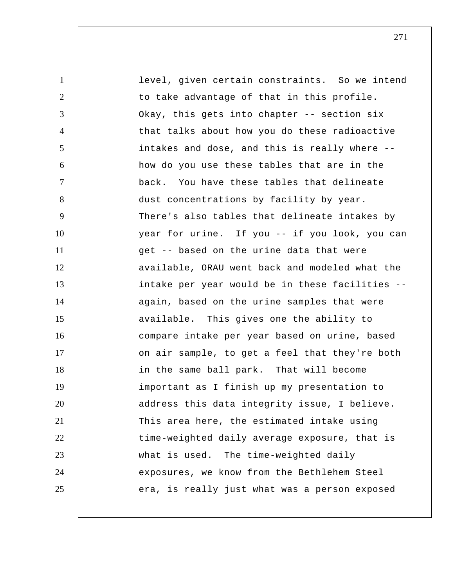1 2 3 4 5 6 7 8 9 10 11 12 13 14 15 16 17 18 19 20 21 22 23 24 25 level, given certain constraints. So we intend to take advantage of that in this profile. Okay, this gets into chapter -- section six that talks about how you do these radioactive intakes and dose, and this is really where - how do you use these tables that are in the back. You have these tables that delineate dust concentrations by facility by year. There's also tables that delineate intakes by year for urine. If you -- if you look, you can get -- based on the urine data that were available, ORAU went back and modeled what the intake per year would be in these facilities - again, based on the urine samples that were available. This gives one the ability to compare intake per year based on urine, based on air sample, to get a feel that they're both in the same ball park. That will become important as I finish up my presentation to address this data integrity issue, I believe. This area here, the estimated intake using time-weighted daily average exposure, that is what is used. The time-weighted daily exposures, we know from the Bethlehem Steel era, is really just what was a person exposed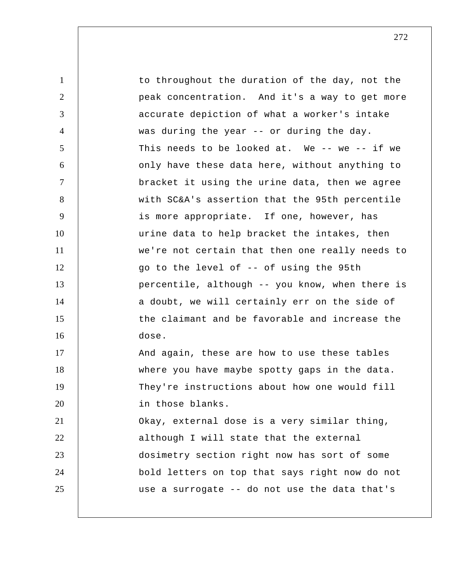| 1              | to throughout the duration of the day, not the  |
|----------------|-------------------------------------------------|
| 2              | peak concentration. And it's a way to get more  |
| 3              | accurate depiction of what a worker's intake    |
| $\overline{4}$ | was during the year -- or during the day.       |
| 5              | This needs to be looked at. We -- we -- if we   |
| 6              | only have these data here, without anything to  |
| $\tau$         | bracket it using the urine data, then we agree  |
| 8              | with SC&A's assertion that the 95th percentile  |
| 9              | is more appropriate. If one, however, has       |
| 10             | urine data to help bracket the intakes, then    |
| 11             | we're not certain that then one really needs to |
| 12             | go to the level of -- of using the 95th         |
| 13             | percentile, although -- you know, when there is |
| 14             | a doubt, we will certainly err on the side of   |
| 15             | the claimant and be favorable and increase the  |
| 16             | dose.                                           |
| 17             | And again, these are how to use these tables    |
| 18             | where you have maybe spotty gaps in the data.   |
| 19             | They're instructions about how one would fill   |
| 20             | in those blanks.                                |
| 21             | Okay, external dose is a very similar thing,    |
| 22             | although I will state that the external         |
| 23             | dosimetry section right now has sort of some    |
| 24             | bold letters on top that says right now do not  |
| 25             | use a surrogate -- do not use the data that's   |
|                |                                                 |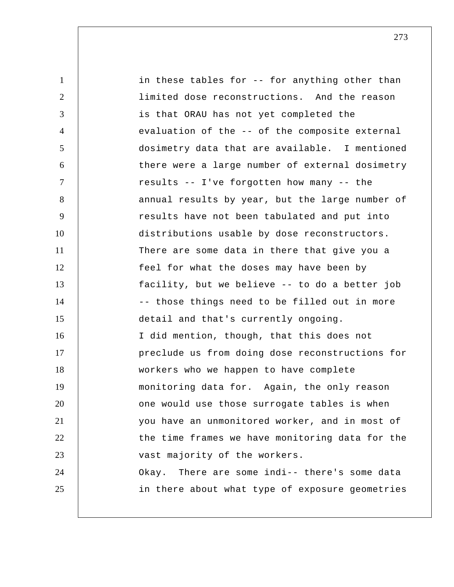1 2 3 4 5 6 7 8 9 10 11 12 13 14 15 16 17 18 19 20 21 22 23 24 25 in these tables for -- for anything other than limited dose reconstructions. And the reason is that ORAU has not yet completed the evaluation of the -- of the composite external dosimetry data that are available. I mentioned there were a large number of external dosimetry results -- I've forgotten how many -- the annual results by year, but the large number of results have not been tabulated and put into distributions usable by dose reconstructors. There are some data in there that give you a feel for what the doses may have been by facility, but we believe -- to do a better job -- those things need to be filled out in more detail and that's currently ongoing. I did mention, though, that this does not preclude us from doing dose reconstructions for workers who we happen to have complete monitoring data for. Again, the only reason one would use those surrogate tables is when you have an unmonitored worker, and in most of the time frames we have monitoring data for the vast majority of the workers. Okay. There are some indi-- there's some data in there about what type of exposure geometries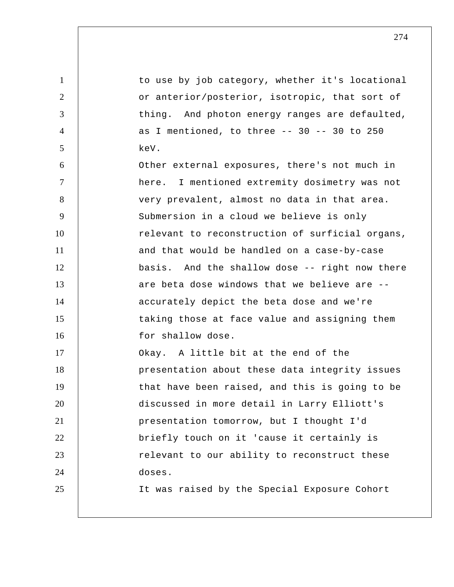| $\mathbf{1}$   | to use by job category, whether it's locational |
|----------------|-------------------------------------------------|
| 2              | or anterior/posterior, isotropic, that sort of  |
| 3              | thing. And photon energy ranges are defaulted,  |
| $\overline{4}$ | as I mentioned, to three $--$ 30 $--$ 30 to 250 |
| 5              | keV.                                            |
| 6              | Other external exposures, there's not much in   |
| $\tau$         | here. I mentioned extremity dosimetry was not   |
| 8              | very prevalent, almost no data in that area.    |
| 9              | Submersion in a cloud we believe is only        |
| 10             | relevant to reconstruction of surficial organs, |
| 11             | and that would be handled on a case-by-case     |
| 12             | basis. And the shallow dose -- right now there  |
| 13             | are beta dose windows that we believe are --    |
| 14             | accurately depict the beta dose and we're       |
| 15             | taking those at face value and assigning them   |
| 16             | for shallow dose.                               |
| 17             | Okay. A little bit at the end of the            |
| 18             | presentation about these data integrity issues  |
| 19             | that have been raised, and this is going to be  |
| 20             | discussed in more detail in Larry Elliott's     |
| 21             | presentation tomorrow, but I thought I'd        |
| 22             | briefly touch on it 'cause it certainly is      |
| 23             | relevant to our ability to reconstruct these    |
| 24             | doses.                                          |
| 25             | It was raised by the Special Exposure Cohort    |
|                |                                                 |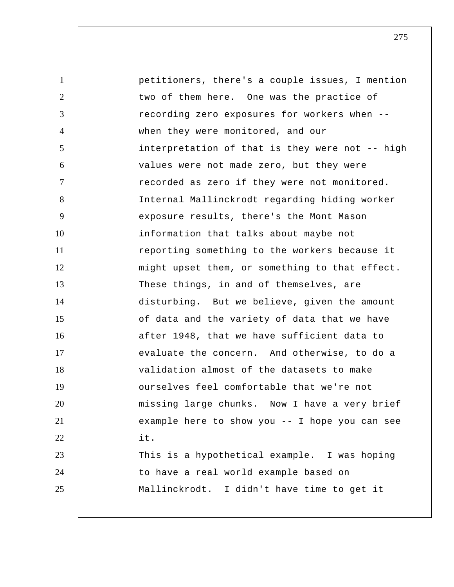1 2 3 4 5 6 7 8 9 10 11 12 13 14 15 16 17 18 19 20 21 22 23 24 25 petitioners, there's a couple issues, I mention two of them here. One was the practice of recording zero exposures for workers when - when they were monitored, and our interpretation of that is they were not -- high values were not made zero, but they were recorded as zero if they were not monitored. Internal Mallinckrodt regarding hiding worker exposure results, there's the Mont Mason information that talks about maybe not reporting something to the workers because it might upset them, or something to that effect. These things, in and of themselves, are disturbing. But we believe, given the amount of data and the variety of data that we have after 1948, that we have sufficient data to evaluate the concern. And otherwise, to do a validation almost of the datasets to make ourselves feel comfortable that we're not missing large chunks. Now I have a very brief example here to show you -- I hope you can see it. This is a hypothetical example. I was hoping to have a real world example based on Mallinckrodt. I didn't have time to get it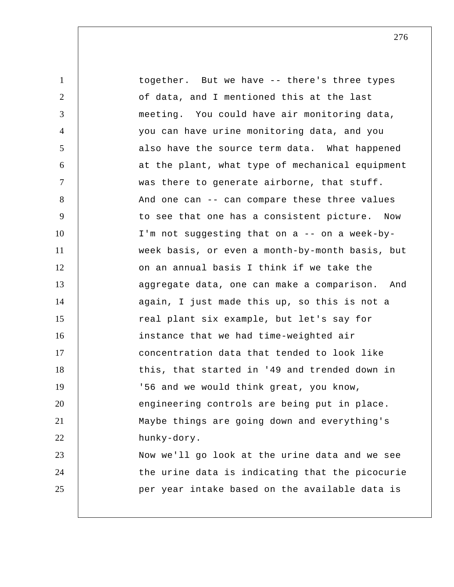| $\mathbf{1}$   | together. But we have -- there's three types    |
|----------------|-------------------------------------------------|
| $\overline{2}$ | of data, and I mentioned this at the last       |
| 3              | meeting. You could have air monitoring data,    |
| $\overline{4}$ | you can have urine monitoring data, and you     |
| 5              | also have the source term data. What happened   |
| 6              | at the plant, what type of mechanical equipment |
| $\tau$         | was there to generate airborne, that stuff.     |
| 8              | And one can -- can compare these three values   |
| 9              | to see that one has a consistent picture. Now   |
| 10             | I'm not suggesting that on a -- on a week-by-   |
| 11             | week basis, or even a month-by-month basis, but |
| 12             | on an annual basis I think if we take the       |
| 13             | aggregate data, one can make a comparison. And  |
| 14             | again, I just made this up, so this is not a    |
| 15             | real plant six example, but let's say for       |
| 16             | instance that we had time-weighted air          |
| 17             | concentration data that tended to look like     |
| 18             | this, that started in '49 and trended down in   |
| 19             | '56 and we would think great, you know,         |
| 20             | engineering controls are being put in place.    |
| 21             | Maybe things are going down and everything's    |
| 22             | hunky-dory.                                     |
| 23             | Now we'll go look at the urine data and we see  |
| 24             | the urine data is indicating that the picocurie |
| 25             | per year intake based on the available data is  |
|                |                                                 |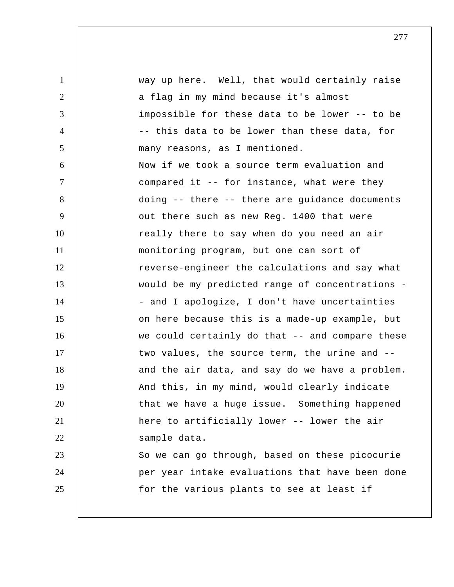1 2 3 4 5 6 7 8 9 10 11 12 13 14 15 16 17 18 19 20 21 22 23 24 25 way up here. Well, that would certainly raise a flag in my mind because it's almost impossible for these data to be lower -- to be -- this data to be lower than these data, for many reasons, as I mentioned. Now if we took a source term evaluation and compared it -- for instance, what were they doing -- there -- there are guidance documents out there such as new Reg. 1400 that were really there to say when do you need an air monitoring program, but one can sort of reverse-engineer the calculations and say what would be my predicted range of concentrations - - and I apologize, I don't have uncertainties on here because this is a made-up example, but we could certainly do that -- and compare these two values, the source term, the urine and - and the air data, and say do we have a problem. And this, in my mind, would clearly indicate that we have a huge issue. Something happened here to artificially lower -- lower the air sample data. So we can go through, based on these picocurie per year intake evaluations that have been done for the various plants to see at least if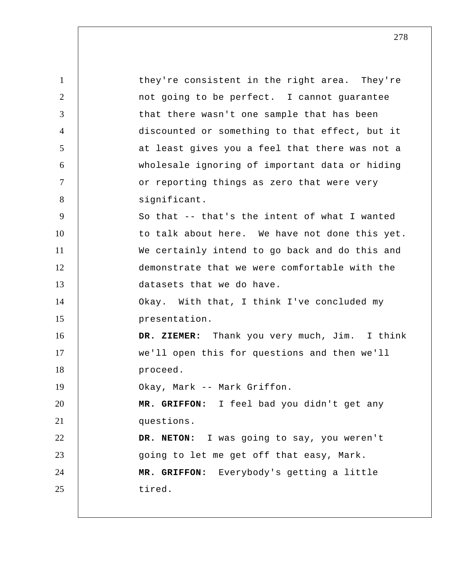| $\mathbf{1}$   | they're consistent in the right area. They're  |
|----------------|------------------------------------------------|
| 2              | not going to be perfect. I cannot guarantee    |
| 3              | that there wasn't one sample that has been     |
| $\overline{4}$ | discounted or something to that effect, but it |
| 5              | at least gives you a feel that there was not a |
| 6              | wholesale ignoring of important data or hiding |
| $\overline{7}$ | or reporting things as zero that were very     |
| 8              | significant.                                   |
| 9              | So that -- that's the intent of what I wanted  |
| 10             | to talk about here. We have not done this yet. |
| 11             | We certainly intend to go back and do this and |
| 12             | demonstrate that we were comfortable with the  |
| 13             | datasets that we do have.                      |
| 14             | Okay. With that, I think I've concluded my     |
| 15             | presentation.                                  |
| 16             | DR. ZIEMER: Thank you very much, Jim. I think  |
| 17             | we'll open this for questions and then we'll   |
| 18             | proceed.                                       |
| 19             | Okay, Mark -- Mark Griffon.                    |
| 20             | MR. GRIFFON: I feel bad you didn't get any     |
| 21             | questions.                                     |
| 22             | DR. NETON: I was going to say, you weren't     |
| 23             | going to let me get off that easy, Mark.       |
| 24             | MR. GRIFFON: Everybody's getting a little      |
| 25             | tired.                                         |
|                |                                                |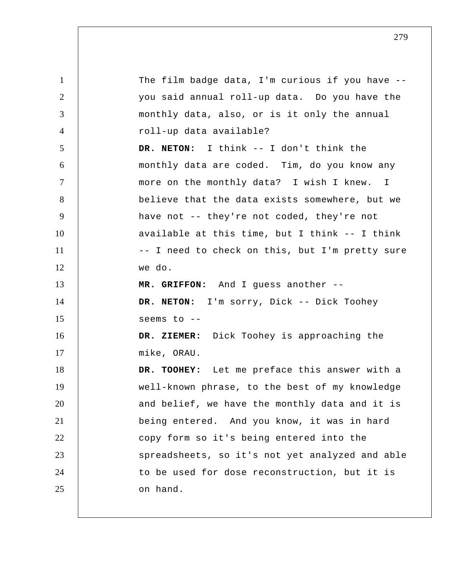1 2 3 4 5 6 7 8 9 10 11 12 13 14 15 16 17 18 19 20 21 22 23 24 25 The film badge data, I'm curious if you have - you said annual roll-up data. Do you have the monthly data, also, or is it only the annual roll-up data available? **DR. NETON:** I think -- I don't think the monthly data are coded. Tim, do you know any more on the monthly data? I wish I knew. I believe that the data exists somewhere, but we have not -- they're not coded, they're not available at this time, but I think -- I think -- I need to check on this, but I'm pretty sure we do.  **MR. GRIFFON:** And I guess another -- **DR. NETON:** I'm sorry, Dick -- Dick Toohey seems to --  **DR. ZIEMER:** Dick Toohey is approaching the mike, ORAU.  **DR. TOOHEY:** Let me preface this answer with a well-known phrase, to the best of my knowledge and belief, we have the monthly data and it is being entered. And you know, it was in hard copy form so it's being entered into the spreadsheets, so it's not yet analyzed and able to be used for dose reconstruction, but it is on hand.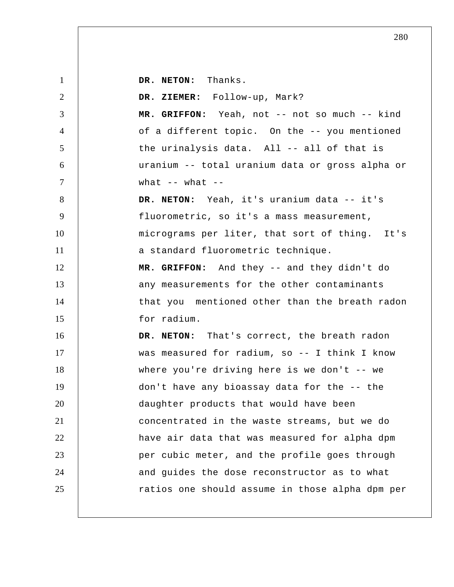**DR. NETON:** Thanks.

1

2 3 4 5 6 7 8 9 10 11 12 13 14 15 16 17 18 19 20 21 22 23 24 25  **DR. ZIEMER:** Follow-up, Mark?  **MR. GRIFFON:** Yeah, not -- not so much -- kind of a different topic. On the -- you mentioned the urinalysis data. All -- all of that is uranium -- total uranium data or gross alpha or what  $--$  what  $--$ **DR. NETON:** Yeah, it's uranium data -- it's fluorometric, so it's a mass measurement, micrograms per liter, that sort of thing. It's a standard fluorometric technique.  **MR. GRIFFON:** And they -- and they didn't do any measurements for the other contaminants that you mentioned other than the breath radon for radium. **DR. NETON:** That's correct, the breath radon was measured for radium, so -- I think I know where you're driving here is we don't  $--$  we don't have any bioassay data for the -- the daughter products that would have been concentrated in the waste streams, but we do have air data that was measured for alpha dpm per cubic meter, and the profile goes through and guides the dose reconstructor as to what ratios one should assume in those alpha dpm per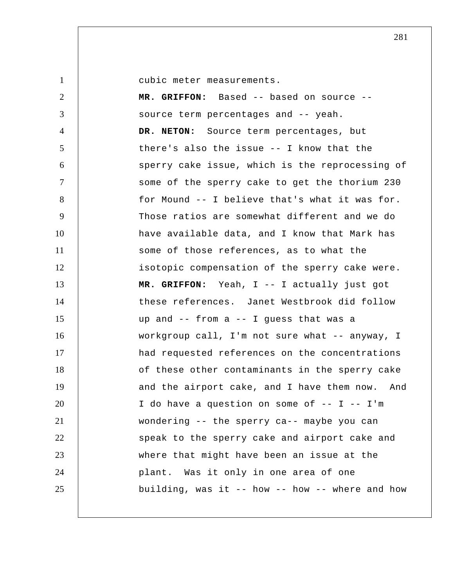1

cubic meter measurements.

2 3 4 5 6 7 8 9 10 11 12 13 14 15 16 17 18 19 20 21 22 23 24 25  **MR. GRIFFON:** Based -- based on source - source term percentages and -- yeah. **DR. NETON:** Source term percentages, but there's also the issue -- I know that the sperry cake issue, which is the reprocessing of some of the sperry cake to get the thorium 230 for Mound -- I believe that's what it was for. Those ratios are somewhat different and we do have available data, and I know that Mark has some of those references, as to what the isotopic compensation of the sperry cake were.  **MR. GRIFFON:** Yeah, I -- I actually just got these references. Janet Westbrook did follow up and -- from a -- I guess that was a workgroup call, I'm not sure what -- anyway, I had requested references on the concentrations of these other contaminants in the sperry cake and the airport cake, and I have them now. And I do have a question on some of  $-$ - I  $-$  I'm wondering -- the sperry ca-- maybe you can speak to the sperry cake and airport cake and where that might have been an issue at the plant. Was it only in one area of one building, was it -- how -- how -- where and how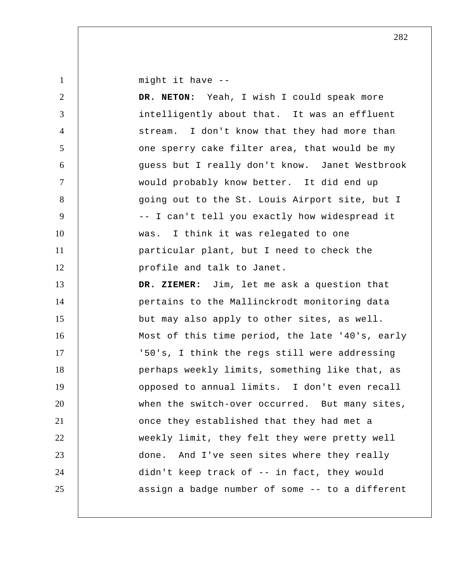might it have --

1

2 3 4 5 6 7 8 9 10 11 12 13 14 15 16 17 18 19 20 21 22 23 24 25 **DR. NETON:** Yeah, I wish I could speak more intelligently about that. It was an effluent stream. I don't know that they had more than one sperry cake filter area, that would be my guess but I really don't know. Janet Westbrook would probably know better. It did end up going out to the St. Louis Airport site, but I -- I can't tell you exactly how widespread it was. I think it was relegated to one particular plant, but I need to check the profile and talk to Janet.  **DR. ZIEMER:** Jim, let me ask a question that pertains to the Mallinckrodt monitoring data but may also apply to other sites, as well. Most of this time period, the late '40's, early '50's, I think the regs still were addressing perhaps weekly limits, something like that, as opposed to annual limits. I don't even recall when the switch-over occurred. But many sites, once they established that they had met a weekly limit, they felt they were pretty well done. And I've seen sites where they really didn't keep track of -- in fact, they would assign a badge number of some -- to a different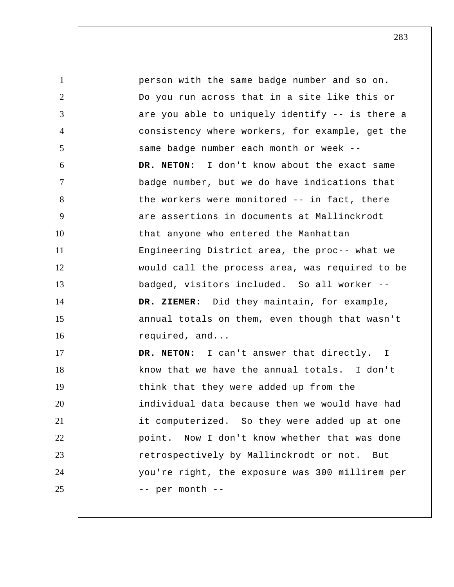1 2 3 4 5 6 7 8 9 10 11 12 13 14 15 16 17 18 19 20 21 22 23 24 25 person with the same badge number and so on. Do you run across that in a site like this or are you able to uniquely identify -- is there a consistency where workers, for example, get the same badge number each month or week -- **DR. NETON:** I don't know about the exact same badge number, but we do have indications that the workers were monitored -- in fact, there are assertions in documents at Mallinckrodt that anyone who entered the Manhattan Engineering District area, the proc-- what we would call the process area, was required to be badged, visitors included. So all worker --  **DR. ZIEMER:** Did they maintain, for example, annual totals on them, even though that wasn't required, and... **DR. NETON:** I can't answer that directly. I know that we have the annual totals. I don't think that they were added up from the individual data because then we would have had it computerized. So they were added up at one point. Now I don't know whether that was done retrospectively by Mallinckrodt or not. But you're right, the exposure was 300 millirem per -- per month --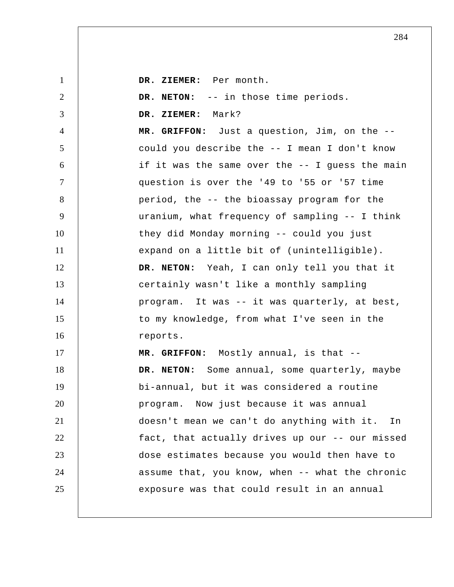| $\mathbf{1}$   | DR. ZIEMER: Per month.                          |
|----------------|-------------------------------------------------|
| 2              | DR. NETON: -- in those time periods.            |
| 3              | Mark?<br>DR. ZIEMER:                            |
| $\overline{4}$ | MR. GRIFFON: Just a question, Jim, on the --    |
| $\mathfrak{S}$ | could you describe the -- I mean I don't know   |
| 6              | if it was the same over the -- I guess the main |
| $\tau$         | question is over the '49 to '55 or '57 time     |
| 8              | period, the -- the bioassay program for the     |
| 9              | uranium, what frequency of sampling -- I think  |
| 10             | they did Monday morning -- could you just       |
| 11             | expand on a little bit of (unintelligible).     |
| 12             | DR. NETON: Yeah, I can only tell you that it    |
| 13             | certainly wasn't like a monthly sampling        |
| 14             | program. It was -- it was quarterly, at best,   |
| 15             | to my knowledge, from what I've seen in the     |
| 16             | reports.                                        |
| 17             | MR. GRIFFON: Mostly annual, is that --          |
| 18             | DR. NETON: Some annual, some quarterly, maybe   |
| 19             | bi-annual, but it was considered a routine      |
| 20             | program. Now just because it was annual         |
| 21             | doesn't mean we can't do anything with it. In   |
| 22             | fact, that actually drives up our -- our missed |
| 23             | dose estimates because you would then have to   |
| 24             | assume that, you know, when -- what the chronic |
| 25             | exposure was that could result in an annual     |
|                |                                                 |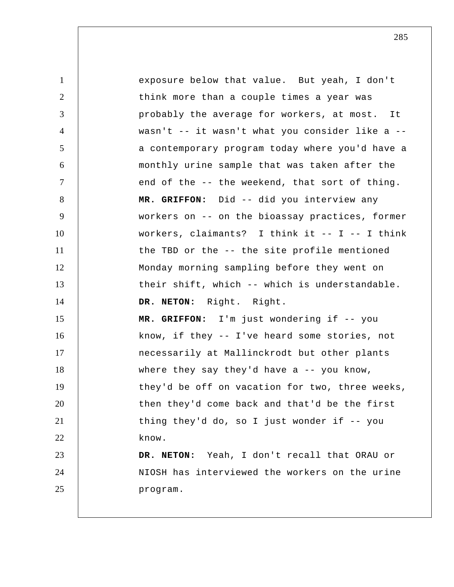| $\mathbf{1}$   | exposure below that value. But yeah, I don't    |
|----------------|-------------------------------------------------|
| $\overline{2}$ | think more than a couple times a year was       |
| 3              | probably the average for workers, at most. It   |
| $\overline{4}$ | wasn't -- it wasn't what you consider like a -- |
| 5              | a contemporary program today where you'd have a |
| 6              | monthly urine sample that was taken after the   |
| $\overline{7}$ | end of the -- the weekend, that sort of thing.  |
| 8              | MR. GRIFFON: Did -- did you interview any       |
| 9              | workers on -- on the bioassay practices, former |
| 10             | workers, claimants? I think it -- I -- I think  |
| 11             | the TBD or the -- the site profile mentioned    |
| 12             | Monday morning sampling before they went on     |
| 13             | their shift, which -- which is understandable.  |
| 14             | DR. NETON: Right. Right.                        |
| 15             | MR. GRIFFON: I'm just wondering if -- you       |
| 16             | know, if they -- I've heard some stories, not   |
| 17             | necessarily at Mallinckrodt but other plants    |
| 18             | where they say they'd have a $-$ - you know,    |
| 19             | they'd be off on vacation for two, three weeks, |
| 20             | then they'd come back and that'd be the first   |
| 21             | thing they'd do, so I just wonder if -- you     |
| 22             | know.                                           |
| 23             | DR. NETON: Yeah, I don't recall that ORAU or    |
| 24             | NIOSH has interviewed the workers on the urine  |
| 25             | program.                                        |
|                |                                                 |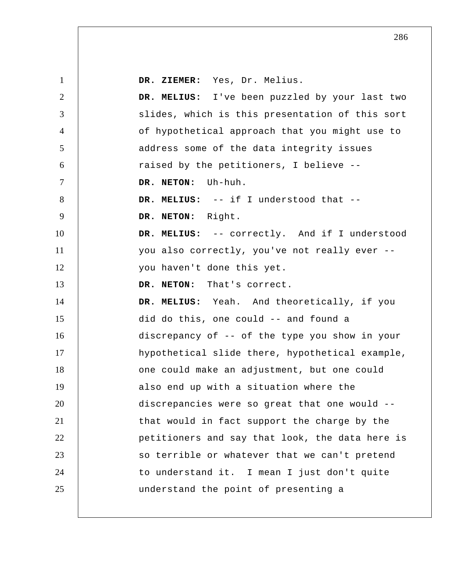| $\mathbf{1}$   | DR. ZIEMER: Yes, Dr. Melius.                    |
|----------------|-------------------------------------------------|
| $\overline{2}$ | DR. MELIUS: I've been puzzled by your last two  |
| 3              | slides, which is this presentation of this sort |
| $\overline{4}$ | of hypothetical approach that you might use to  |
| 5              | address some of the data integrity issues       |
| 6              | raised by the petitioners, I believe --         |
| $\tau$         | DR. NETON: Uh-huh.                              |
| 8              | DR. MELIUS: -- if I understood that --          |
| 9              | DR. NETON: Right.                               |
| 10             | DR. MELIUS: -- correctly. And if I understood   |
| 11             | you also correctly, you've not really ever --   |
| 12             | you haven't done this yet.                      |
| 13             | DR. NETON: That's correct.                      |
| 14             | DR. MELIUS: Yeah. And theoretically, if you     |
| 15             | did do this, one could -- and found a           |
| 16             | discrepancy of -- of the type you show in your  |
| 17             | hypothetical slide there, hypothetical example, |
| 18             | one could make an adjustment, but one could     |
| 19             | also end up with a situation where the          |
| 20             | discrepancies were so great that one would --   |
| 21             | that would in fact support the charge by the    |
| 22             | petitioners and say that look, the data here is |
| 23             | so terrible or whatever that we can't pretend   |
| 24             | to understand it. I mean I just don't quite     |
| 25             | understand the point of presenting a            |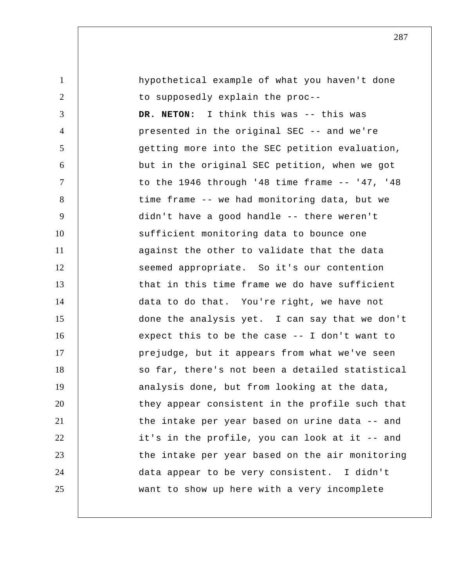| $\mathbf{1}$   | hypothetical example of what you haven't done    |
|----------------|--------------------------------------------------|
| $\overline{2}$ | to supposedly explain the proc--                 |
| 3              | DR. NETON: I think this was -- this was          |
| $\overline{4}$ | presented in the original SEC -- and we're       |
| 5              | getting more into the SEC petition evaluation,   |
| 6              | but in the original SEC petition, when we got    |
| $\overline{7}$ | to the 1946 through '48 time frame $--$ '47, '48 |
| 8              | time frame -- we had monitoring data, but we     |
| 9              | didn't have a good handle -- there weren't       |
| 10             | sufficient monitoring data to bounce one         |
| 11             | against the other to validate that the data      |
| 12             | seemed appropriate. So it's our contention       |
| 13             | that in this time frame we do have sufficient    |
| 14             | data to do that. You're right, we have not       |
| 15             | done the analysis yet. I can say that we don't   |
| 16             | expect this to be the case $-$ - I don't want to |
| 17             | prejudge, but it appears from what we've seen    |
| 18             | so far, there's not been a detailed statistical  |
| 19             | analysis done, but from looking at the data,     |
| 20             | they appear consistent in the profile such that  |
| 21             | the intake per year based on urine data -- and   |
| 22             | it's in the profile, you can look at it -- and   |
| 23             | the intake per year based on the air monitoring  |
| 24             | data appear to be very consistent. I didn't      |
| 25             | want to show up here with a very incomplete      |
|                |                                                  |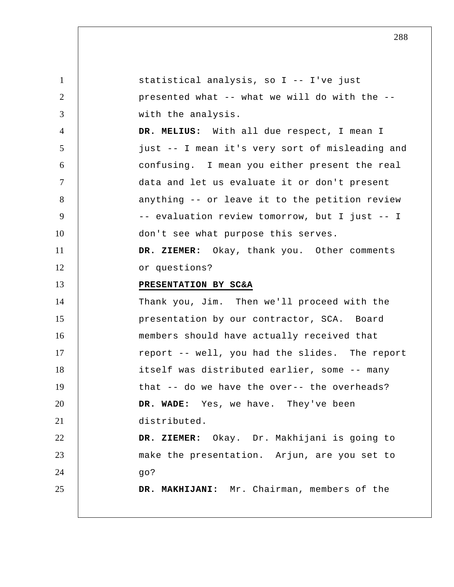| $\mathbf{1}$    | statistical analysis, so I -- I've just         |
|-----------------|-------------------------------------------------|
| $\overline{2}$  | presented what -- what we will do with the --   |
| 3               | with the analysis.                              |
| $\overline{4}$  | DR. MELIUS: With all due respect, I mean I      |
| $5\overline{)}$ | just -- I mean it's very sort of misleading and |
| 6               | confusing. I mean you either present the real   |
| $\tau$          | data and let us evaluate it or don't present    |
| 8               | anything -- or leave it to the petition review  |
| 9               | -- evaluation review tomorrow, but I just -- I  |
| 10              | don't see what purpose this serves.             |
| 11              | DR. ZIEMER: Okay, thank you. Other comments     |
| 12              | or questions?                                   |
| 13              | PRESENTATION BY SC&A                            |
| 14              | Thank you, Jim. Then we'll proceed with the     |
| 15              | presentation by our contractor, SCA. Board      |
| 16              | members should have actually received that      |
| 17              | report -- well, you had the slides. The report  |
| 18              | itself was distributed earlier, some -- many    |
| 19              | that -- do we have the over-- the overheads?    |
| 20              | DR. WADE: Yes, we have. They've been            |
| 21              | distributed.                                    |
| 22              | DR. ZIEMER: Okay. Dr. Makhijani is going to     |
| 23              | make the presentation. Arjun, are you set to    |
| 24              | 90?                                             |
| 25              | DR. MAKHIJANI: Mr. Chairman, members of the     |
|                 |                                                 |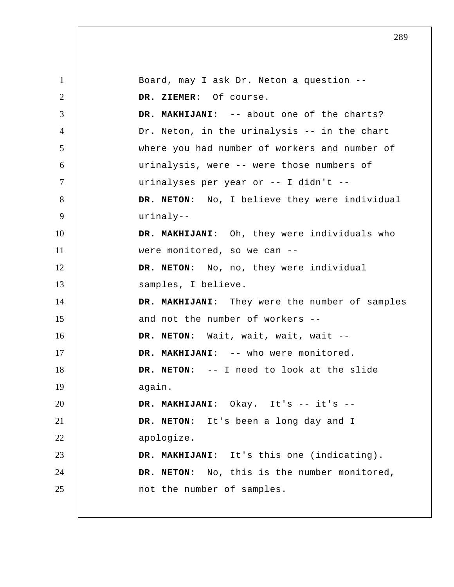1 2 3 4 5 6 7 8 9 10 11 12 13 14 15 16 17 18 19 20 21 22 23 24 25 Board, may I ask Dr. Neton a question --  **DR. ZIEMER:** Of course.  **DR. MAKHIJANI:** -- about one of the charts? Dr. Neton, in the urinalysis -- in the chart where you had number of workers and number of urinalysis, were -- were those numbers of urinalyses per year or -- I didn't -- **DR. NETON:** No, I believe they were individual urinaly--  **DR. MAKHIJANI:** Oh, they were individuals who were monitored, so we can -- **DR. NETON:** No, no, they were individual samples, I believe.  **DR. MAKHIJANI:** They were the number of samples and not the number of workers -- **DR. NETON:** Wait, wait, wait, wait --  **DR. MAKHIJANI:** -- who were monitored. **DR. NETON:** -- I need to look at the slide again.  **DR. MAKHIJANI:** Okay. It's -- it's -- **DR. NETON:** It's been a long day and I apologize.  **DR. MAKHIJANI:** It's this one (indicating). **DR. NETON:** No, this is the number monitored, not the number of samples.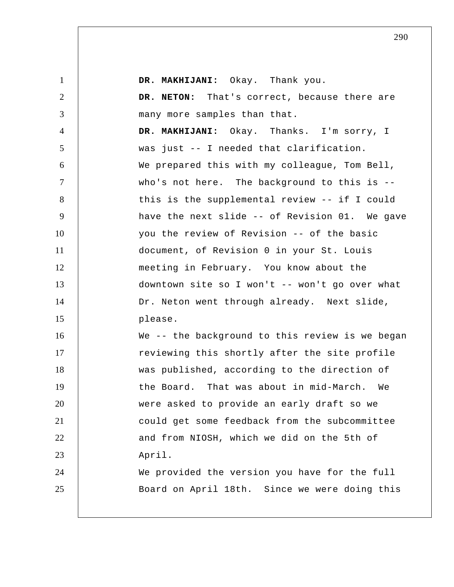| $\mathbf{1}$   | DR. MAKHIJANI: Okay. Thank you.                 |
|----------------|-------------------------------------------------|
| $\overline{2}$ | DR. NETON: That's correct, because there are    |
| 3              | many more samples than that.                    |
| $\overline{4}$ | DR. MAKHIJANI: Okay. Thanks. I'm sorry, I       |
| 5              | was just -- I needed that clarification.        |
| 6              | We prepared this with my colleague, Tom Bell,   |
| $\tau$         | who's not here. The background to this is --    |
| 8              | this is the supplemental review -- if I could   |
| 9              | have the next slide -- of Revision 01. We gave  |
| 10             | you the review of Revision -- of the basic      |
| 11             | document, of Revision 0 in your St. Louis       |
| 12             | meeting in February. You know about the         |
| 13             | downtown site so I won't -- won't go over what  |
| 14             | Dr. Neton went through already. Next slide,     |
| 15             | please.                                         |
| 16             | We -- the background to this review is we began |
| 17             | reviewing this shortly after the site profile   |
| 18             | was published, according to the direction of    |
| 19             | the Board. That was about in mid-March.<br>We   |
| 20             | were asked to provide an early draft so we      |
| 21             | could get some feedback from the subcommittee   |
| 22             | and from NIOSH, which we did on the 5th of      |
| 23             | April.                                          |
| 24             | We provided the version you have for the full   |
| 25             | Board on April 18th. Since we were doing this   |
|                |                                                 |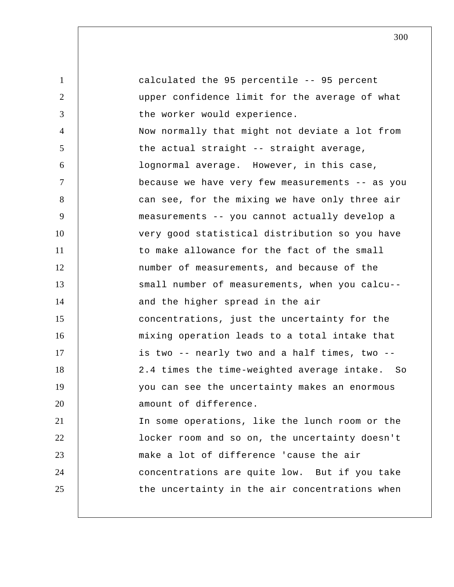1 2 3 4 5 6 7 8 9 10 11 12 13 14 15 16 17 18 19 20 21 22 23 24 25 calculated the 95 percentile -- 95 percent upper confidence limit for the average of what the worker would experience. Now normally that might not deviate a lot from the actual straight -- straight average, lognormal average. However, in this case, because we have very few measurements -- as you can see, for the mixing we have only three air measurements -- you cannot actually develop a very good statistical distribution so you have to make allowance for the fact of the small number of measurements, and because of the small number of measurements, when you calcu- and the higher spread in the air concentrations, just the uncertainty for the mixing operation leads to a total intake that is two -- nearly two and a half times, two -- 2.4 times the time-weighted average intake. So you can see the uncertainty makes an enormous amount of difference. In some operations, like the lunch room or the locker room and so on, the uncertainty doesn't make a lot of difference 'cause the air concentrations are quite low. But if you take the uncertainty in the air concentrations when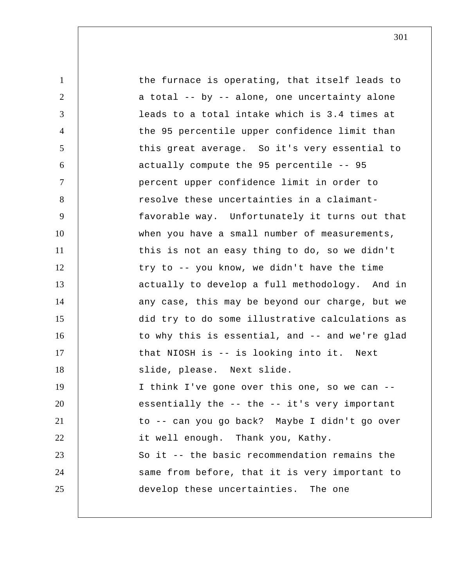1 2 3 4 5 6 7 8 9 10 11 12 13 14 15 16 17 18 19 20 21 22 23 24 25 the furnace is operating, that itself leads to a total -- by -- alone, one uncertainty alone leads to a total intake which is 3.4 times at the 95 percentile upper confidence limit than this great average. So it's very essential to actually compute the 95 percentile -- 95 percent upper confidence limit in order to resolve these uncertainties in a claimantfavorable way. Unfortunately it turns out that when you have a small number of measurements, this is not an easy thing to do, so we didn't try to -- you know, we didn't have the time actually to develop a full methodology. And in any case, this may be beyond our charge, but we did try to do some illustrative calculations as to why this is essential, and -- and we're glad that NIOSH is -- is looking into it. Next slide, please. Next slide. I think I've gone over this one, so we can - essentially the -- the -- it's very important to -- can you go back? Maybe I didn't go over it well enough. Thank you, Kathy. So it -- the basic recommendation remains the same from before, that it is very important to develop these uncertainties. The one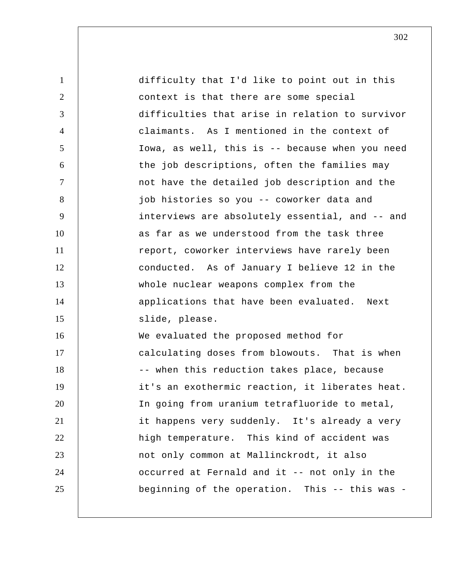| $\mathbf{1}$   | difficulty that I'd like to point out in this   |
|----------------|-------------------------------------------------|
| $\overline{2}$ | context is that there are some special          |
| 3              | difficulties that arise in relation to survivor |
| $\overline{4}$ | claimants. As I mentioned in the context of     |
| 5              | Iowa, as well, this is -- because when you need |
| 6              | the job descriptions, often the families may    |
| $\tau$         | not have the detailed job description and the   |
| 8              | job histories so you -- coworker data and       |
| 9              | interviews are absolutely essential, and -- and |
| 10             | as far as we understood from the task three     |
| 11             | report, coworker interviews have rarely been    |
| 12             | conducted. As of January I believe 12 in the    |
| 13             | whole nuclear weapons complex from the          |
| 14             | applications that have been evaluated. Next     |
| 15             | slide, please.                                  |
| 16             | We evaluated the proposed method for            |
| 17             | calculating doses from blowouts. That is when   |
| 18             | -- when this reduction takes place, because     |
| 19             | it's an exothermic reaction, it liberates heat. |
| 20             | In going from uranium tetrafluoride to metal,   |
| 21             | it happens very suddenly. It's already a very   |
| 22             | high temperature. This kind of accident was     |
| 23             | not only common at Mallinckrodt, it also        |
| 24             | occurred at Fernald and it -- not only in the   |
| 25             | beginning of the operation. This -- this was -  |
|                |                                                 |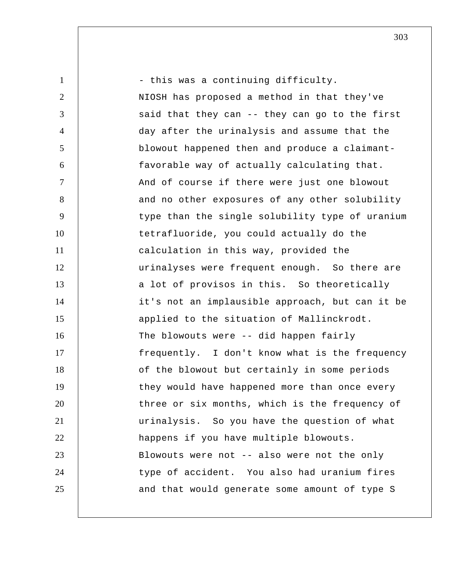| $\mathbf{1}$   | - this was a continuing difficulty.             |
|----------------|-------------------------------------------------|
| $\overline{2}$ | NIOSH has proposed a method in that they've     |
| 3              | said that they can -- they can go to the first  |
| $\overline{4}$ | day after the urinalysis and assume that the    |
| 5              | blowout happened then and produce a claimant-   |
| 6              | favorable way of actually calculating that.     |
| $\tau$         | And of course if there were just one blowout    |
| 8              | and no other exposures of any other solubility  |
| 9              | type than the single solubility type of uranium |
| 10             | tetrafluoride, you could actually do the        |
| 11             | calculation in this way, provided the           |
| 12             | urinalyses were frequent enough. So there are   |
| 13             | a lot of provisos in this. So theoretically     |
| 14             | it's not an implausible approach, but can it be |
| 15             | applied to the situation of Mallinckrodt.       |
| 16             | The blowouts were -- did happen fairly          |
| 17             | frequently. I don't know what is the frequency  |
| 18             | of the blowout but certainly in some periods    |
| 19             | they would have happened more than once every   |
| 20             | three or six months, which is the frequency of  |
| 21             | urinalysis. So you have the question of what    |
| 22             | happens if you have multiple blowouts.          |
| 23             | Blowouts were not -- also were not the only     |
| 24             | type of accident. You also had uranium fires    |
| 25             | and that would generate some amount of type S   |
|                |                                                 |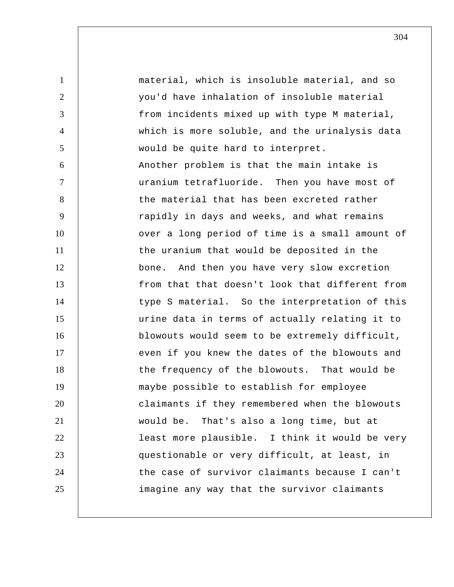1 2 3 4 5 6 7 8 9 10 11 12 13 14 15 16 17 18 19 20 21 22 23 24 25 material, which is insoluble material, and so you'd have inhalation of insoluble material from incidents mixed up with type M material, which is more soluble, and the urinalysis data would be quite hard to interpret. Another problem is that the main intake is uranium tetrafluoride. Then you have most of the material that has been excreted rather rapidly in days and weeks, and what remains over a long period of time is a small amount of the uranium that would be deposited in the bone. And then you have very slow excretion from that that doesn't look that different from type S material. So the interpretation of this urine data in terms of actually relating it to blowouts would seem to be extremely difficult, even if you knew the dates of the blowouts and the frequency of the blowouts. That would be maybe possible to establish for employee claimants if they remembered when the blowouts would be. That's also a long time, but at least more plausible. I think it would be very questionable or very difficult, at least, in the case of survivor claimants because I can't imagine any way that the survivor claimants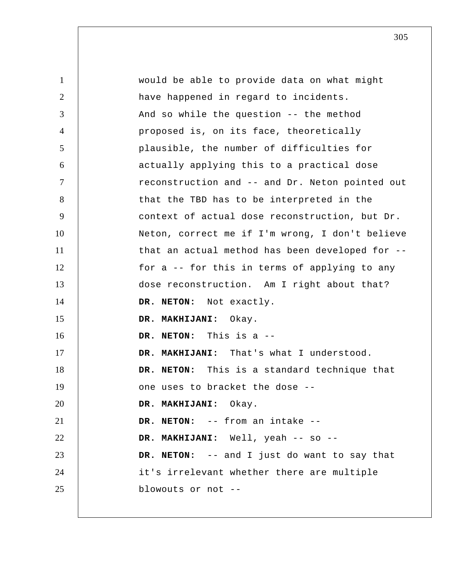1 2 3 4 5 6 7 8 9 10 11 12 13 14 15 16 17 18 19 20 21 22 23 24 25 would be able to provide data on what might have happened in regard to incidents. And so while the question -- the method proposed is, on its face, theoretically plausible, the number of difficulties for actually applying this to a practical dose reconstruction and -- and Dr. Neton pointed out that the TBD has to be interpreted in the context of actual dose reconstruction, but Dr. Neton, correct me if I'm wrong, I don't believe that an actual method has been developed for - for a -- for this in terms of applying to any dose reconstruction. Am I right about that? **DR. NETON:** Not exactly.  **DR. MAKHIJANI:** Okay. **DR. NETON:** This is a --  **DR. MAKHIJANI:** That's what I understood. **DR. NETON:** This is a standard technique that one uses to bracket the dose --  **DR. MAKHIJANI:** Okay. **DR. NETON:** -- from an intake --  **DR. MAKHIJANI:** Well, yeah -- so -- **DR. NETON:** -- and I just do want to say that it's irrelevant whether there are multiple blowouts or not --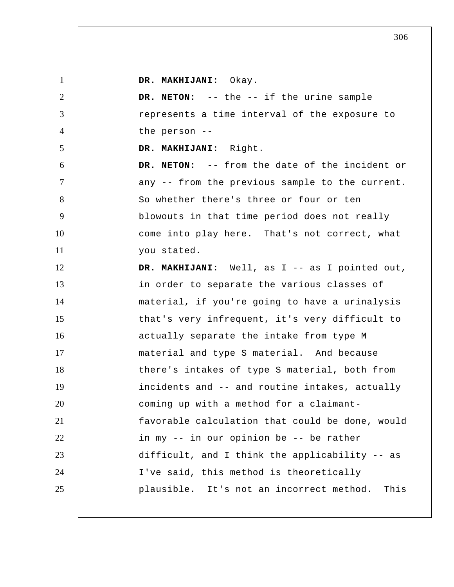| $\mathbf{1}$   | DR. MAKHIJANI: Okay.                             |
|----------------|--------------------------------------------------|
| 2              | DR. NETON: -- the -- if the urine sample         |
| 3              | represents a time interval of the exposure to    |
| $\overline{4}$ | the person --                                    |
| 5              | DR. MAKHIJANI: Right.                            |
| 6              | DR. NETON: -- from the date of the incident or   |
| $\tau$         | any -- from the previous sample to the current.  |
| 8              | So whether there's three or four or ten          |
| 9              | blowouts in that time period does not really     |
| 10             | come into play here. That's not correct, what    |
| 11             | you stated.                                      |
| 12             | DR. MAKHIJANI: Well, as I -- as I pointed out,   |
| 13             | in order to separate the various classes of      |
| 14             | material, if you're going to have a urinalysis   |
| 15             | that's very infrequent, it's very difficult to   |
| 16             | actually separate the intake from type M         |
| 17             | material and type S material. And because        |
| 18             | there's intakes of type S material, both from    |
| 19             | incidents and -- and routine intakes, actually   |
| 20             | coming up with a method for a claimant-          |
| 21             | favorable calculation that could be done, would  |
| 22             | in my -- in our opinion be -- be rather          |
| 23             | difficult, and I think the applicability -- as   |
| 24             | I've said, this method is theoretically          |
| 25             | plausible. It's not an incorrect method.<br>This |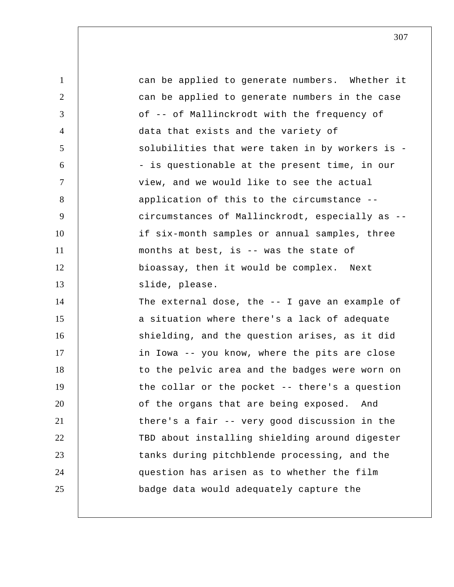| $\mathbf{1}$   | can be applied to generate numbers. Whether it  |
|----------------|-------------------------------------------------|
| $\overline{2}$ | can be applied to generate numbers in the case  |
| 3              | of -- of Mallinckrodt with the frequency of     |
| $\overline{4}$ | data that exists and the variety of             |
| 5              | solubilities that were taken in by workers is - |
| 6              | - is questionable at the present time, in our   |
| $\tau$         | view, and we would like to see the actual       |
| 8              | application of this to the circumstance --      |
| 9              | circumstances of Mallinckrodt, especially as -- |
| 10             | if six-month samples or annual samples, three   |
| 11             | months at best, is -- was the state of          |
| 12             | bioassay, then it would be complex. Next        |
| 13             | slide, please.                                  |
| 14             | The external dose, the $-$ I gave an example of |
| 15             | a situation where there's a lack of adequate    |
| 16             | shielding, and the question arises, as it did   |
| 17             | in Iowa -- you know, where the pits are close   |
| 18             | to the pelvic area and the badges were worn on  |
| 19             | the collar or the pocket -- there's a question  |
| 20             | of the organs that are being exposed. And       |
| 21             | there's a fair -- very good discussion in the   |
| 22             | TBD about installing shielding around digester  |
| 23             | tanks during pitchblende processing, and the    |
| 24             | question has arisen as to whether the film      |
| 25             | badge data would adequately capture the         |
|                |                                                 |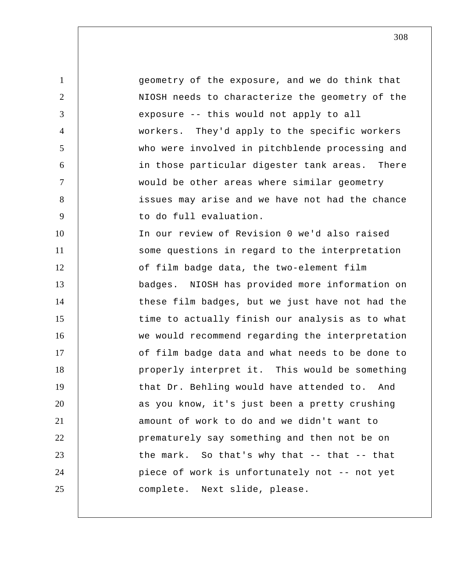1 2 3 4 5 6 7 8 9 10 11 12 13 14 15 16 17 18 19 20 21 22 23 24 25 geometry of the exposure, and we do think that NIOSH needs to characterize the geometry of the exposure -- this would not apply to all workers. They'd apply to the specific workers who were involved in pitchblende processing and in those particular digester tank areas. There would be other areas where similar geometry issues may arise and we have not had the chance to do full evaluation. In our review of Revision 0 we'd also raised some questions in regard to the interpretation of film badge data, the two-element film badges. NIOSH has provided more information on these film badges, but we just have not had the time to actually finish our analysis as to what we would recommend regarding the interpretation of film badge data and what needs to be done to properly interpret it. This would be something that Dr. Behling would have attended to. And as you know, it's just been a pretty crushing amount of work to do and we didn't want to prematurely say something and then not be on the mark. So that's why that -- that -- that piece of work is unfortunately not -- not yet complete. Next slide, please.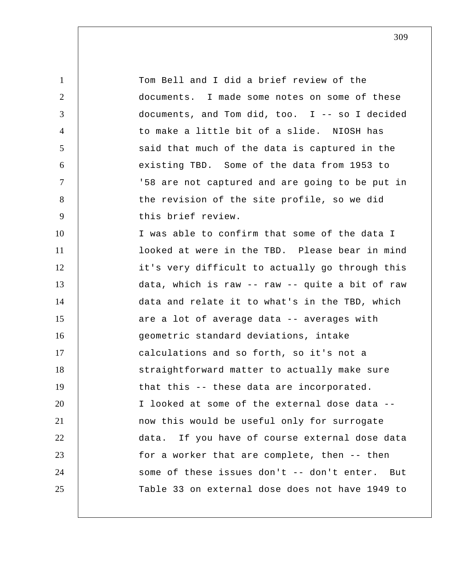1 2 3 4 5 6 7 8 9 10 11 12 13 14 15 16 17 18 19 20 21 22 23 24 25 Tom Bell and I did a brief review of the documents. I made some notes on some of these documents, and Tom did, too. I -- so I decided to make a little bit of a slide. NIOSH has said that much of the data is captured in the existing TBD. Some of the data from 1953 to '58 are not captured and are going to be put in the revision of the site profile, so we did this brief review. I was able to confirm that some of the data I looked at were in the TBD. Please bear in mind it's very difficult to actually go through this data, which is raw -- raw -- quite a bit of raw data and relate it to what's in the TBD, which are a lot of average data -- averages with geometric standard deviations, intake calculations and so forth, so it's not a straightforward matter to actually make sure that this -- these data are incorporated. I looked at some of the external dose data - now this would be useful only for surrogate data. If you have of course external dose data for a worker that are complete, then -- then some of these issues don't -- don't enter. But Table 33 on external dose does not have 1949 to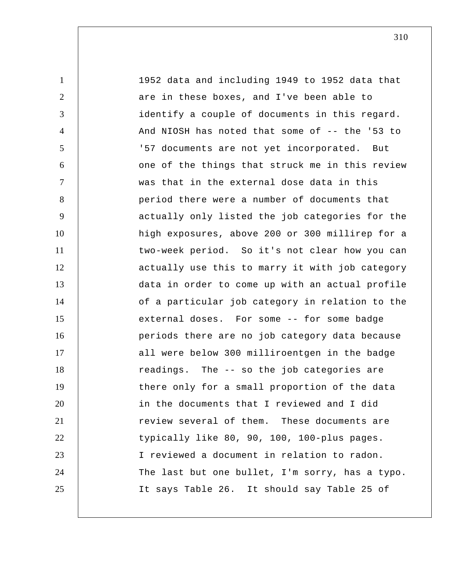1 2 3 4 5 6 7 8 9 10 11 12 13 14 15 16 17 18 19 20 21 22 23 24 25 1952 data and including 1949 to 1952 data that are in these boxes, and I've been able to identify a couple of documents in this regard. And NIOSH has noted that some of -- the '53 to '57 documents are not yet incorporated. But one of the things that struck me in this review was that in the external dose data in this period there were a number of documents that actually only listed the job categories for the high exposures, above 200 or 300 millirep for a two-week period. So it's not clear how you can actually use this to marry it with job category data in order to come up with an actual profile of a particular job category in relation to the external doses. For some -- for some badge periods there are no job category data because all were below 300 milliroentgen in the badge readings. The -- so the job categories are there only for a small proportion of the data in the documents that I reviewed and I did review several of them. These documents are typically like 80, 90, 100, 100-plus pages. I reviewed a document in relation to radon. The last but one bullet, I'm sorry, has a typo. It says Table 26. It should say Table 25 of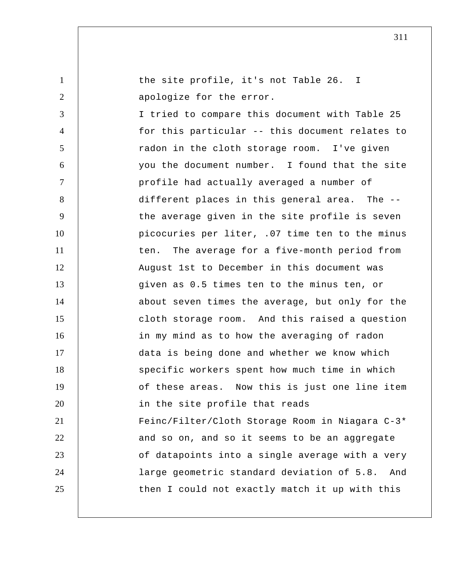1 2 3 4 5 6 7 8 9 10 11 12 13 14 15 16 17 18 19 20 21 22 23 24 25 the site profile, it's not Table 26. I apologize for the error. I tried to compare this document with Table 25 for this particular -- this document relates to radon in the cloth storage room. I've given you the document number. I found that the site profile had actually averaged a number of different places in this general area. The - the average given in the site profile is seven picocuries per liter, .07 time ten to the minus ten. The average for a five-month period from August 1st to December in this document was given as 0.5 times ten to the minus ten, or about seven times the average, but only for the cloth storage room. And this raised a question in my mind as to how the averaging of radon data is being done and whether we know which specific workers spent how much time in which of these areas. Now this is just one line item in the site profile that reads Feinc/Filter/Cloth Storage Room in Niagara C-3\* and so on, and so it seems to be an aggregate of datapoints into a single average with a very large geometric standard deviation of 5.8. And then I could not exactly match it up with this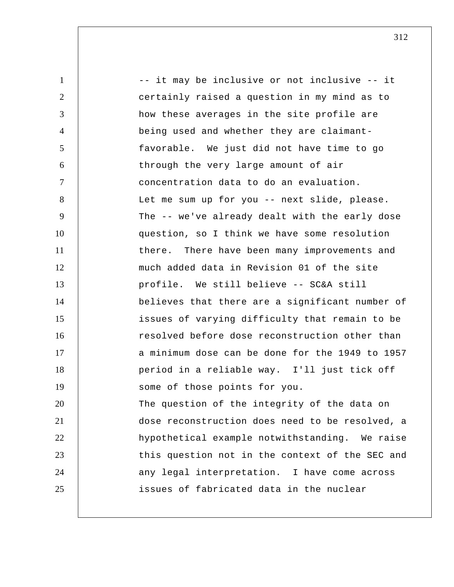1 2 3 4 5 6 7 8 9 10 11 12 13 14 15 16 17 18 19 20 21 22 23 24 25 -- it may be inclusive or not inclusive -- it certainly raised a question in my mind as to how these averages in the site profile are being used and whether they are claimantfavorable. We just did not have time to go through the very large amount of air concentration data to do an evaluation. Let me sum up for you -- next slide, please. The -- we've already dealt with the early dose question, so I think we have some resolution there. There have been many improvements and much added data in Revision 01 of the site profile. We still believe -- SC&A still believes that there are a significant number of issues of varying difficulty that remain to be resolved before dose reconstruction other than a minimum dose can be done for the 1949 to 1957 period in a reliable way. I'll just tick off some of those points for you. The question of the integrity of the data on dose reconstruction does need to be resolved, a hypothetical example notwithstanding. We raise this question not in the context of the SEC and any legal interpretation. I have come across issues of fabricated data in the nuclear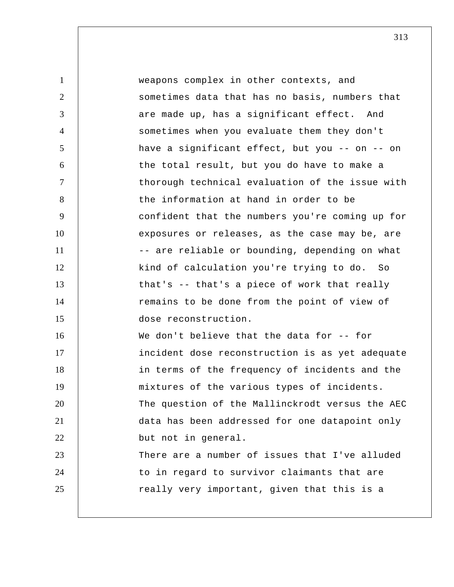| $\mathbf{1}$   | weapons complex in other contexts, and          |
|----------------|-------------------------------------------------|
| 2              | sometimes data that has no basis, numbers that  |
| 3              | are made up, has a significant effect. And      |
| $\overline{4}$ | sometimes when you evaluate them they don't     |
| 5              | have a significant effect, but you -- on -- on  |
| 6              | the total result, but you do have to make a     |
| $\tau$         | thorough technical evaluation of the issue with |
| 8              | the information at hand in order to be          |
| 9              | confident that the numbers you're coming up for |
| 10             | exposures or releases, as the case may be, are  |
| 11             | -- are reliable or bounding, depending on what  |
| 12             | kind of calculation you're trying to do. So     |
| 13             | that's -- that's a piece of work that really    |
| 14             | remains to be done from the point of view of    |
| 15             | dose reconstruction.                            |
| 16             | We don't believe that the data for -- for       |
| 17             | incident dose reconstruction is as yet adequate |
| 18             | in terms of the frequency of incidents and the  |
| 19             | mixtures of the various types of incidents.     |
| 20             | The question of the Mallinckrodt versus the AEC |
| 21             | data has been addressed for one datapoint only  |
| 22             | but not in general.                             |
| 23             | There are a number of issues that I've alluded  |
| 24             | to in regard to survivor claimants that are     |
| 25             | really very important, given that this is a     |
|                |                                                 |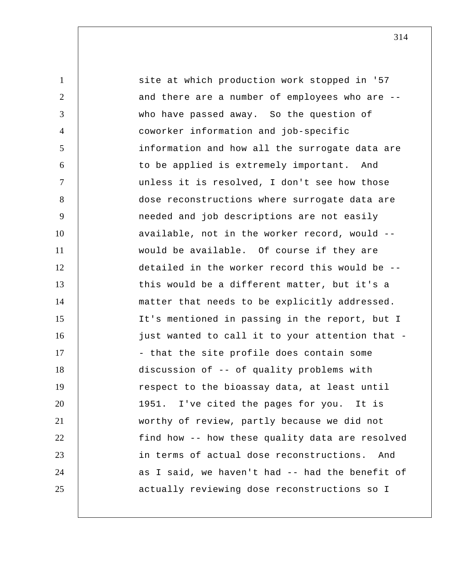| $\mathbf{1}$   | site at which production work stopped in '57    |
|----------------|-------------------------------------------------|
| $\overline{2}$ | and there are a number of employees who are --  |
| 3              | who have passed away. So the question of        |
| $\overline{4}$ | coworker information and job-specific           |
| 5              | information and how all the surrogate data are  |
| 6              | to be applied is extremely important. And       |
| $\tau$         | unless it is resolved, I don't see how those    |
| 8              | dose reconstructions where surrogate data are   |
| 9              | needed and job descriptions are not easily      |
| 10             | available, not in the worker record, would --   |
| 11             | would be available. Of course if they are       |
| 12             | detailed in the worker record this would be --  |
| 13             | this would be a different matter, but it's a    |
| 14             | matter that needs to be explicitly addressed.   |
| 15             | It's mentioned in passing in the report, but I  |
| 16             | just wanted to call it to your attention that - |
| 17             | - that the site profile does contain some       |
| 18             | discussion of -- of quality problems with       |
| 19             | respect to the bioassay data, at least until    |
| 20             | 1951. I've cited the pages for you. It is       |
| 21             | worthy of review, partly because we did not     |
| 22             | find how -- how these quality data are resolved |
| 23             | in terms of actual dose reconstructions.<br>And |
| 24             | as I said, we haven't had -- had the benefit of |
| 25             | actually reviewing dose reconstructions so I    |
|                |                                                 |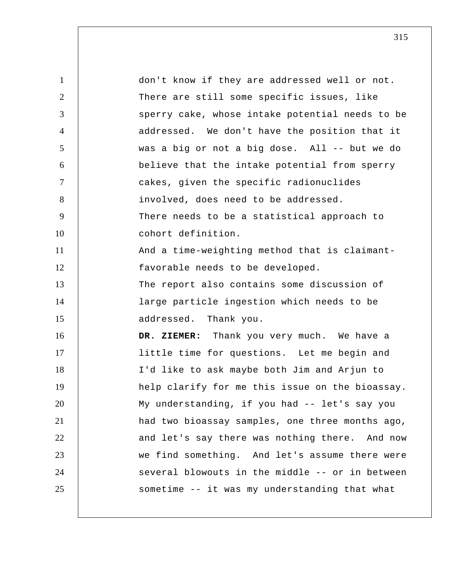1 2 3 4 5 6 7 8 9 10 11 12 13 14 15 16 17 18 19 20 21 22 23 24 25 don't know if they are addressed well or not. There are still some specific issues, like sperry cake, whose intake potential needs to be addressed. We don't have the position that it was a big or not a big dose. All -- but we do believe that the intake potential from sperry cakes, given the specific radionuclides involved, does need to be addressed. There needs to be a statistical approach to cohort definition. And a time-weighting method that is claimantfavorable needs to be developed. The report also contains some discussion of large particle ingestion which needs to be addressed. Thank you.  **DR. ZIEMER:** Thank you very much. We have a little time for questions. Let me begin and I'd like to ask maybe both Jim and Arjun to help clarify for me this issue on the bioassay. My understanding, if you had -- let's say you had two bioassay samples, one three months ago, and let's say there was nothing there. And now we find something. And let's assume there were several blowouts in the middle -- or in between sometime -- it was my understanding that what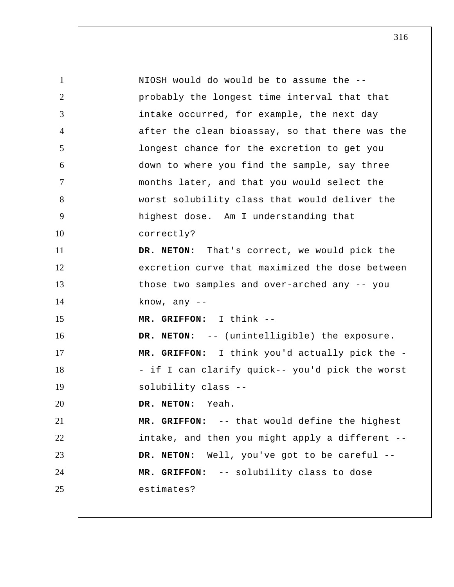1 2 3 4 5 6 7 8 9 10 11 12 13 14 15 16 17 18 19 20 21 22 23 24 25 NIOSH would do would be to assume the - probably the longest time interval that that intake occurred, for example, the next day after the clean bioassay, so that there was the longest chance for the excretion to get you down to where you find the sample, say three months later, and that you would select the worst solubility class that would deliver the highest dose. Am I understanding that correctly? **DR. NETON:** That's correct, we would pick the excretion curve that maximized the dose between those two samples and over-arched any -- you know, any --  **MR. GRIFFON:** I think -- **DR. NETON:** -- (unintelligible) the exposure.  **MR. GRIFFON:** I think you'd actually pick the - - if I can clarify quick-- you'd pick the worst solubility class -- **DR. NETON:** Yeah.  **MR. GRIFFON:** -- that would define the highest intake, and then you might apply a different -- **DR. NETON:** Well, you've got to be careful --  **MR. GRIFFON:** -- solubility class to dose estimates?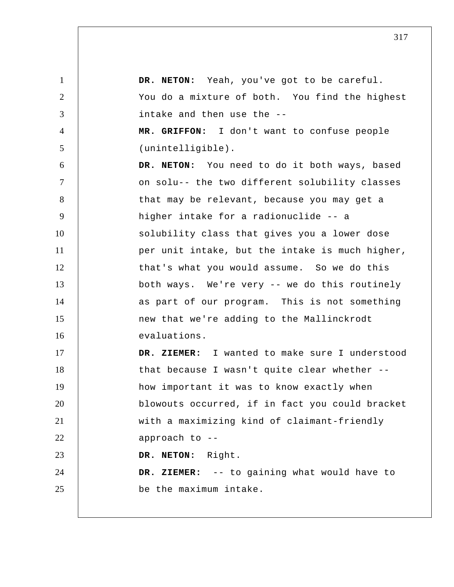1 2 3 4 5 6 7 8 9 10 11 12 13 14 15 16 17 18 19 20 21 22 23 24 25 **DR. NETON:** Yeah, you've got to be careful. You do a mixture of both. You find the highest intake and then use the --  **MR. GRIFFON:** I don't want to confuse people (unintelligible). **DR. NETON:** You need to do it both ways, based on solu-- the two different solubility classes that may be relevant, because you may get a higher intake for a radionuclide -- a solubility class that gives you a lower dose per unit intake, but the intake is much higher, that's what you would assume. So we do this both ways. We're very -- we do this routinely as part of our program. This is not something new that we're adding to the Mallinckrodt evaluations.  **DR. ZIEMER:** I wanted to make sure I understood that because I wasn't quite clear whether - how important it was to know exactly when blowouts occurred, if in fact you could bracket with a maximizing kind of claimant-friendly approach to -- **DR. NETON:** Right.  **DR. ZIEMER:** -- to gaining what would have to be the maximum intake.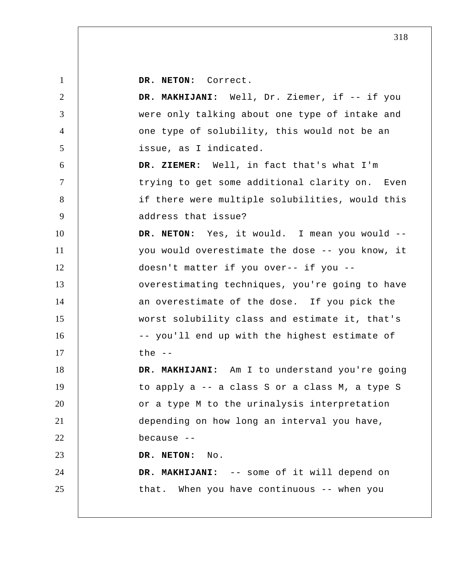**DR. NETON:** Correct.

1

2 3 4 5 6 7 8 9 10 11 12 13 14 15 16 17 18 19 20 21 22 23 24 25  **DR. MAKHIJANI:** Well, Dr. Ziemer, if -- if you were only talking about one type of intake and one type of solubility, this would not be an issue, as I indicated.  **DR. ZIEMER:** Well, in fact that's what I'm trying to get some additional clarity on. Even if there were multiple solubilities, would this address that issue? **DR. NETON:** Yes, it would. I mean you would - you would overestimate the dose -- you know, it doesn't matter if you over-- if you - overestimating techniques, you're going to have an overestimate of the dose. If you pick the worst solubility class and estimate it, that's -- you'll end up with the highest estimate of the  $--$  **DR. MAKHIJANI:** Am I to understand you're going to apply a -- a class S or a class M, a type S or a type M to the urinalysis interpretation depending on how long an interval you have, because -- **DR. NETON:** No.  **DR. MAKHIJANI:** -- some of it will depend on that. When you have continuous -- when you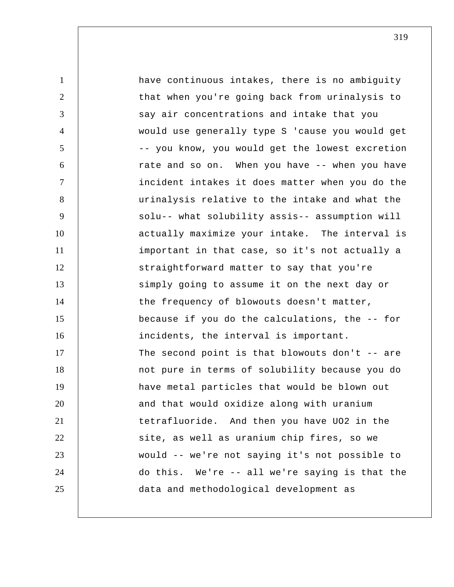1 2 3 4 5 6 7 8 9 10 11 12 13 14 15 16 17 18 19 20 21 22 23 24 25 have continuous intakes, there is no ambiguity that when you're going back from urinalysis to say air concentrations and intake that you would use generally type S 'cause you would get -- you know, you would get the lowest excretion rate and so on. When you have -- when you have incident intakes it does matter when you do the urinalysis relative to the intake and what the solu-- what solubility assis-- assumption will actually maximize your intake. The interval is important in that case, so it's not actually a straightforward matter to say that you're simply going to assume it on the next day or the frequency of blowouts doesn't matter, because if you do the calculations, the -- for incidents, the interval is important. The second point is that blowouts don't -- are not pure in terms of solubility because you do have metal particles that would be blown out and that would oxidize along with uranium tetrafluoride. And then you have UO2 in the site, as well as uranium chip fires, so we would -- we're not saying it's not possible to do this. We're -- all we're saying is that the data and methodological development as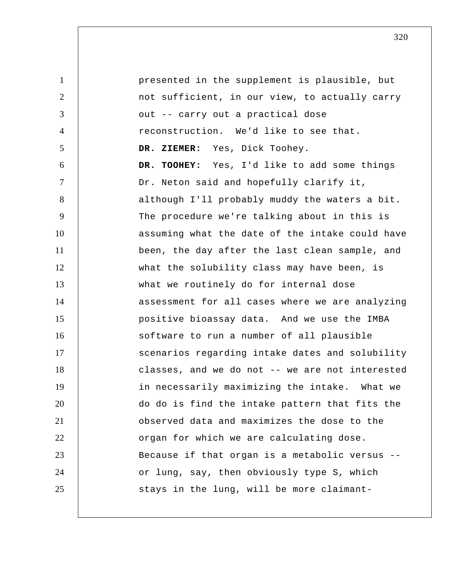1 2 3 4 5 6 7 8 9 10 11 12 13 14 15 16 17 18 19 20 21 22 23 24 25 presented in the supplement is plausible, but not sufficient, in our view, to actually carry out -- carry out a practical dose reconstruction. We'd like to see that.  **DR. ZIEMER:** Yes, Dick Toohey.  **DR. TOOHEY:** Yes, I'd like to add some things Dr. Neton said and hopefully clarify it, although I'll probably muddy the waters a bit. The procedure we're talking about in this is assuming what the date of the intake could have been, the day after the last clean sample, and what the solubility class may have been, is what we routinely do for internal dose assessment for all cases where we are analyzing positive bioassay data. And we use the IMBA software to run a number of all plausible scenarios regarding intake dates and solubility classes, and we do not -- we are not interested in necessarily maximizing the intake. What we do do is find the intake pattern that fits the observed data and maximizes the dose to the organ for which we are calculating dose. Because if that organ is a metabolic versus - or lung, say, then obviously type S, which stays in the lung, will be more claimant-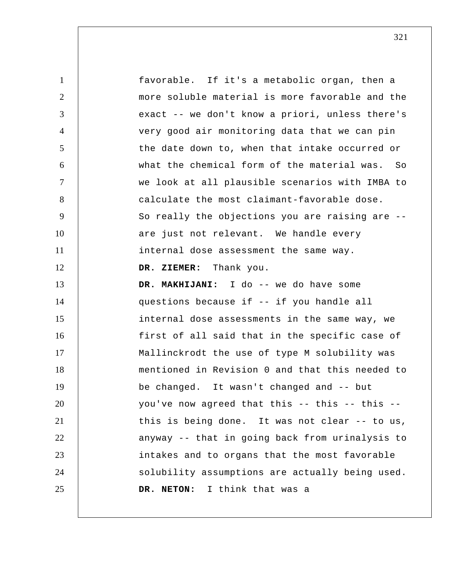1 2 3 4 5 6 7 8 9 10 11 12 13 14 15 16 17 18 19 20 21 22 23 24 25 favorable. If it's a metabolic organ, then a more soluble material is more favorable and the exact -- we don't know a priori, unless there's very good air monitoring data that we can pin the date down to, when that intake occurred or what the chemical form of the material was. So we look at all plausible scenarios with IMBA to calculate the most claimant-favorable dose. So really the objections you are raising are - are just not relevant. We handle every internal dose assessment the same way.  **DR. ZIEMER:** Thank you.  **DR. MAKHIJANI:** I do -- we do have some questions because if -- if you handle all internal dose assessments in the same way, we first of all said that in the specific case of Mallinckrodt the use of type M solubility was mentioned in Revision 0 and that this needed to be changed. It wasn't changed and -- but you've now agreed that this -- this -- this - this is being done. It was not clear -- to us, anyway -- that in going back from urinalysis to intakes and to organs that the most favorable solubility assumptions are actually being used. **DR. NETON:** I think that was a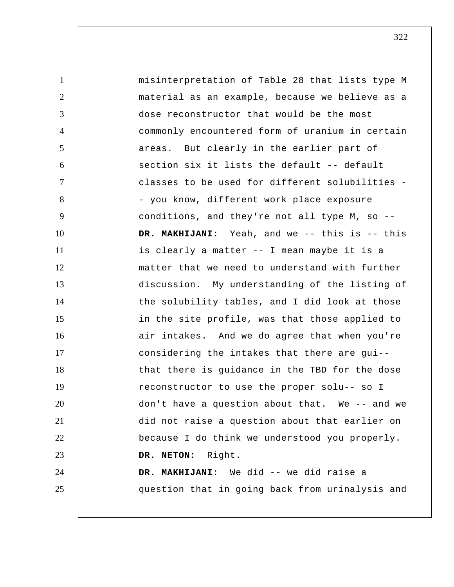| $\mathbf{1}$   | misinterpretation of Table 28 that lists type M |
|----------------|-------------------------------------------------|
| $\overline{2}$ | material as an example, because we believe as a |
| 3              | dose reconstructor that would be the most       |
| $\overline{4}$ | commonly encountered form of uranium in certain |
| 5              | areas. But clearly in the earlier part of       |
| 6              | section six it lists the default -- default     |
| $\tau$         | classes to be used for different solubilities - |
| 8              | - you know, different work place exposure       |
| 9              | conditions, and they're not all type M, so --   |
| 10             | DR. MAKHIJANI: Yeah, and we -- this is -- this  |
| 11             | is clearly a matter -- I mean maybe it is a     |
| 12             | matter that we need to understand with further  |
| 13             | discussion. My understanding of the listing of  |
| 14             | the solubility tables, and I did look at those  |
| 15             | in the site profile, was that those applied to  |
| 16             | air intakes. And we do agree that when you're   |
| 17             | considering the intakes that there are gui--    |
| 18             | that there is guidance in the TBD for the dose  |
| 19             | reconstructor to use the proper solu-- so I     |
| 20             | don't have a question about that. We -- and we  |
| 21             | did not raise a question about that earlier on  |
| 22             | because I do think we understood you properly.  |
| 23             | DR. NETON: Right.                               |
| 24             | DR. MAKHIJANI: We did -- we did raise a         |
| 25             | question that in going back from urinalysis and |
|                |                                                 |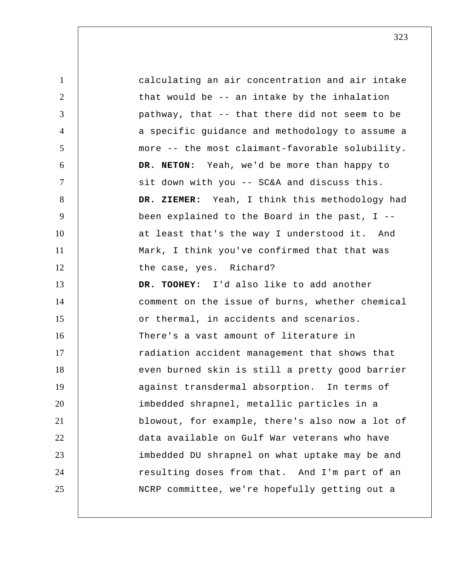| $\mathbf{1}$   | calculating an air concentration and air intake |
|----------------|-------------------------------------------------|
| $\overline{2}$ | that would be -- an intake by the inhalation    |
| 3              | pathway, that -- that there did not seem to be  |
| $\overline{4}$ | a specific guidance and methodology to assume a |
| 5              | more -- the most claimant-favorable solubility. |
| 6              | DR. NETON: Yeah, we'd be more than happy to     |
| $\tau$         | sit down with you -- SC&A and discuss this.     |
| 8              | DR. ZIEMER: Yeah, I think this methodology had  |
| 9              | been explained to the Board in the past, $I$ -- |
| 10             | at least that's the way I understood it. And    |
| 11             | Mark, I think you've confirmed that that was    |
| 12             | the case, yes. Richard?                         |
| 13             | DR. TOOHEY: I'd also like to add another        |
| 14             | comment on the issue of burns, whether chemical |
| 15             | or thermal, in accidents and scenarios.         |
| 16             | There's a vast amount of literature in          |
| 17             | radiation accident management that shows that   |
| 18             | even burned skin is still a pretty good barrier |
| 19             | against transdermal absorption. In terms of     |
| 20             | imbedded shrapnel, metallic particles in a      |
| 21             | blowout, for example, there's also now a lot of |
| 22             | data available on Gulf War veterans who have    |
| 23             | imbedded DU shrapnel on what uptake may be and  |
| 24             | resulting doses from that. And I'm part of an   |
| 25             | NCRP committee, we're hopefully getting out a   |
|                |                                                 |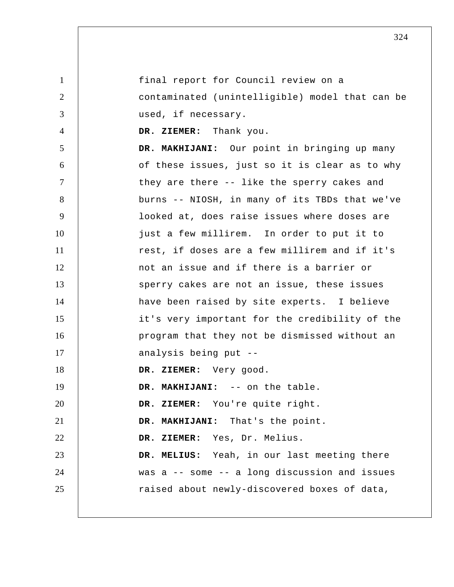1 2 3 4 5 6 7 8 9 10 11 12 13 14 15 16 17 18 19 20 21 22 23 24 25 final report for Council review on a contaminated (unintelligible) model that can be used, if necessary.  **DR. ZIEMER:** Thank you.  **DR. MAKHIJANI:** Our point in bringing up many of these issues, just so it is clear as to why they are there -- like the sperry cakes and burns -- NIOSH, in many of its TBDs that we've looked at, does raise issues where doses are just a few millirem. In order to put it to rest, if doses are a few millirem and if it's not an issue and if there is a barrier or sperry cakes are not an issue, these issues have been raised by site experts. I believe it's very important for the credibility of the program that they not be dismissed without an analysis being put --  **DR. ZIEMER:** Very good.  **DR. MAKHIJANI:** -- on the table.  **DR. ZIEMER:** You're quite right.  **DR. MAKHIJANI:** That's the point.  **DR. ZIEMER:** Yes, Dr. Melius.  **DR. MELIUS:** Yeah, in our last meeting there was a -- some -- a long discussion and issues raised about newly-discovered boxes of data,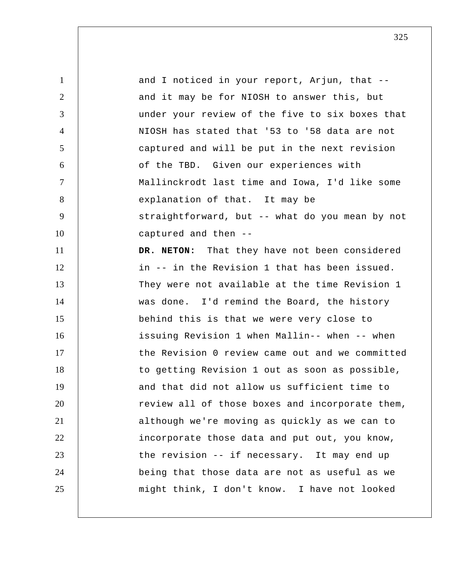1 2 3 4 5 6 7 8 9 10 11 12 13 14 15 16 17 18 19 20 21 22 23 24 25 and I noticed in your report, Arjun, that - and it may be for NIOSH to answer this, but under your review of the five to six boxes that NIOSH has stated that '53 to '58 data are not captured and will be put in the next revision of the TBD. Given our experiences with Mallinckrodt last time and Iowa, I'd like some explanation of that. It may be straightforward, but -- what do you mean by not captured and then -- **DR. NETON:** That they have not been considered in -- in the Revision 1 that has been issued. They were not available at the time Revision 1 was done. I'd remind the Board, the history behind this is that we were very close to issuing Revision 1 when Mallin-- when -- when the Revision 0 review came out and we committed to getting Revision 1 out as soon as possible, and that did not allow us sufficient time to review all of those boxes and incorporate them, although we're moving as quickly as we can to incorporate those data and put out, you know, the revision -- if necessary. It may end up being that those data are not as useful as we might think, I don't know. I have not looked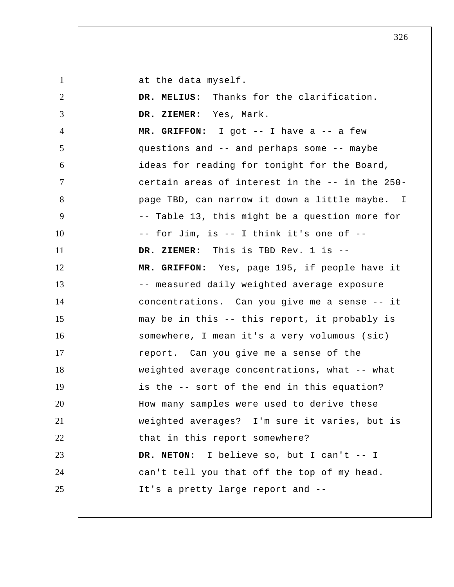1

at the data myself.

| 2              | DR. MELIUS: Thanks for the clarification.       |
|----------------|-------------------------------------------------|
| 3              | DR. ZIEMER: Yes, Mark.                          |
| $\overline{4}$ | MR. GRIFFON: I got $--$ I have a $--$ a few     |
| 5              | questions and -- and perhaps some -- maybe      |
| 6              | ideas for reading for tonight for the Board,    |
| $\tau$         | certain areas of interest in the -- in the 250- |
| 8              | page TBD, can narrow it down a little maybe. I  |
| 9              | -- Table 13, this might be a question more for  |
| 10             | -- for Jim, is -- I think it's one of --        |
| 11             | DR. ZIEMER: This is TBD Rev. 1 is --            |
| 12             | MR. GRIFFON: Yes, page 195, if people have it   |
| 13             | -- measured daily weighted average exposure     |
| 14             | concentrations. Can you give me a sense -- it   |
| 15             | may be in this -- this report, it probably is   |
| 16             | somewhere, I mean it's a very volumous (sic)    |
| 17             | report. Can you give me a sense of the          |
| 18             | weighted average concentrations, what -- what   |
| 19             | is the -- sort of the end in this equation?     |
| 20             | How many samples were used to derive these      |
| 21             | weighted averages? I'm sure it varies, but is   |
| 22             | that in this report somewhere?                  |
| 23             | DR. NETON: I believe so, but I can't -- I       |
| 24             | can't tell you that off the top of my head.     |
| 25             | It's a pretty large report and --               |
|                |                                                 |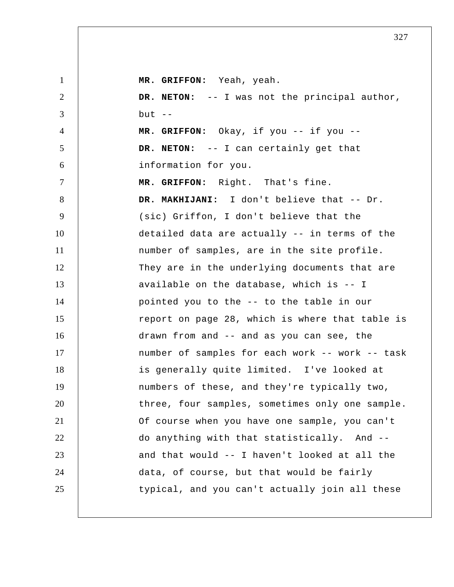| $\mathbf{1}$   | MR. GRIFFON: Yeah, yeah.                        |
|----------------|-------------------------------------------------|
| $\overline{2}$ | DR. NETON: -- I was not the principal author,   |
| 3              | $but --$                                        |
| $\overline{4}$ | MR. GRIFFON: Okay, if you -- if you --          |
| 5              | DR. NETON: -- I can certainly get that          |
| 6              | information for you.                            |
| $\tau$         | MR. GRIFFON: Right. That's fine.                |
| 8              | DR. MAKHIJANI: I don't believe that -- Dr.      |
| 9              | (sic) Griffon, I don't believe that the         |
| 10             | detailed data are actually -- in terms of the   |
| 11             | number of samples, are in the site profile.     |
| 12             | They are in the underlying documents that are   |
| 13             | available on the database, which is -- I        |
| 14             | pointed you to the -- to the table in our       |
| 15             | report on page 28, which is where that table is |
| 16             | drawn from and -- and as you can see, the       |
| 17             | number of samples for each work -- work -- task |
| 18             | is generally quite limited. I've looked at      |
| 19             | numbers of these, and they're typically two,    |
| 20             | three, four samples, sometimes only one sample. |
| 21             | Of course when you have one sample, you can't   |
| 22             | do anything with that statistically. And --     |
| 23             | and that would -- I haven't looked at all the   |
| 24             | data, of course, but that would be fairly       |
| 25             | typical, and you can't actually join all these  |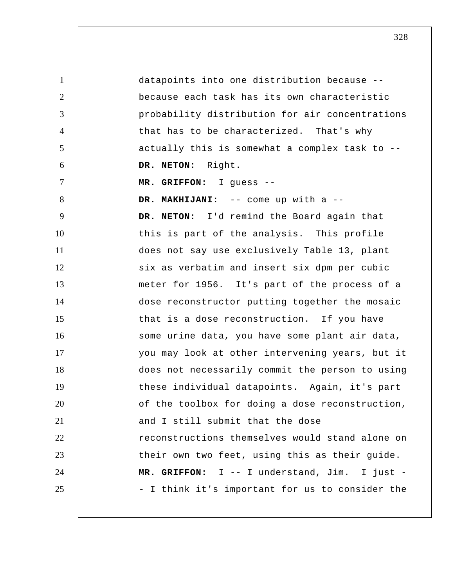1 2 3 4 5 6 7 8 9 10 11 12 13 14 15 16 17 18 19 20 21 22 23 24 25 datapoints into one distribution because - because each task has its own characteristic probability distribution for air concentrations that has to be characterized. That's why actually this is somewhat a complex task to -- **DR. NETON:** Right.  **MR. GRIFFON:** I guess --  **DR. MAKHIJANI:** -- come up with a -- **DR. NETON:** I'd remind the Board again that this is part of the analysis. This profile does not say use exclusively Table 13, plant six as verbatim and insert six dpm per cubic meter for 1956. It's part of the process of a dose reconstructor putting together the mosaic that is a dose reconstruction. If you have some urine data, you have some plant air data, you may look at other intervening years, but it does not necessarily commit the person to using these individual datapoints. Again, it's part of the toolbox for doing a dose reconstruction, and I still submit that the dose reconstructions themselves would stand alone on their own two feet, using this as their guide.  **MR. GRIFFON:** I -- I understand, Jim. I just - - I think it's important for us to consider the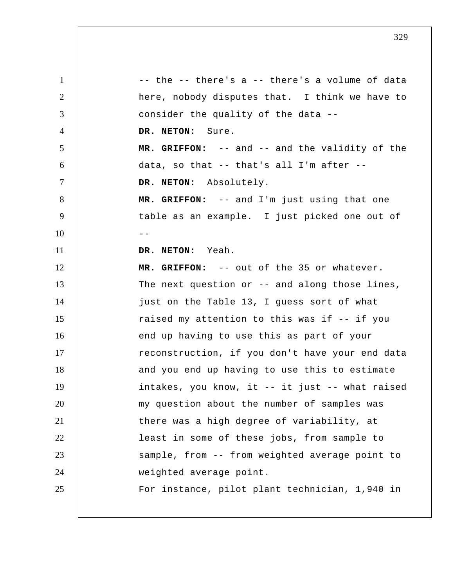1 2 3 4 5 6 7 8 9  $10$  --11 12 13 14 15 16 17 18 19 20 21 22 23 24 25 -- the -- there's a -- there's a volume of data here, nobody disputes that. I think we have to consider the quality of the data -- **DR. NETON:** Sure.  **MR. GRIFFON:** -- and -- and the validity of the data, so that -- that's all I'm after -- **DR. NETON:** Absolutely.  **MR. GRIFFON:** -- and I'm just using that one table as an example. I just picked one out of **DR. NETON:** Yeah.  **MR. GRIFFON:** -- out of the 35 or whatever. The next question or -- and along those lines, just on the Table 13, I guess sort of what raised my attention to this was if -- if you end up having to use this as part of your reconstruction, if you don't have your end data and you end up having to use this to estimate intakes, you know, it -- it just -- what raised my question about the number of samples was there was a high degree of variability, at least in some of these jobs, from sample to sample, from -- from weighted average point to weighted average point. For instance, pilot plant technician, 1,940 in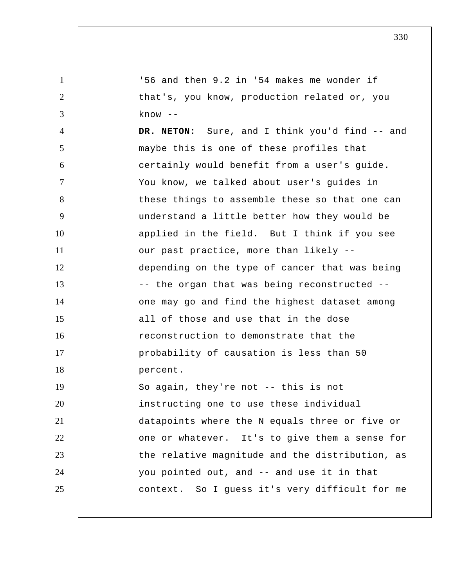1 2 3 4 5 6 7 8 9 10 11 12 13 14 15 16 17 18 19 20 21 22 23 24 25 '56 and then 9.2 in '54 makes me wonder if that's, you know, production related or, you know -- **DR. NETON:** Sure, and I think you'd find -- and maybe this is one of these profiles that certainly would benefit from a user's guide. You know, we talked about user's guides in these things to assemble these so that one can understand a little better how they would be applied in the field. But I think if you see our past practice, more than likely - depending on the type of cancer that was being -- the organ that was being reconstructed - one may go and find the highest dataset among all of those and use that in the dose reconstruction to demonstrate that the probability of causation is less than 50 percent. So again, they're not -- this is not instructing one to use these individual datapoints where the N equals three or five or one or whatever. It's to give them a sense for the relative magnitude and the distribution, as you pointed out, and -- and use it in that context. So I guess it's very difficult for me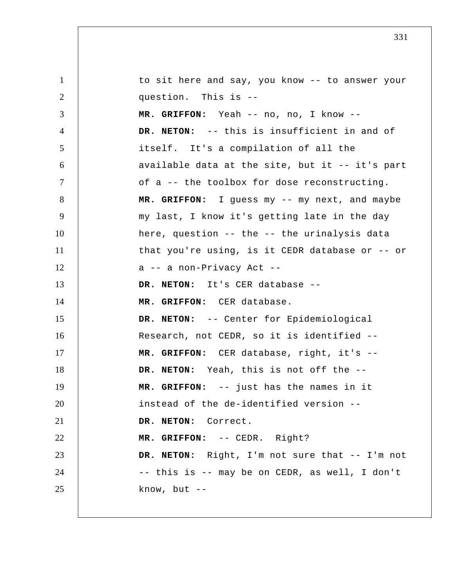1 2 3 4 5 6 7 8 9 10 11 12 13 14 15 16 17 18 19 20 21 22 23 24 25 to sit here and say, you know -- to answer your question. This is --  **MR. GRIFFON:** Yeah -- no, no, I know -- **DR. NETON:** -- this is insufficient in and of itself. It's a compilation of all the available data at the site, but it -- it's part of a -- the toolbox for dose reconstructing.  **MR. GRIFFON:** I guess my -- my next, and maybe my last, I know it's getting late in the day here, question -- the -- the urinalysis data that you're using, is it CEDR database or -- or a -- a non-Privacy Act -- **DR. NETON:** It's CER database --  **MR. GRIFFON:** CER database. **DR. NETON:** -- Center for Epidemiological Research, not CEDR, so it is identified --  **MR. GRIFFON:** CER database, right, it's -- **DR. NETON:** Yeah, this is not off the --  **MR. GRIFFON:** -- just has the names in it instead of the de-identified version -- **DR. NETON:** Correct.  **MR. GRIFFON:** -- CEDR. Right? **DR. NETON:** Right, I'm not sure that -- I'm not -- this is -- may be on CEDR, as well, I don't know, but  $--$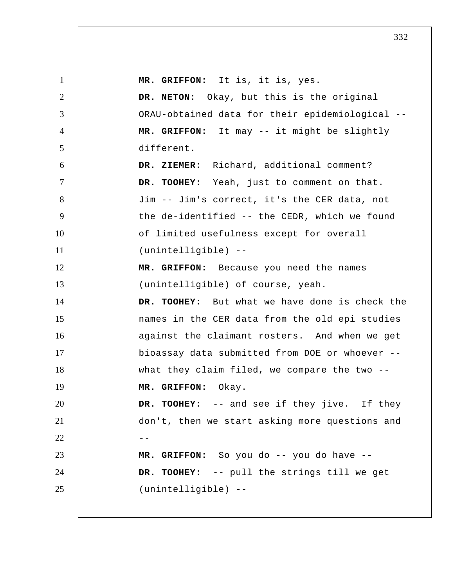1 2 3 4 5 6 7 8 9 10 11 12 13 14 15 16 17 18 19 20 21  $22$  --23 24 25  **MR. GRIFFON:** It is, it is, yes. **DR. NETON:** Okay, but this is the original ORAU-obtained data for their epidemiological --  **MR. GRIFFON:** It may -- it might be slightly different.  **DR. ZIEMER:** Richard, additional comment?  **DR. TOOHEY:** Yeah, just to comment on that. Jim -- Jim's correct, it's the CER data, not the de-identified -- the CEDR, which we found of limited usefulness except for overall (unintelligible) --  **MR. GRIFFON:** Because you need the names (unintelligible) of course, yeah.  **DR. TOOHEY:** But what we have done is check the names in the CER data from the old epi studies against the claimant rosters. And when we get bioassay data submitted from DOE or whoever - what they claim filed, we compare the two -- **MR. GRIFFON:** Okay.  **DR. TOOHEY:** -- and see if they jive. If they don't, then we start asking more questions and  **MR. GRIFFON:** So you do -- you do have --  **DR. TOOHEY:** -- pull the strings till we get (unintelligible) --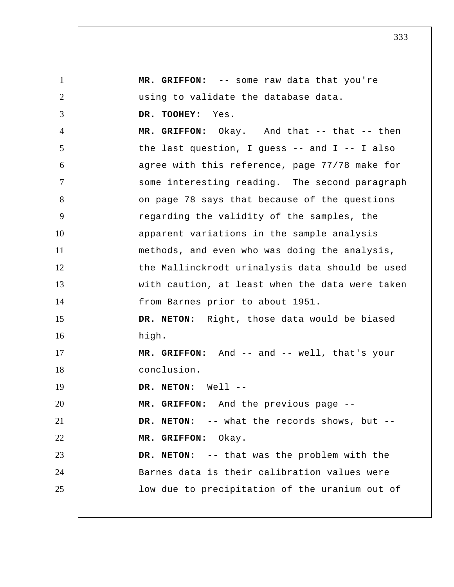1 2 3 4 5 6 7 8 9 10 11 12 13 14 15 16 17 18 19 20 21 22 23 24 25  **MR. GRIFFON:** -- some raw data that you're using to validate the database data.  **DR. TOOHEY:** Yes.  **MR. GRIFFON:** Okay. And that -- that -- then the last question, I guess -- and I -- I also agree with this reference, page 77/78 make for some interesting reading. The second paragraph on page 78 says that because of the questions regarding the validity of the samples, the apparent variations in the sample analysis methods, and even who was doing the analysis, the Mallinckrodt urinalysis data should be used with caution, at least when the data were taken from Barnes prior to about 1951. **DR. NETON:** Right, those data would be biased high.  **MR. GRIFFON:** And -- and -- well, that's your conclusion. **DR. NETON:** Well --  **MR. GRIFFON:** And the previous page -- **DR. NETON:** -- what the records shows, but --  **MR. GRIFFON:** Okay. **DR. NETON:** -- that was the problem with the Barnes data is their calibration values were low due to precipitation of the uranium out of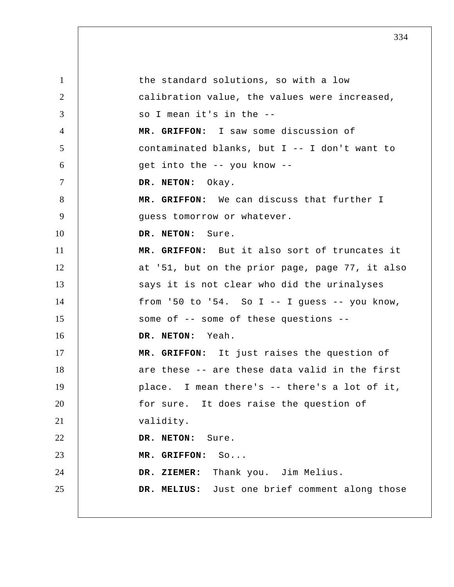1 2 3 4 5 6 7 8 9 10 11 12 13 14 15 16 17 18 19 20 21 22 23 24 25 the standard solutions, so with a low calibration value, the values were increased, so I mean it's in the --  **MR. GRIFFON:** I saw some discussion of contaminated blanks, but I -- I don't want to get into the -- you know -- **DR. NETON:** Okay.  **MR. GRIFFON:** We can discuss that further I guess tomorrow or whatever. **DR. NETON:** Sure.  **MR. GRIFFON:** But it also sort of truncates it at '51, but on the prior page, page 77, it also says it is not clear who did the urinalyses from '50 to '54. So I  $-$  I guess  $-$  you know, some of -- some of these questions -- **DR. NETON:** Yeah.  **MR. GRIFFON:** It just raises the question of are these -- are these data valid in the first place. I mean there's -- there's a lot of it, for sure. It does raise the question of validity. DR. NETON: Sure.  **MR. GRIFFON:** So...  **DR. ZIEMER:** Thank you. Jim Melius.  **DR. MELIUS:** Just one brief comment along those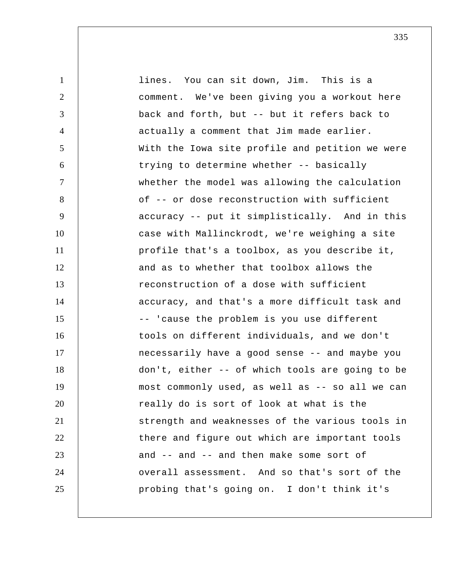| $\mathbf{1}$   | lines. You can sit down, Jim. This is a         |
|----------------|-------------------------------------------------|
| $\overline{2}$ | comment. We've been giving you a workout here   |
| 3              | back and forth, but -- but it refers back to    |
| 4              | actually a comment that Jim made earlier.       |
| 5              | With the Iowa site profile and petition we were |
| 6              | trying to determine whether -- basically        |
| $\tau$         | whether the model was allowing the calculation  |
| 8              | of -- or dose reconstruction with sufficient    |
| 9              | accuracy -- put it simplistically. And in this  |
| 10             | case with Mallinckrodt, we're weighing a site   |
| 11             | profile that's a toolbox, as you describe it,   |
| 12             | and as to whether that toolbox allows the       |
| 13             | reconstruction of a dose with sufficient        |
| 14             | accuracy, and that's a more difficult task and  |
| 15             | -- 'cause the problem is you use different      |
| 16             | tools on different individuals, and we don't    |
| 17             | necessarily have a good sense -- and maybe you  |
| 18             | don't, either -- of which tools are going to be |
| 19             | most commonly used, as well as -- so all we can |
| 20             | really do is sort of look at what is the        |
| 21             | strength and weaknesses of the various tools in |
| 22             | there and figure out which are important tools  |
| 23             | and -- and -- and then make some sort of        |
| 24             | overall assessment. And so that's sort of the   |
| 25             | probing that's going on. I don't think it's     |
|                |                                                 |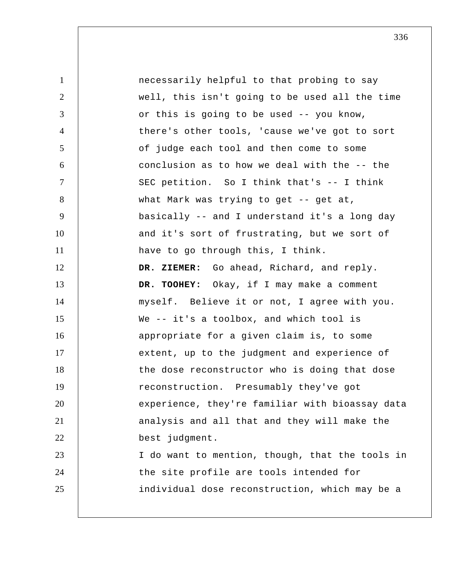| $\mathbf{1}$   | necessarily helpful to that probing to say      |
|----------------|-------------------------------------------------|
| 2              | well, this isn't going to be used all the time  |
| 3              | or this is going to be used -- you know,        |
| $\overline{4}$ | there's other tools, 'cause we've got to sort   |
| 5              | of judge each tool and then come to some        |
| 6              | conclusion as to how we deal with the -- the    |
| $\tau$         | SEC petition. So I think that's -- I think      |
| 8              | what Mark was trying to get -- get at,          |
| 9              | basically -- and I understand it's a long day   |
| 10             | and it's sort of frustrating, but we sort of    |
| 11             | have to go through this, I think.               |
| 12             | DR. ZIEMER: Go ahead, Richard, and reply.       |
| 13             | DR. TOOHEY: Okay, if I may make a comment       |
| 14             | myself. Believe it or not, I agree with you.    |
| 15             | We $-$ it's a toolbox, and which tool is        |
| 16             | appropriate for a given claim is, to some       |
| 17             | extent, up to the judgment and experience of    |
| 18             | the dose reconstructor who is doing that dose   |
| 19             | reconstruction. Presumably they've got          |
| 20             | experience, they're familiar with bioassay data |
| 21             | analysis and all that and they will make the    |
| 22             | best judgment.                                  |
| 23             | I do want to mention, though, that the tools in |
| 24             | the site profile are tools intended for         |
| 25             | individual dose reconstruction, which may be a  |
|                |                                                 |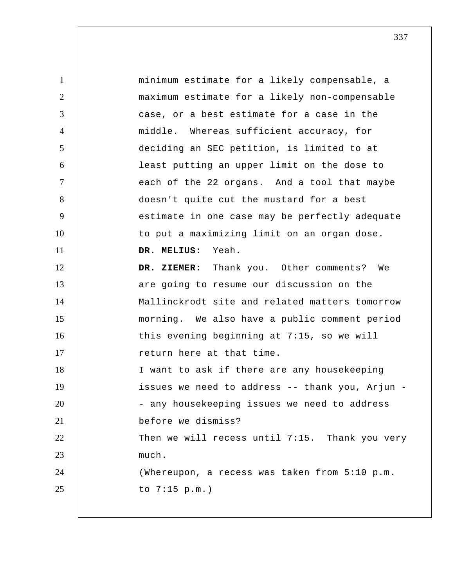1 2 3 4 5 6 7 8 9 10 11 12 13 14 15 16 17 18 19 20 21 22 23 24 25 minimum estimate for a likely compensable, a maximum estimate for a likely non-compensable case, or a best estimate for a case in the middle. Whereas sufficient accuracy, for deciding an SEC petition, is limited to at least putting an upper limit on the dose to each of the 22 organs. And a tool that maybe doesn't quite cut the mustard for a best estimate in one case may be perfectly adequate to put a maximizing limit on an organ dose.  **DR. MELIUS:** Yeah.  **DR. ZIEMER:** Thank you. Other comments? We are going to resume our discussion on the Mallinckrodt site and related matters tomorrow morning. We also have a public comment period this evening beginning at 7:15, so we will return here at that time. I want to ask if there are any housekeeping issues we need to address -- thank you, Arjun - - any housekeeping issues we need to address before we dismiss? Then we will recess until 7:15. Thank you very much. (Whereupon, a recess was taken from 5:10 p.m. to 7:15 p.m.)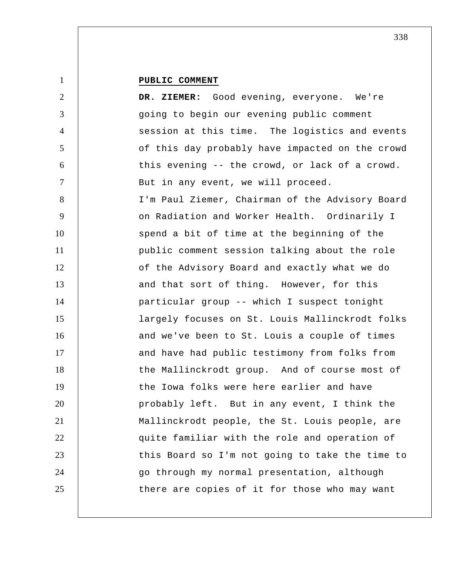## **PUBLIC COMMENT**

| $\overline{2}$  | DR. ZIEMER: Good evening, everyone. We're       |
|-----------------|-------------------------------------------------|
| 3               | going to begin our evening public comment       |
| $\overline{4}$  | session at this time. The logistics and events  |
| 5               | of this day probably have impacted on the crowd |
| 6               | this evening -- the crowd, or lack of a crowd.  |
| $7\phantom{.0}$ | But in any event, we will proceed.              |
| 8               | I'm Paul Ziemer, Chairman of the Advisory Board |
| 9               | on Radiation and Worker Health. Ordinarily I    |
| 10              | spend a bit of time at the beginning of the     |
| 11              | public comment session talking about the role   |
| 12              | of the Advisory Board and exactly what we do    |
| 13              | and that sort of thing. However, for this       |
| 14              | particular group -- which I suspect tonight     |
| 15              | largely focuses on St. Louis Mallinckrodt folks |
| 16              | and we've been to St. Louis a couple of times   |
| 17              | and have had public testimony from folks from   |
| 18              | the Mallinckrodt group. And of course most of   |
| 19              | the Iowa folks were here earlier and have       |
| 20              | probably left. But in any event, I think the    |
| 21              | Mallinckrodt people, the St. Louis people, are  |
| 22              | quite familiar with the role and operation of   |
| 23              | this Board so I'm not going to take the time to |
| 24              | go through my normal presentation, although     |
| 25              | there are copies of it for those who may want   |
|                 |                                                 |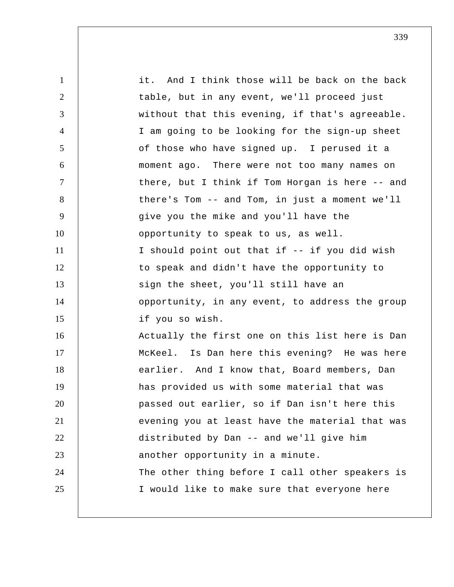1 2 3 4 5 6 7 8 9 10 11 12 13 14 15 16 17 18 19 20 21 22 23 24 25 it. And I think those will be back on the back table, but in any event, we'll proceed just without that this evening, if that's agreeable. I am going to be looking for the sign-up sheet of those who have signed up. I perused it a moment ago. There were not too many names on there, but I think if Tom Horgan is here -- and there's Tom -- and Tom, in just a moment we'll give you the mike and you'll have the opportunity to speak to us, as well. I should point out that if -- if you did wish to speak and didn't have the opportunity to sign the sheet, you'll still have an opportunity, in any event, to address the group if you so wish. Actually the first one on this list here is Dan McKeel. Is Dan here this evening? He was here earlier. And I know that, Board members, Dan has provided us with some material that was passed out earlier, so if Dan isn't here this evening you at least have the material that was distributed by Dan -- and we'll give him another opportunity in a minute. The other thing before I call other speakers is I would like to make sure that everyone here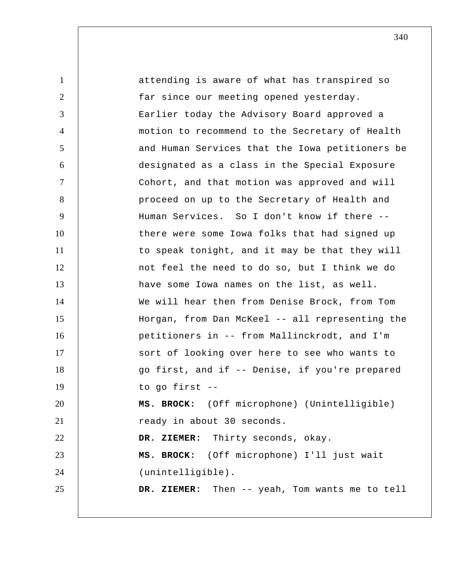1 2 3 4 5 6 7 8 9 10 11 12 13 14 15 16 17 18 19 20 21 22 23 24 25 attending is aware of what has transpired so far since our meeting opened yesterday. Earlier today the Advisory Board approved a motion to recommend to the Secretary of Health and Human Services that the Iowa petitioners be designated as a class in the Special Exposure Cohort, and that motion was approved and will proceed on up to the Secretary of Health and Human Services. So I don't know if there - there were some Iowa folks that had signed up to speak tonight, and it may be that they will not feel the need to do so, but I think we do have some Iowa names on the list, as well. We will hear then from Denise Brock, from Tom Horgan, from Dan McKeel -- all representing the petitioners in -- from Mallinckrodt, and I'm sort of looking over here to see who wants to go first, and if -- Denise, if you're prepared to go first -- **MS. BROCK:** (Off microphone) (Unintelligible) ready in about 30 seconds.  **DR. ZIEMER:** Thirty seconds, okay. **MS. BROCK:** (Off microphone) I'll just wait (unintelligible).  **DR. ZIEMER:** Then -- yeah, Tom wants me to tell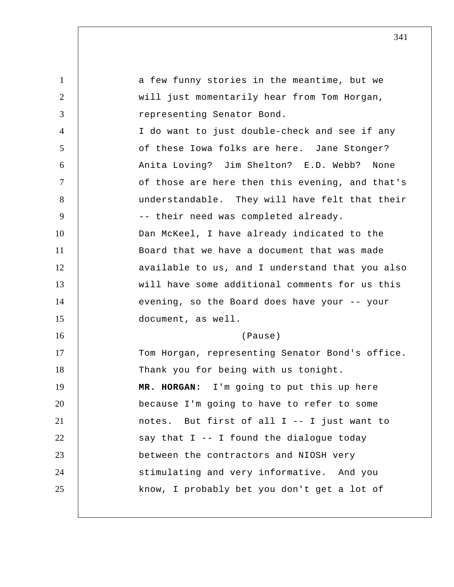1 2 3 4 5 6 7 8 9 10 11 12 13 14 15 16 17 18 19 20 21 22 23 24 25 a few funny stories in the meantime, but we will just momentarily hear from Tom Horgan, representing Senator Bond. I do want to just double-check and see if any of these Iowa folks are here. Jane Stonger? Anita Loving? Jim Shelton? E.D. Webb? None of those are here then this evening, and that's understandable. They will have felt that their -- their need was completed already. Dan McKeel, I have already indicated to the Board that we have a document that was made available to us, and I understand that you also will have some additional comments for us this evening, so the Board does have your -- your document, as well. (Pause) Tom Horgan, representing Senator Bond's office. Thank you for being with us tonight.  **MR. HORGAN:** I'm going to put this up here because I'm going to have to refer to some notes. But first of all I -- I just want to say that  $I$  -- I found the dialogue today between the contractors and NIOSH very stimulating and very informative. And you know, I probably bet you don't get a lot of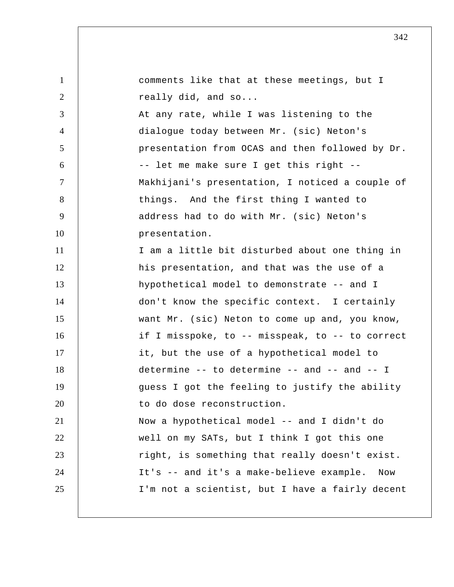| $\mathbf{1}$   | comments like that at these meetings, but I     |
|----------------|-------------------------------------------------|
| 2              | really did, and so                              |
| 3              | At any rate, while I was listening to the       |
| $\overline{4}$ | dialogue today between Mr. (sic) Neton's        |
| 5              | presentation from OCAS and then followed by Dr. |
| 6              | -- let me make sure I get this right --         |
| $\tau$         | Makhijani's presentation, I noticed a couple of |
| 8              | things. And the first thing I wanted to         |
| 9              | address had to do with Mr. (sic) Neton's        |
| 10             | presentation.                                   |
| 11             | I am a little bit disturbed about one thing in  |
| 12             | his presentation, and that was the use of a     |
| 13             | hypothetical model to demonstrate -- and I      |
| 14             | don't know the specific context. I certainly    |
| 15             | want Mr. (sic) Neton to come up and, you know,  |
| 16             | if I misspoke, to -- misspeak, to -- to correct |
| 17             | it, but the use of a hypothetical model to      |
| 18             | determine -- to determine -- and -- and -- I    |
| 19             | guess I got the feeling to justify the ability  |
| 20             | to do dose reconstruction.                      |
| 21             | Now a hypothetical model -- and I didn't do     |
| 22             | well on my SATs, but I think I got this one     |
| 23             | right, is something that really doesn't exist.  |
| 24             | It's -- and it's a make-believe example.<br>Now |
| 25             | I'm not a scientist, but I have a fairly decent |
|                |                                                 |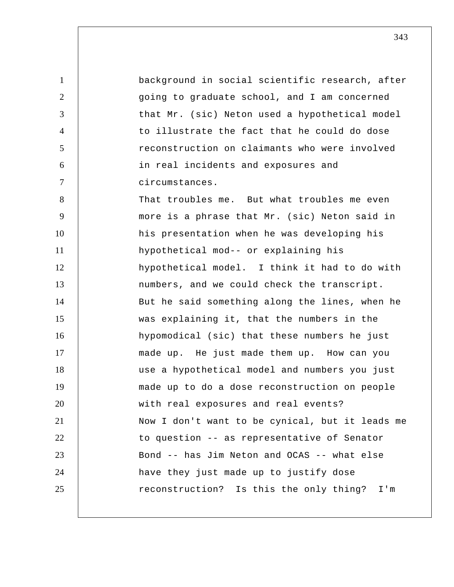1 2 3 4 5 6 7 8 9 10 11 12 13 14 15 16 17 18 19 20 21 22 23 24 25 background in social scientific research, after going to graduate school, and I am concerned that Mr. (sic) Neton used a hypothetical model to illustrate the fact that he could do dose reconstruction on claimants who were involved in real incidents and exposures and circumstances. That troubles me. But what troubles me even more is a phrase that Mr. (sic) Neton said in his presentation when he was developing his hypothetical mod-- or explaining his hypothetical model. I think it had to do with numbers, and we could check the transcript. But he said something along the lines, when he was explaining it, that the numbers in the hypomodical (sic) that these numbers he just made up. He just made them up. How can you use a hypothetical model and numbers you just made up to do a dose reconstruction on people with real exposures and real events? Now I don't want to be cynical, but it leads me to question -- as representative of Senator Bond -- has Jim Neton and OCAS -- what else have they just made up to justify dose reconstruction? Is this the only thing? I'm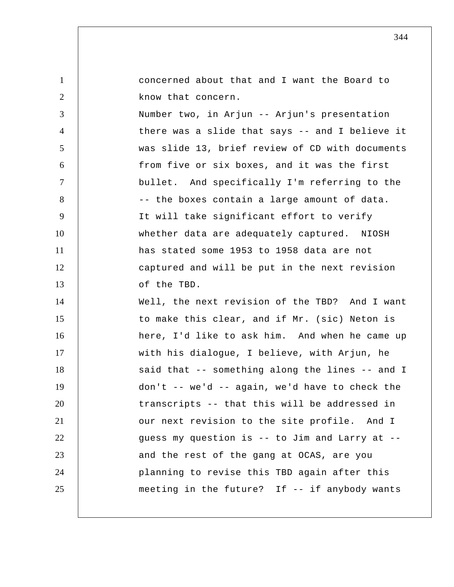| $\mathbf{1}$   | concerned about that and I want the Board to     |
|----------------|--------------------------------------------------|
| $\overline{2}$ | know that concern.                               |
| 3              | Number two, in Arjun -- Arjun's presentation     |
| $\overline{4}$ | there was a slide that says -- and I believe it  |
| 5              | was slide 13, brief review of CD with documents  |
| 6              | from five or six boxes, and it was the first     |
| $\overline{7}$ | bullet. And specifically I'm referring to the    |
| 8              | -- the boxes contain a large amount of data.     |
| 9              | It will take significant effort to verify        |
| 10             | whether data are adequately captured. NIOSH      |
| 11             | has stated some 1953 to 1958 data are not        |
| 12             | captured and will be put in the next revision    |
| 13             | of the TBD.                                      |
| 14             | Well, the next revision of the TBD? And I want   |
| 15             | to make this clear, and if Mr. (sic) Neton is    |
| 16             | here, I'd like to ask him. And when he came up   |
| 17             | with his dialogue, I believe, with Arjun, he     |
| 18             | said that -- something along the lines -- and I  |
| 19             | $don't$ -- we'd -- again, we'd have to check the |
| 20             | transcripts -- that this will be addressed in    |
| 21             | our next revision to the site profile. And I     |
| 22             | guess my question is -- to Jim and Larry at --   |
| 23             | and the rest of the gang at OCAS, are you        |
| 24             | planning to revise this TBD again after this     |
| 25             | meeting in the future? If -- if anybody wants    |
|                |                                                  |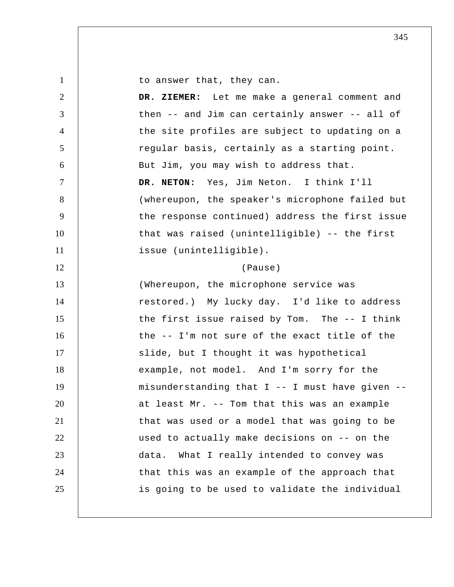1

to answer that, they can.

2 3 4 5 6 7 8 9 10 11 12 13 14 15 16 17 18 19 20 21 22 23 24 25  **DR. ZIEMER:** Let me make a general comment and then -- and Jim can certainly answer -- all of the site profiles are subject to updating on a regular basis, certainly as a starting point. But Jim, you may wish to address that. **DR. NETON:** Yes, Jim Neton. I think I'll (whereupon, the speaker's microphone failed but the response continued) address the first issue that was raised (unintelligible) -- the first issue (unintelligible). (Pause) (Whereupon, the microphone service was restored.) My lucky day. I'd like to address the first issue raised by Tom. The -- I think the -- I'm not sure of the exact title of the slide, but I thought it was hypothetical example, not model. And I'm sorry for the misunderstanding that I -- I must have given - at least Mr. -- Tom that this was an example that was used or a model that was going to be used to actually make decisions on -- on the data. What I really intended to convey was that this was an example of the approach that is going to be used to validate the individual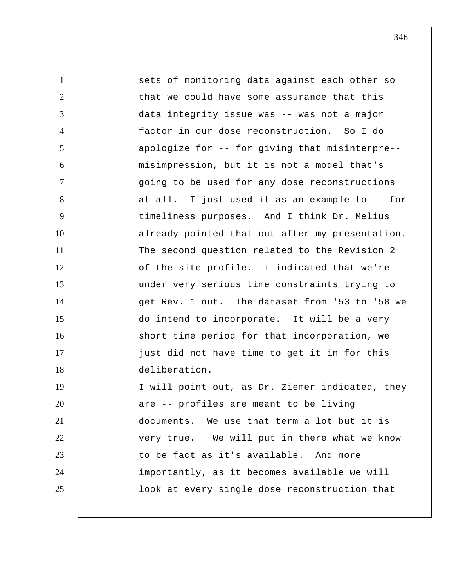| $\mathbf{1}$   | sets of monitoring data against each other so   |
|----------------|-------------------------------------------------|
| 2              | that we could have some assurance that this     |
| 3              | data integrity issue was -- was not a major     |
| $\overline{4}$ | factor in our dose reconstruction. So I do      |
| 5              | apologize for -- for giving that misinterpre--  |
| 6              | misimpression, but it is not a model that's     |
| $\tau$         | going to be used for any dose reconstructions   |
| 8              | at all. I just used it as an example to -- for  |
| 9              | timeliness purposes. And I think Dr. Melius     |
| 10             | already pointed that out after my presentation. |
| 11             | The second question related to the Revision 2   |
| 12             | of the site profile. I indicated that we're     |
| 13             | under very serious time constraints trying to   |
| 14             | get Rev. 1 out. The dataset from '53 to '58 we  |
| 15             | do intend to incorporate. It will be a very     |
| 16             | short time period for that incorporation, we    |
| 17             | just did not have time to get it in for this    |
| 18             | deliberation.                                   |
| 19             | I will point out, as Dr. Ziemer indicated, they |
| 20             | are -- profiles are meant to be living          |
| 21             | documents. We use that term a lot but it is     |
| 22             | very true. We will put in there what we know    |
| 23             | to be fact as it's available. And more          |
| 24             | importantly, as it becomes available we will    |
| 25             | look at every single dose reconstruction that   |
|                |                                                 |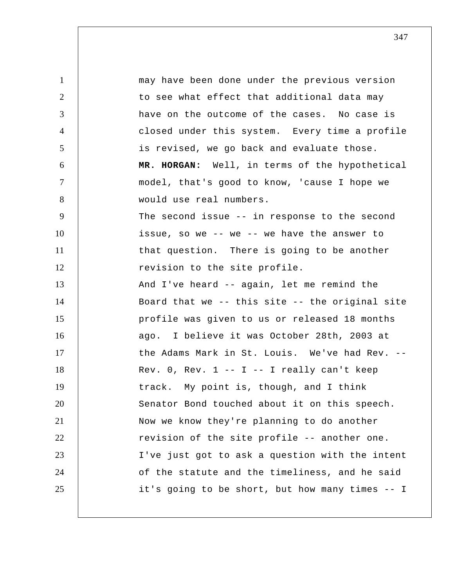1 2 3 4 5 6 7 8 9 10 11 12 13 14 15 16 17 18 19 20 21 22 23 24 25 may have been done under the previous version to see what effect that additional data may have on the outcome of the cases. No case is closed under this system. Every time a profile is revised, we go back and evaluate those.  **MR. HORGAN:** Well, in terms of the hypothetical model, that's good to know, 'cause I hope we would use real numbers. The second issue -- in response to the second issue, so we -- we -- we have the answer to that question. There is going to be another revision to the site profile. And I've heard -- again, let me remind the Board that we -- this site -- the original site profile was given to us or released 18 months ago. I believe it was October 28th, 2003 at the Adams Mark in St. Louis. We've had Rev. -- Rev.  $0$ , Rev.  $1 - I - I$  really can't keep track. My point is, though, and I think Senator Bond touched about it on this speech. Now we know they're planning to do another revision of the site profile -- another one. I've just got to ask a question with the intent of the statute and the timeliness, and he said it's going to be short, but how many times -- I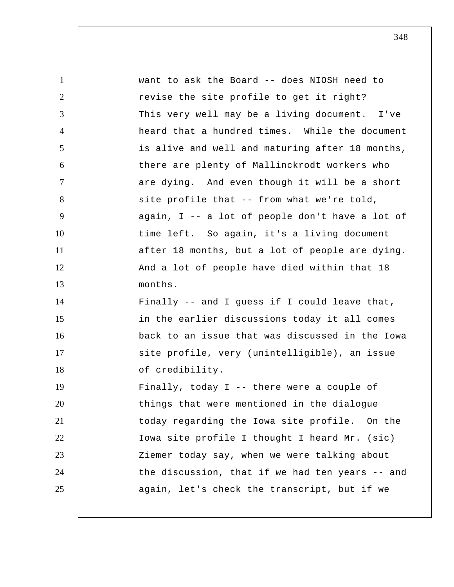| $\mathbf{1}$   | want to ask the Board -- does NIOSH need to     |
|----------------|-------------------------------------------------|
| $\overline{2}$ | revise the site profile to get it right?        |
| 3              | This very well may be a living document. I've   |
| $\overline{4}$ | heard that a hundred times. While the document  |
| 5              | is alive and well and maturing after 18 months, |
| 6              | there are plenty of Mallinckrodt workers who    |
| 7              | are dying. And even though it will be a short   |
| 8              | site profile that -- from what we're told,      |
| 9              | again, I -- a lot of people don't have a lot of |
| 10             | time left. So again, it's a living document     |
| 11             | after 18 months, but a lot of people are dying. |
| 12             | And a lot of people have died within that 18    |
| 13             | months.                                         |
| 14             | Finally -- and I guess if I could leave that,   |
| 15             | in the earlier discussions today it all comes   |
| 16             | back to an issue that was discussed in the Iowa |
| 17             | site profile, very (unintelligible), an issue   |
| 18             | of credibility.                                 |
| 19             | Finally, today I -- there were a couple of      |
| 20             | things that were mentioned in the dialogue      |
| 21             | today regarding the Iowa site profile. On the   |
| 22             | Iowa site profile I thought I heard Mr. (sic)   |
| 23             | Ziemer today say, when we were talking about    |
| 24             | the discussion, that if we had ten years -- and |
| 25             | again, let's check the transcript, but if we    |
|                |                                                 |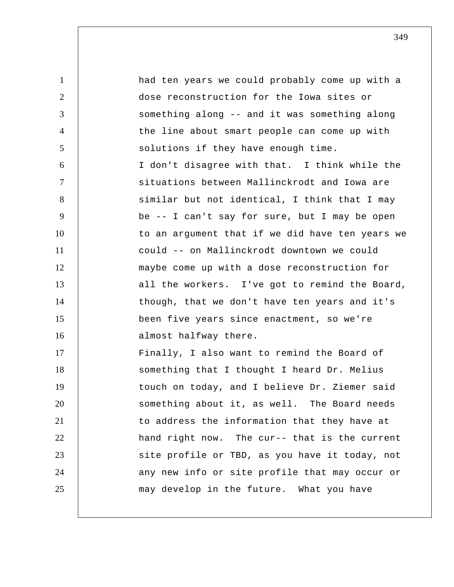1 2 3 4 5 6 7 8 9 10 11 12 13 14 15 16 17 18 19 20 21 22 23 24 25 had ten years we could probably come up with a dose reconstruction for the Iowa sites or something along -- and it was something along the line about smart people can come up with solutions if they have enough time. I don't disagree with that. I think while the situations between Mallinckrodt and Iowa are similar but not identical, I think that I may be -- I can't say for sure, but I may be open to an argument that if we did have ten years we could -- on Mallinckrodt downtown we could maybe come up with a dose reconstruction for all the workers. I've got to remind the Board, though, that we don't have ten years and it's been five years since enactment, so we're almost halfway there. Finally, I also want to remind the Board of something that I thought I heard Dr. Melius touch on today, and I believe Dr. Ziemer said something about it, as well. The Board needs to address the information that they have at hand right now. The cur-- that is the current site profile or TBD, as you have it today, not any new info or site profile that may occur or may develop in the future. What you have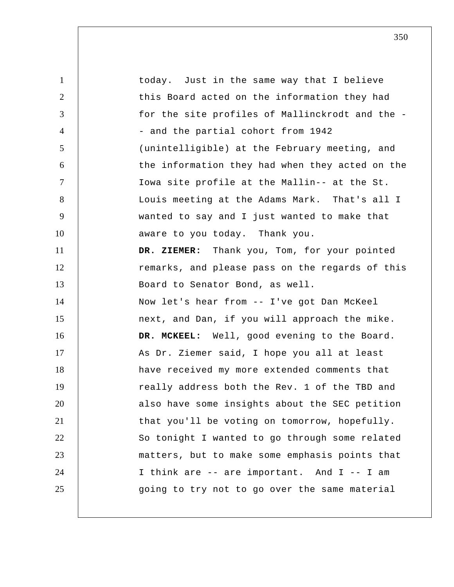1 2 3 4 5 6 7 8 9 10 11 12 13 14 15 16 17 18 19 20 21 22 23 24 25 today. Just in the same way that I believe this Board acted on the information they had for the site profiles of Mallinckrodt and the - - and the partial cohort from 1942 (unintelligible) at the February meeting, and the information they had when they acted on the Iowa site profile at the Mallin-- at the St. Louis meeting at the Adams Mark. That's all I wanted to say and I just wanted to make that aware to you today. Thank you.  **DR. ZIEMER:** Thank you, Tom, for your pointed remarks, and please pass on the regards of this Board to Senator Bond, as well. Now let's hear from -- I've got Dan McKeel next, and Dan, if you will approach the mike.  **DR. MCKEEL:** Well, good evening to the Board. As Dr. Ziemer said, I hope you all at least have received my more extended comments that really address both the Rev. 1 of the TBD and also have some insights about the SEC petition that you'll be voting on tomorrow, hopefully. So tonight I wanted to go through some related matters, but to make some emphasis points that I think are -- are important. And I -- I am going to try not to go over the same material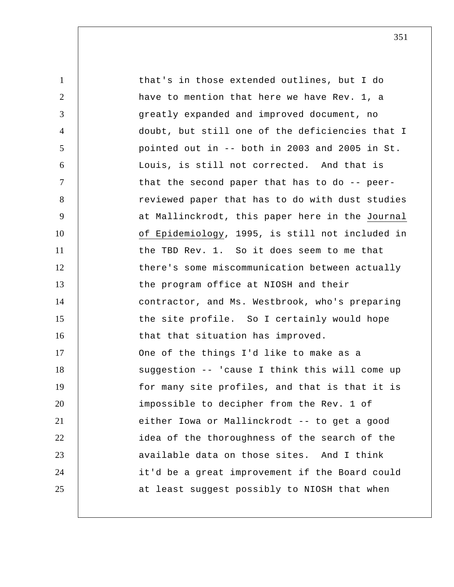1 2 3 4 5 6 7 8 9 10 11 12 13 14 15 16 17 18 19 20 21 22 23 24 25 that's in those extended outlines, but I do have to mention that here we have Rev. 1, a greatly expanded and improved document, no doubt, but still one of the deficiencies that I pointed out in -- both in 2003 and 2005 in St. Louis, is still not corrected. And that is that the second paper that has to do -- peerreviewed paper that has to do with dust studies at Mallinckrodt, this paper here in the Journal of Epidemiology, 1995, is still not included in the TBD Rev. 1. So it does seem to me that there's some miscommunication between actually the program office at NIOSH and their contractor, and Ms. Westbrook, who's preparing the site profile. So I certainly would hope that that situation has improved. One of the things I'd like to make as a suggestion -- 'cause I think this will come up for many site profiles, and that is that it is impossible to decipher from the Rev. 1 of either Iowa or Mallinckrodt -- to get a good idea of the thoroughness of the search of the available data on those sites. And I think it'd be a great improvement if the Board could at least suggest possibly to NIOSH that when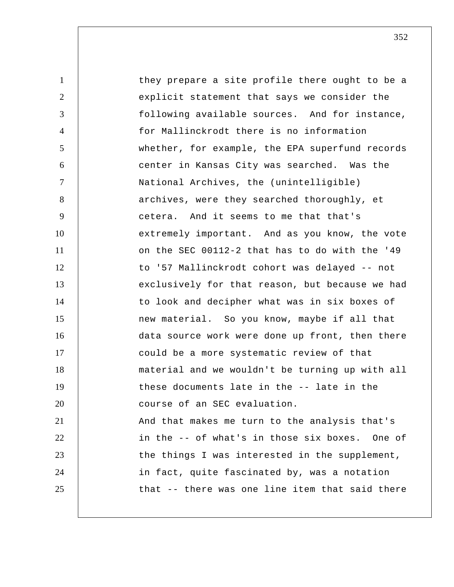1 2 3 4 5 6 7 8 9 10 11 12 13 14 15 16 17 18 19 20 21 22 23 24 25 they prepare a site profile there ought to be a explicit statement that says we consider the following available sources. And for instance, for Mallinckrodt there is no information whether, for example, the EPA superfund records center in Kansas City was searched. Was the National Archives, the (unintelligible) archives, were they searched thoroughly, et cetera. And it seems to me that that's extremely important. And as you know, the vote on the SEC 00112-2 that has to do with the '49 to '57 Mallinckrodt cohort was delayed -- not exclusively for that reason, but because we had to look and decipher what was in six boxes of new material. So you know, maybe if all that data source work were done up front, then there could be a more systematic review of that material and we wouldn't be turning up with all these documents late in the -- late in the course of an SEC evaluation. And that makes me turn to the analysis that's in the -- of what's in those six boxes. One of the things I was interested in the supplement, in fact, quite fascinated by, was a notation that -- there was one line item that said there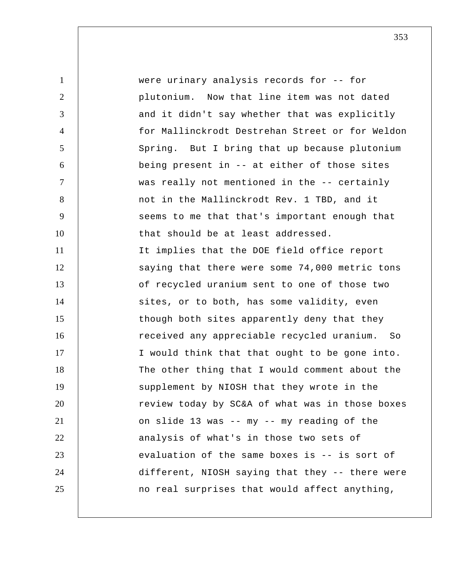1 2 3 4 5 6 7 8 9 10 11 12 13 14 15 16 17 18 19 20 21 22 23 24 25 were urinary analysis records for -- for plutonium. Now that line item was not dated and it didn't say whether that was explicitly for Mallinckrodt Destrehan Street or for Weldon Spring. But I bring that up because plutonium being present in -- at either of those sites was really not mentioned in the -- certainly not in the Mallinckrodt Rev. 1 TBD, and it seems to me that that's important enough that that should be at least addressed. It implies that the DOE field office report saying that there were some 74,000 metric tons of recycled uranium sent to one of those two sites, or to both, has some validity, even though both sites apparently deny that they received any appreciable recycled uranium. So I would think that that ought to be gone into. The other thing that I would comment about the supplement by NIOSH that they wrote in the review today by SC&A of what was in those boxes on slide 13 was -- my -- my reading of the analysis of what's in those two sets of evaluation of the same boxes is -- is sort of different, NIOSH saying that they -- there were no real surprises that would affect anything,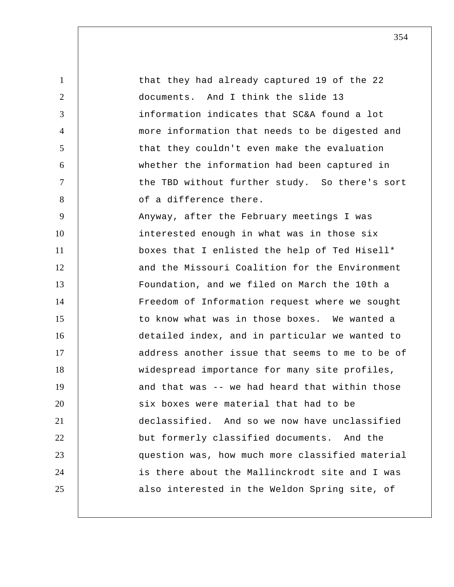1 2 3 4 5 6 7 8 9 10 11 12 13 14 15 16 17 18 19 20 21 22 23 24 25 that they had already captured 19 of the 22 documents. And I think the slide 13 information indicates that SC&A found a lot more information that needs to be digested and that they couldn't even make the evaluation whether the information had been captured in the TBD without further study. So there's sort of a difference there. Anyway, after the February meetings I was interested enough in what was in those six boxes that I enlisted the help of Ted Hisell\* and the Missouri Coalition for the Environment Foundation, and we filed on March the 10th a Freedom of Information request where we sought to know what was in those boxes. We wanted a detailed index, and in particular we wanted to address another issue that seems to me to be of widespread importance for many site profiles, and that was -- we had heard that within those six boxes were material that had to be declassified. And so we now have unclassified but formerly classified documents. And the question was, how much more classified material is there about the Mallinckrodt site and I was also interested in the Weldon Spring site, of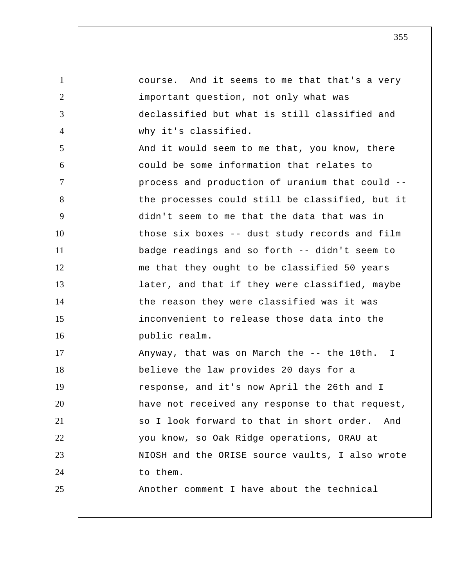1 2 3 4 5 6 7 8 9 10 11 12 13 14 15 16 17 18 19 20 21 22 23 24 25 course. And it seems to me that that's a very important question, not only what was declassified but what is still classified and why it's classified. And it would seem to me that, you know, there could be some information that relates to process and production of uranium that could - the processes could still be classified, but it didn't seem to me that the data that was in those six boxes -- dust study records and film badge readings and so forth -- didn't seem to me that they ought to be classified 50 years later, and that if they were classified, maybe the reason they were classified was it was inconvenient to release those data into the public realm. Anyway, that was on March the -- the 10th. I believe the law provides 20 days for a response, and it's now April the 26th and I have not received any response to that request, so I look forward to that in short order. And you know, so Oak Ridge operations, ORAU at NIOSH and the ORISE source vaults, I also wrote to them. Another comment I have about the technical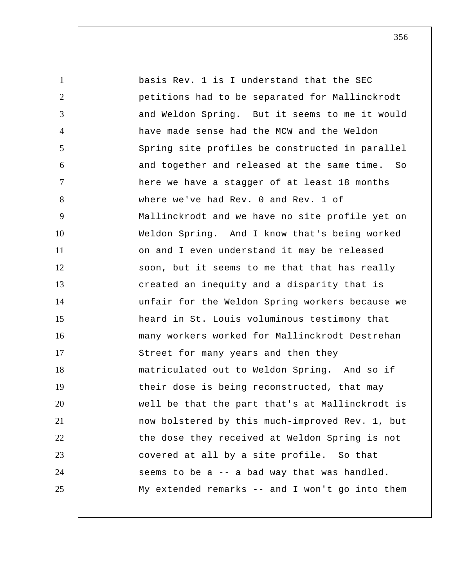1 2 3 4 5 6 7 8 9 10 11 12 13 14 15 16 17 18 19 20 21 22 23 24 25 basis Rev. 1 is I understand that the SEC petitions had to be separated for Mallinckrodt and Weldon Spring. But it seems to me it would have made sense had the MCW and the Weldon Spring site profiles be constructed in parallel and together and released at the same time. So here we have a stagger of at least 18 months where we've had Rev. 0 and Rev. 1 of Mallinckrodt and we have no site profile yet on Weldon Spring. And I know that's being worked on and I even understand it may be released soon, but it seems to me that that has really created an inequity and a disparity that is unfair for the Weldon Spring workers because we heard in St. Louis voluminous testimony that many workers worked for Mallinckrodt Destrehan Street for many years and then they matriculated out to Weldon Spring. And so if their dose is being reconstructed, that may well be that the part that's at Mallinckrodt is now bolstered by this much-improved Rev. 1, but the dose they received at Weldon Spring is not covered at all by a site profile. So that seems to be a -- a bad way that was handled. My extended remarks -- and I won't go into them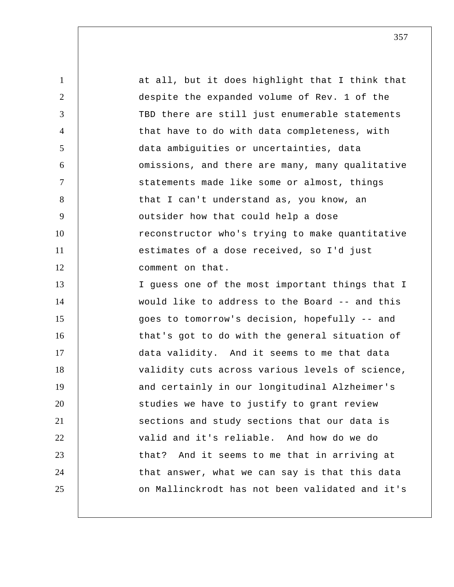1 2 3 4 5 6 7 8 9 10 11 12 13 14 15 16 17 18 19 20 21 22 23 24 25 at all, but it does highlight that I think that despite the expanded volume of Rev. 1 of the TBD there are still just enumerable statements that have to do with data completeness, with data ambiguities or uncertainties, data omissions, and there are many, many qualitative statements made like some or almost, things that I can't understand as, you know, an outsider how that could help a dose reconstructor who's trying to make quantitative estimates of a dose received, so I'd just comment on that. I guess one of the most important things that I would like to address to the Board -- and this goes to tomorrow's decision, hopefully -- and that's got to do with the general situation of data validity. And it seems to me that data validity cuts across various levels of science, and certainly in our longitudinal Alzheimer's studies we have to justify to grant review sections and study sections that our data is valid and it's reliable. And how do we do that? And it seems to me that in arriving at that answer, what we can say is that this data on Mallinckrodt has not been validated and it's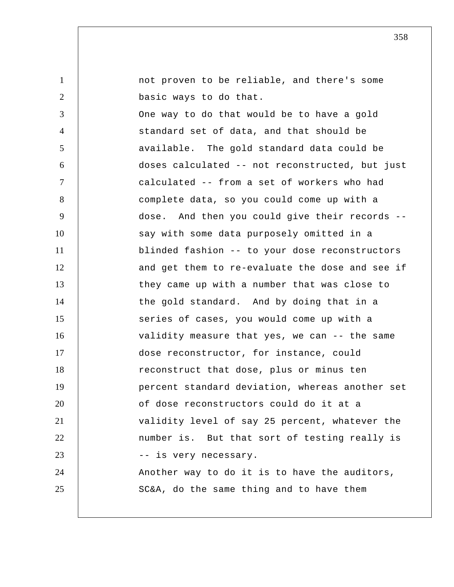| $\mathbf{1}$   | not proven to be reliable, and there's some     |
|----------------|-------------------------------------------------|
| 2              | basic ways to do that.                          |
| 3              | One way to do that would be to have a gold      |
| $\overline{4}$ | standard set of data, and that should be        |
| 5              | available. The gold standard data could be      |
| 6              | doses calculated -- not reconstructed, but just |
| $\tau$         | calculated -- from a set of workers who had     |
| 8              | complete data, so you could come up with a      |
| 9              | dose. And then you could give their records --  |
| 10             | say with some data purposely omitted in a       |
| 11             | blinded fashion -- to your dose reconstructors  |
| 12             | and get them to re-evaluate the dose and see if |
| 13             | they came up with a number that was close to    |
| 14             | the gold standard. And by doing that in a       |
| 15             | series of cases, you would come up with a       |
| 16             | validity measure that yes, we can -- the same   |
| 17             | dose reconstructor, for instance, could         |
| 18             | reconstruct that dose, plus or minus ten        |
| 19             | percent standard deviation, whereas another set |
| 20             | of dose reconstructors could do it at a         |
| 21             | validity level of say 25 percent, whatever the  |
| 22             | number is. But that sort of testing really is   |
| 23             | -- is very necessary.                           |
| 24             | Another way to do it is to have the auditors,   |
| 25             | SC&A, do the same thing and to have them        |
|                |                                                 |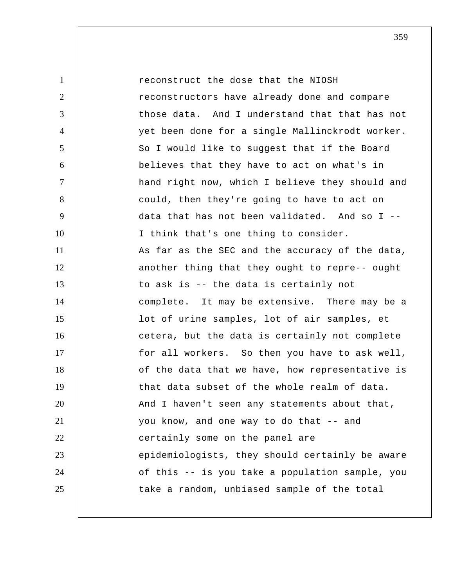1 2 3 4 5 6 7 8 9 10 11 12 13 14 15 16 17 18 19 20 21 22 23 24 25 reconstruct the dose that the NIOSH reconstructors have already done and compare those data. And I understand that that has not yet been done for a single Mallinckrodt worker. So I would like to suggest that if the Board believes that they have to act on what's in hand right now, which I believe they should and could, then they're going to have to act on data that has not been validated. And so I -- I think that's one thing to consider. As far as the SEC and the accuracy of the data, another thing that they ought to repre-- ought to ask is -- the data is certainly not complete. It may be extensive. There may be a lot of urine samples, lot of air samples, et cetera, but the data is certainly not complete for all workers. So then you have to ask well, of the data that we have, how representative is that data subset of the whole realm of data. And I haven't seen any statements about that, you know, and one way to do that -- and certainly some on the panel are epidemiologists, they should certainly be aware of this -- is you take a population sample, you take a random, unbiased sample of the total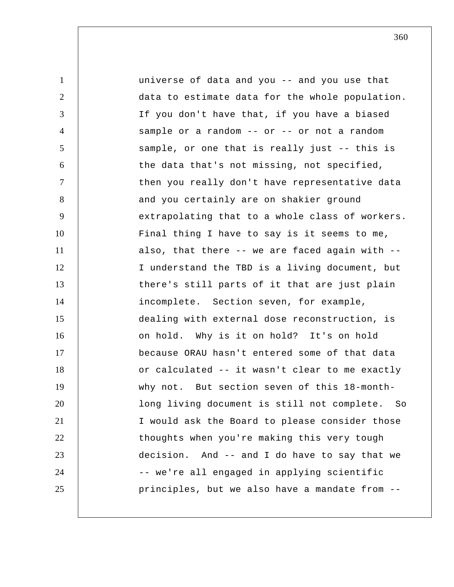1 2 3 4 5 6 7 8 9 10 11 12 13 14 15 16 17 18 19 20 21 22 23 24 25 universe of data and you -- and you use that data to estimate data for the whole population. If you don't have that, if you have a biased sample or a random  $--$  or  $--$  or not a random sample, or one that is really just -- this is the data that's not missing, not specified, then you really don't have representative data and you certainly are on shakier ground extrapolating that to a whole class of workers. Final thing I have to say is it seems to me, also, that there -- we are faced again with -- I understand the TBD is a living document, but there's still parts of it that are just plain incomplete. Section seven, for example, dealing with external dose reconstruction, is on hold. Why is it on hold? It's on hold because ORAU hasn't entered some of that data or calculated -- it wasn't clear to me exactly why not. But section seven of this 18-monthlong living document is still not complete. So I would ask the Board to please consider those thoughts when you're making this very tough decision. And -- and I do have to say that we -- we're all engaged in applying scientific principles, but we also have a mandate from --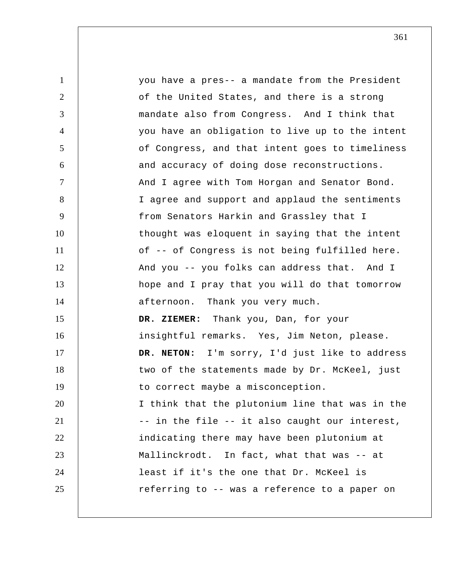| $\mathbf{1}$   | you have a pres-- a mandate from the President  |
|----------------|-------------------------------------------------|
| $\overline{2}$ | of the United States, and there is a strong     |
| 3              | mandate also from Congress. And I think that    |
| $\overline{4}$ | you have an obligation to live up to the intent |
| 5              | of Congress, and that intent goes to timeliness |
| 6              | and accuracy of doing dose reconstructions.     |
| $\tau$         | And I agree with Tom Horgan and Senator Bond.   |
| 8              | I agree and support and applaud the sentiments  |
| 9              | from Senators Harkin and Grassley that I        |
| 10             | thought was eloquent in saying that the intent  |
| 11             | of -- of Congress is not being fulfilled here.  |
| 12             | And you -- you folks can address that. And I    |
| 13             | hope and I pray that you will do that tomorrow  |
| 14             | afternoon. Thank you very much.                 |
| 15             | DR. ZIEMER: Thank you, Dan, for your            |
| 16             | insightful remarks. Yes, Jim Neton, please.     |
| 17             | DR. NETON: I'm sorry, I'd just like to address  |
| 18             | two of the statements made by Dr. McKeel, just  |
| 19             | to correct maybe a misconception.               |
| 20             | I think that the plutonium line that was in the |
| 21             | -- in the file -- it also caught our interest,  |
| 22             | indicating there may have been plutonium at     |
| 23             | Mallinckrodt. In fact, what that was -- at      |
| 24             | least if it's the one that Dr. McKeel is        |
| 25             | referring to -- was a reference to a paper on   |
|                |                                                 |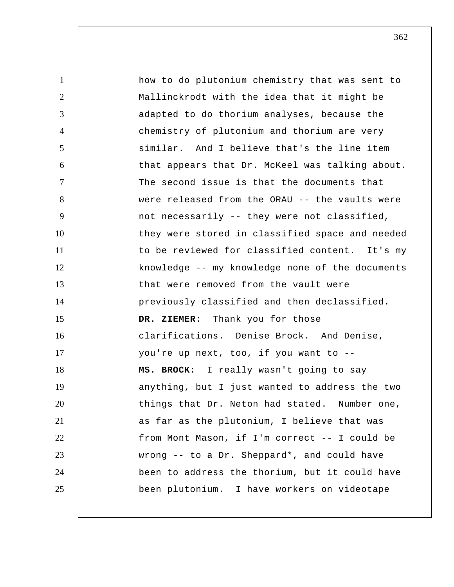| $\mathbf{1}$   | how to do plutonium chemistry that was sent to  |
|----------------|-------------------------------------------------|
| $\overline{2}$ | Mallinckrodt with the idea that it might be     |
| 3              | adapted to do thorium analyses, because the     |
| $\overline{4}$ | chemistry of plutonium and thorium are very     |
| 5              | similar. And I believe that's the line item     |
| 6              | that appears that Dr. McKeel was talking about. |
| $\overline{7}$ | The second issue is that the documents that     |
| 8              | were released from the ORAU -- the vaults were  |
| 9              | not necessarily -- they were not classified,    |
| 10             | they were stored in classified space and needed |
| 11             | to be reviewed for classified content. It's my  |
| 12             | knowledge -- my knowledge none of the documents |
| 13             | that were removed from the vault were           |
| 14             | previously classified and then declassified.    |
| 15             | DR. ZIEMER: Thank you for those                 |
| 16             | clarifications. Denise Brock. And Denise,       |
| 17             | you're up next, too, if you want to --          |
| 18             | MS. BROCK: I really wasn't going to say         |
| 19             | anything, but I just wanted to address the two  |
| 20             | things that Dr. Neton had stated. Number one,   |
| 21             | as far as the plutonium, I believe that was     |
| 22             | from Mont Mason, if I'm correct -- I could be   |
| 23             | wrong -- to a Dr. Sheppard*, and could have     |
| 24             | been to address the thorium, but it could have  |
| 25             | been plutonium. I have workers on videotape     |
|                |                                                 |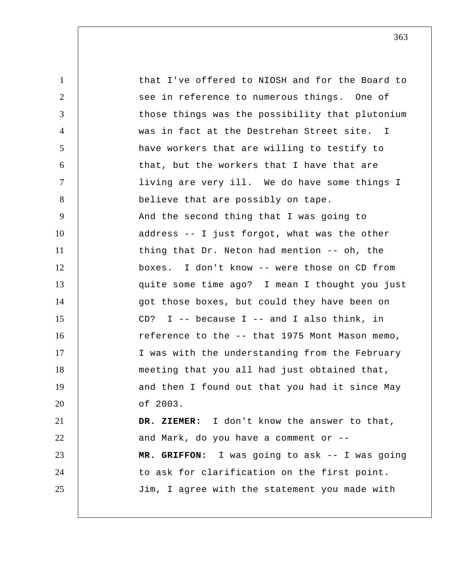1 2 3 4 5 6 7 8 9 10 11 12 13 14 15 16 17 18 19 20 21 22 23 24 25 that I've offered to NIOSH and for the Board to see in reference to numerous things. One of those things was the possibility that plutonium was in fact at the Destrehan Street site. I have workers that are willing to testify to that, but the workers that I have that are living are very ill. We do have some things I believe that are possibly on tape. And the second thing that I was going to address -- I just forgot, what was the other thing that Dr. Neton had mention -- oh, the boxes. I don't know -- were those on CD from quite some time ago? I mean I thought you just got those boxes, but could they have been on CD? I  $-$ - because I  $-$ - and I also think, in reference to the -- that 1975 Mont Mason memo, I was with the understanding from the February meeting that you all had just obtained that, and then I found out that you had it since May of 2003.  **DR. ZIEMER:** I don't know the answer to that, and Mark, do you have a comment or --  **MR. GRIFFON:** I was going to ask -- I was going to ask for clarification on the first point. Jim, I agree with the statement you made with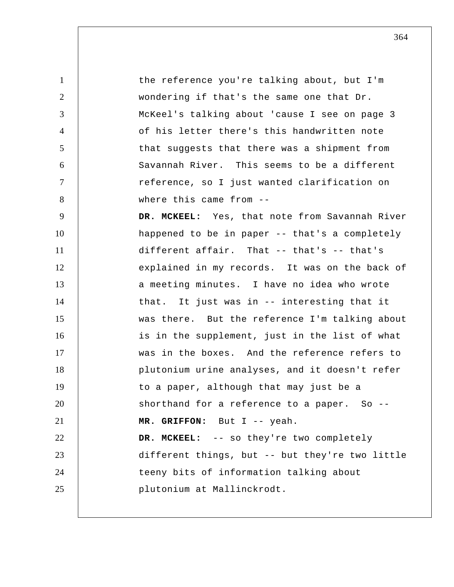1 2 3 4 5 6 7 8 9 10 11 12 13 14 15 16 17 18 19 20 21 22 23 24 25 the reference you're talking about, but I'm wondering if that's the same one that Dr. McKeel's talking about 'cause I see on page 3 of his letter there's this handwritten note that suggests that there was a shipment from Savannah River. This seems to be a different reference, so I just wanted clarification on where this came from --  **DR. MCKEEL:** Yes, that note from Savannah River happened to be in paper -- that's a completely different affair. That -- that's -- that's explained in my records. It was on the back of a meeting minutes. I have no idea who wrote that. It just was in -- interesting that it was there. But the reference I'm talking about is in the supplement, just in the list of what was in the boxes. And the reference refers to plutonium urine analyses, and it doesn't refer to a paper, although that may just be a shorthand for a reference to a paper. So -- **MR. GRIFFON:** But I -- yeah.  **DR. MCKEEL:** -- so they're two completely different things, but -- but they're two little teeny bits of information talking about plutonium at Mallinckrodt.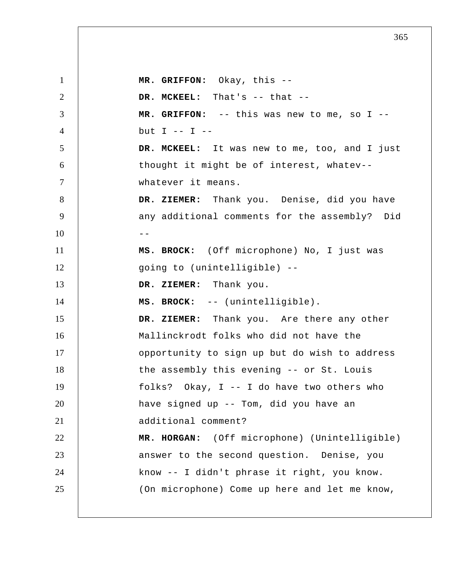1 2 3 4 5 6 7 8 9  $10$  --11 12 13 14 15 16 17 18 19 20 21 22 23 24 25  **MR. GRIFFON:** Okay, this --  **DR. MCKEEL:** That's -- that --  **MR. GRIFFON:** -- this was new to me, so I - but  $I$  --  $I$  -- **DR. MCKEEL:** It was new to me, too, and I just thought it might be of interest, whatev- whatever it means.  **DR. ZIEMER:** Thank you. Denise, did you have any additional comments for the assembly? Did **MS. BROCK:** (Off microphone) No, I just was going to (unintelligible) --  **DR. ZIEMER:** Thank you. **MS. BROCK:** -- (unintelligible).  **DR. ZIEMER:** Thank you. Are there any other Mallinckrodt folks who did not have the opportunity to sign up but do wish to address the assembly this evening -- or St. Louis folks? Okay, I -- I do have two others who have signed up -- Tom, did you have an additional comment?  **MR. HORGAN:** (Off microphone) (Unintelligible) answer to the second question. Denise, you know -- I didn't phrase it right, you know. (On microphone) Come up here and let me know,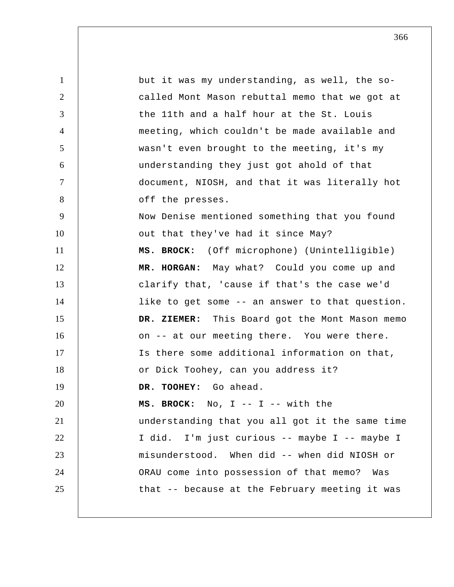1 2 3 4 5 6 7 8 9 10 11 12 13 14 15 16 17 18 19 20 21 22 23 24 25 but it was my understanding, as well, the socalled Mont Mason rebuttal memo that we got at the 11th and a half hour at the St. Louis meeting, which couldn't be made available and wasn't even brought to the meeting, it's my understanding they just got ahold of that document, NIOSH, and that it was literally hot off the presses. Now Denise mentioned something that you found out that they've had it since May? **MS. BROCK:** (Off microphone) (Unintelligible)  **MR. HORGAN:** May what? Could you come up and clarify that, 'cause if that's the case we'd like to get some -- an answer to that question.  **DR. ZIEMER:** This Board got the Mont Mason memo on -- at our meeting there. You were there. Is there some additional information on that, or Dick Toohey, can you address it?  **DR. TOOHEY:** Go ahead. **MS. BROCK:** No, I -- I -- with the understanding that you all got it the same time I did. I'm just curious -- maybe I -- maybe I misunderstood. When did -- when did NIOSH or ORAU come into possession of that memo? Was that -- because at the February meeting it was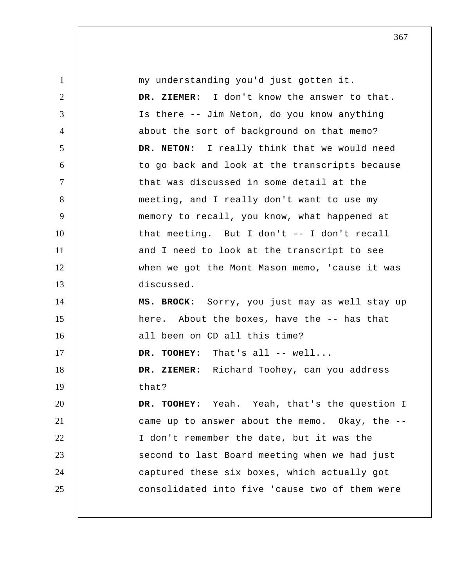| $\mathbf{1}$   | my understanding you'd just gotten it.         |
|----------------|------------------------------------------------|
| $\overline{2}$ | DR. ZIEMER: I don't know the answer to that.   |
| 3              | Is there -- Jim Neton, do you know anything    |
| $\overline{4}$ | about the sort of background on that memo?     |
| 5              | DR. NETON: I really think that we would need   |
| 6              | to go back and look at the transcripts because |
| $\overline{7}$ | that was discussed in some detail at the       |
| 8              | meeting, and I really don't want to use my     |
| 9              | memory to recall, you know, what happened at   |
| 10             | that meeting. But I don't -- I don't recall    |
| 11             | and I need to look at the transcript to see    |
| 12             | when we got the Mont Mason memo, 'cause it was |
| 13             | discussed.                                     |
| 14             | MS. BROCK: Sorry, you just may as well stay up |
| 15             | here. About the boxes, have the -- has that    |
| 16             | all been on CD all this time?                  |
| 17             | DR. TOOHEY: That's all -- well                 |
| 18             | DR. ZIEMER: Richard Toohey, can you address    |
| 19             | that?                                          |
| 20             | DR. TOOHEY: Yeah. Yeah, that's the question I  |
| 21             | came up to answer about the memo. Okay, the -- |
| 22             | I don't remember the date, but it was the      |
| 23             | second to last Board meeting when we had just  |
| 24             | captured these six boxes, which actually got   |
| 25             | consolidated into five 'cause two of them were |
|                |                                                |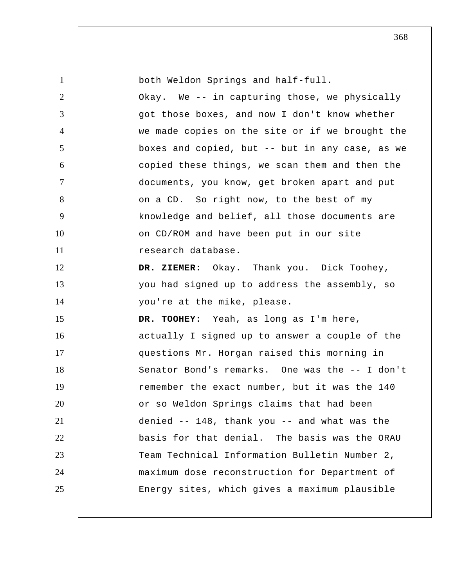| $\mathbf{1}$   | both Weldon Springs and half-full.              |
|----------------|-------------------------------------------------|
| 2              | Okay. We -- in capturing those, we physically   |
| 3              | got those boxes, and now I don't know whether   |
| $\overline{4}$ | we made copies on the site or if we brought the |
| 5              | boxes and copied, but -- but in any case, as we |
| 6              | copied these things, we scan them and then the  |
| $\overline{7}$ | documents, you know, get broken apart and put   |
| 8              | on a CD. So right now, to the best of my        |
| 9              | knowledge and belief, all those documents are   |
| 10             | on CD/ROM and have been put in our site         |
| 11             | research database.                              |
| 12             | DR. ZIEMER: Okay. Thank you. Dick Toohey,       |
| 13             | you had signed up to address the assembly, so   |
| 14             | you're at the mike, please.                     |
| 15             | DR. TOOHEY: Yeah, as long as I'm here,          |
| 16             | actually I signed up to answer a couple of the  |
| 17             | questions Mr. Horgan raised this morning in     |
| 18             | Senator Bond's remarks. One was the -- I don't  |
| 19             | remember the exact number, but it was the 140   |
| 20             | or so Weldon Springs claims that had been       |
| 21             | denied -- 148, thank you -- and what was the    |
| 22             | basis for that denial. The basis was the ORAU   |
| 23             | Team Technical Information Bulletin Number 2,   |
| 24             | maximum dose reconstruction for Department of   |
| 25             | Energy sites, which gives a maximum plausible   |
|                |                                                 |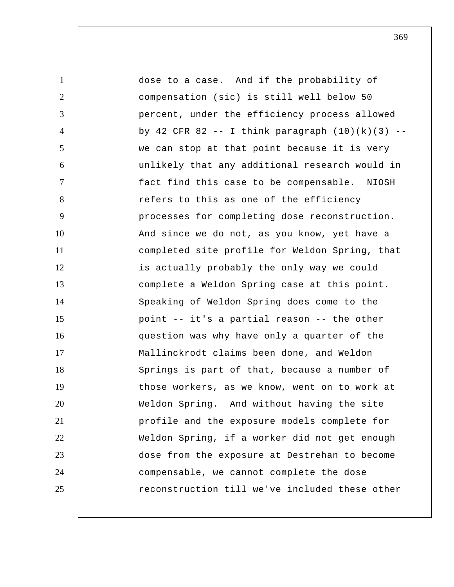1 2 3 4 5 6 7 8 9 10 11 12 13 14 15 16 17 18 19 20 21 22 23 24 25 dose to a case. And if the probability of compensation (sic) is still well below 50 percent, under the efficiency process allowed by 42 CFR 82 -- I think paragraph  $(10)(k)(3)$  -we can stop at that point because it is very unlikely that any additional research would in fact find this case to be compensable. NIOSH refers to this as one of the efficiency processes for completing dose reconstruction. And since we do not, as you know, yet have a completed site profile for Weldon Spring, that is actually probably the only way we could complete a Weldon Spring case at this point. Speaking of Weldon Spring does come to the point -- it's a partial reason -- the other question was why have only a quarter of the Mallinckrodt claims been done, and Weldon Springs is part of that, because a number of those workers, as we know, went on to work at Weldon Spring. And without having the site profile and the exposure models complete for Weldon Spring, if a worker did not get enough dose from the exposure at Destrehan to become compensable, we cannot complete the dose reconstruction till we've included these other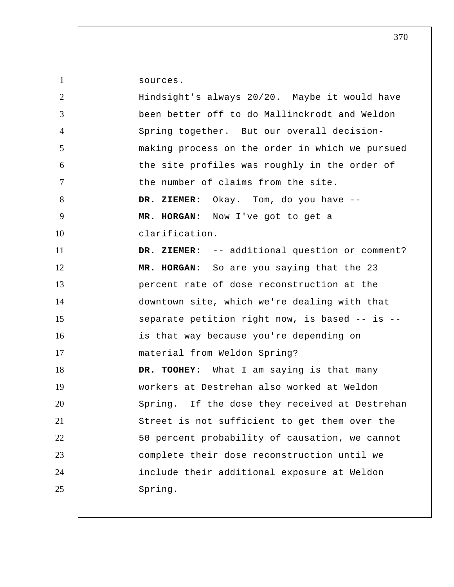1 2 3 4 5 6 7 8 9 10 11 12 13 14 15 16 17 18 19 20 21 22 23 24 25 sources. Hindsight's always 20/20. Maybe it would have been better off to do Mallinckrodt and Weldon Spring together. But our overall decisionmaking process on the order in which we pursued the site profiles was roughly in the order of the number of claims from the site.  **DR. ZIEMER:** Okay. Tom, do you have --  **MR. HORGAN:** Now I've got to get a clarification.  **DR. ZIEMER:** -- additional question or comment?  **MR. HORGAN:** So are you saying that the 23 percent rate of dose reconstruction at the downtown site, which we're dealing with that separate petition right now, is based -- is - is that way because you're depending on material from Weldon Spring?  **DR. TOOHEY:** What I am saying is that many workers at Destrehan also worked at Weldon Spring. If the dose they received at Destrehan Street is not sufficient to get them over the 50 percent probability of causation, we cannot complete their dose reconstruction until we include their additional exposure at Weldon Spring.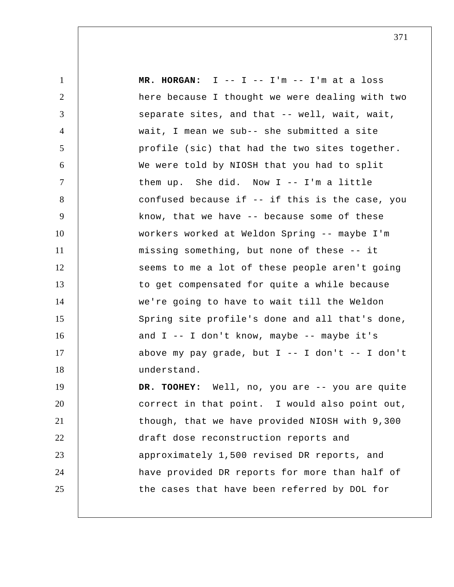1 2 3 4 5 6 7 8 9 10 11 12 13 14 15 16 17 18 19 20 21 22 23 24 25  **MR. HORGAN:** I -- I -- I'm -- I'm at a loss here because I thought we were dealing with two separate sites, and that -- well, wait, wait, wait, I mean we sub-- she submitted a site profile (sic) that had the two sites together. We were told by NIOSH that you had to split them up. She did. Now I -- I'm a little confused because if -- if this is the case, you know, that we have -- because some of these workers worked at Weldon Spring -- maybe I'm missing something, but none of these -- it seems to me a lot of these people aren't going to get compensated for quite a while because we're going to have to wait till the Weldon Spring site profile's done and all that's done, and  $I$  -- I don't know, maybe -- maybe it's above my pay grade, but  $I$  -- I don't -- I don't understand. DR. TOOHEY: Well, no, you are -- you are quite correct in that point. I would also point out, though, that we have provided NIOSH with 9,300 draft dose reconstruction reports and approximately 1,500 revised DR reports, and have provided DR reports for more than half of the cases that have been referred by DOL for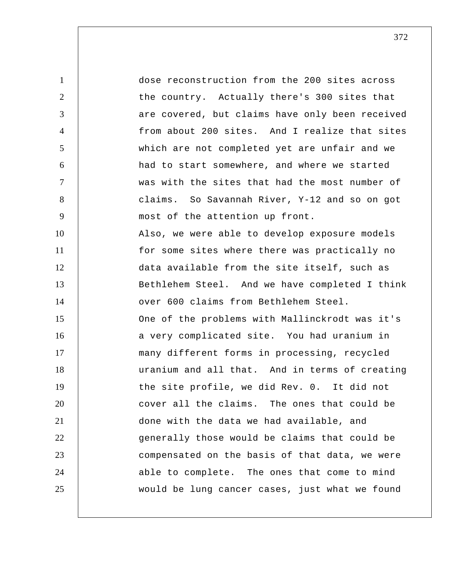1 2 3 4 5 6 7 8 9 10 11 12 13 14 15 16 17 18 19 20 21 22 23 24 25 dose reconstruction from the 200 sites across the country. Actually there's 300 sites that are covered, but claims have only been received from about 200 sites. And I realize that sites which are not completed yet are unfair and we had to start somewhere, and where we started was with the sites that had the most number of claims. So Savannah River, Y-12 and so on got most of the attention up front. Also, we were able to develop exposure models for some sites where there was practically no data available from the site itself, such as Bethlehem Steel. And we have completed I think over 600 claims from Bethlehem Steel. One of the problems with Mallinckrodt was it's a very complicated site. You had uranium in many different forms in processing, recycled uranium and all that. And in terms of creating the site profile, we did Rev. 0. It did not cover all the claims. The ones that could be done with the data we had available, and generally those would be claims that could be compensated on the basis of that data, we were able to complete. The ones that come to mind would be lung cancer cases, just what we found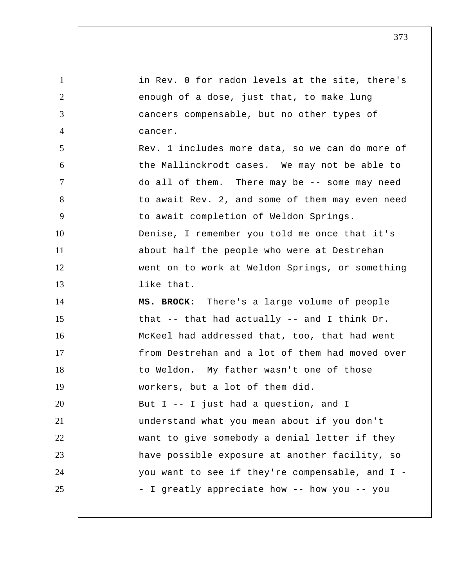1 2 3 4 5 6 7 8 9 10 11 12 13 14 15 16 17 18 19 20 21 22 23 24 25 in Rev. 0 for radon levels at the site, there's enough of a dose, just that, to make lung cancers compensable, but no other types of cancer. Rev. 1 includes more data, so we can do more of the Mallinckrodt cases. We may not be able to do all of them. There may be -- some may need to await Rev. 2, and some of them may even need to await completion of Weldon Springs. Denise, I remember you told me once that it's about half the people who were at Destrehan went on to work at Weldon Springs, or something like that. **MS. BROCK:** There's a large volume of people that -- that had actually -- and I think Dr. McKeel had addressed that, too, that had went from Destrehan and a lot of them had moved over to Weldon. My father wasn't one of those workers, but a lot of them did. But I -- I just had a question, and I understand what you mean about if you don't want to give somebody a denial letter if they have possible exposure at another facility, so you want to see if they're compensable, and I - - I greatly appreciate how -- how you -- you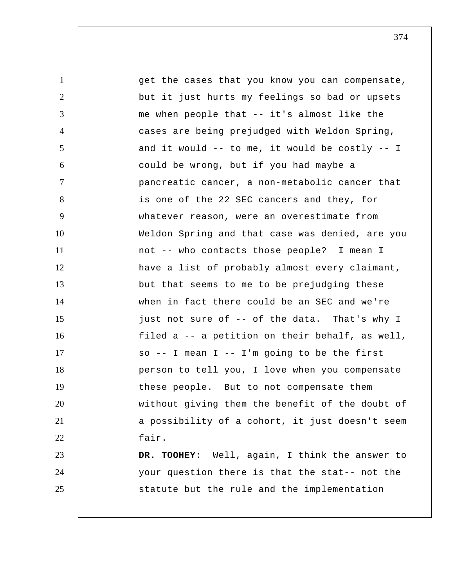1 2 3 4 5 6 7 8 9 10 11 12 13 14 15 16 17 18 19 20 21 22 23 24 25 get the cases that you know you can compensate, but it just hurts my feelings so bad or upsets me when people that -- it's almost like the cases are being prejudged with Weldon Spring, and it would -- to me, it would be costly -- I could be wrong, but if you had maybe a pancreatic cancer, a non-metabolic cancer that is one of the 22 SEC cancers and they, for whatever reason, were an overestimate from Weldon Spring and that case was denied, are you not -- who contacts those people? I mean I have a list of probably almost every claimant, but that seems to me to be prejudging these when in fact there could be an SEC and we're just not sure of -- of the data. That's why I filed a -- a petition on their behalf, as well, so -- I mean I -- I'm going to be the first person to tell you, I love when you compensate these people. But to not compensate them without giving them the benefit of the doubt of a possibility of a cohort, it just doesn't seem fair.  **DR. TOOHEY:** Well, again, I think the answer to your question there is that the stat-- not the statute but the rule and the implementation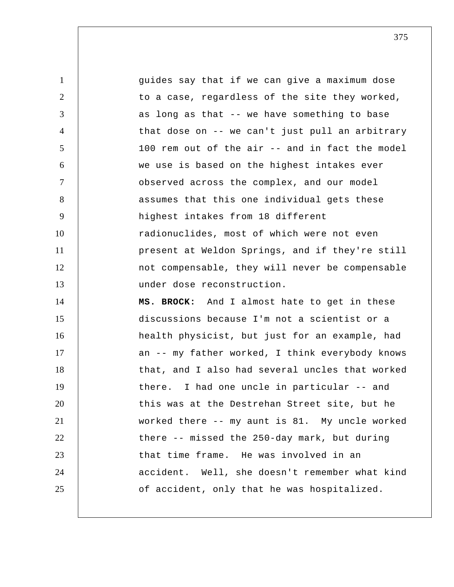1 2 3 4 5 6 7 8 9 10 11 12 13 14 15 16 17 18 19 20 21 22 23 24 25 guides say that if we can give a maximum dose to a case, regardless of the site they worked, as long as that -- we have something to base that dose on -- we can't just pull an arbitrary 100 rem out of the air -- and in fact the model we use is based on the highest intakes ever observed across the complex, and our model assumes that this one individual gets these highest intakes from 18 different radionuclides, most of which were not even present at Weldon Springs, and if they're still not compensable, they will never be compensable under dose reconstruction. **MS. BROCK:** And I almost hate to get in these discussions because I'm not a scientist or a health physicist, but just for an example, had an -- my father worked, I think everybody knows that, and I also had several uncles that worked there. I had one uncle in particular -- and this was at the Destrehan Street site, but he worked there -- my aunt is 81. My uncle worked there -- missed the 250-day mark, but during that time frame. He was involved in an accident. Well, she doesn't remember what kind of accident, only that he was hospitalized.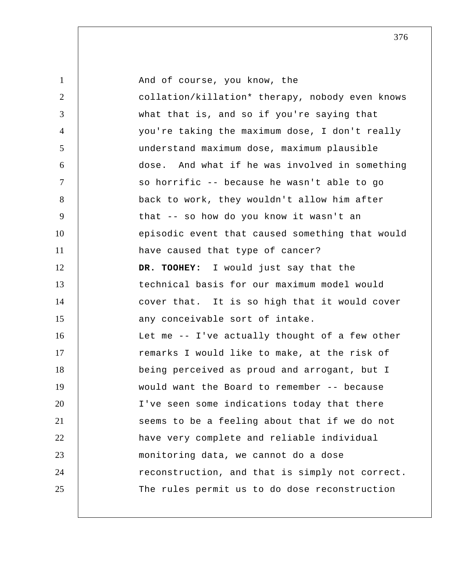1 2 3 4 5 6 7 8 9 10 11 12 13 14 15 16 17 18 19 20 21 22 23 24 25 And of course, you know, the collation/killation\* therapy, nobody even knows what that is, and so if you're saying that you're taking the maximum dose, I don't really understand maximum dose, maximum plausible dose. And what if he was involved in something so horrific -- because he wasn't able to go back to work, they wouldn't allow him after that -- so how do you know it wasn't an episodic event that caused something that would have caused that type of cancer?  **DR. TOOHEY:** I would just say that the technical basis for our maximum model would cover that. It is so high that it would cover any conceivable sort of intake. Let me -- I've actually thought of a few other remarks I would like to make, at the risk of being perceived as proud and arrogant, but I would want the Board to remember -- because I've seen some indications today that there seems to be a feeling about that if we do not have very complete and reliable individual monitoring data, we cannot do a dose reconstruction, and that is simply not correct. The rules permit us to do dose reconstruction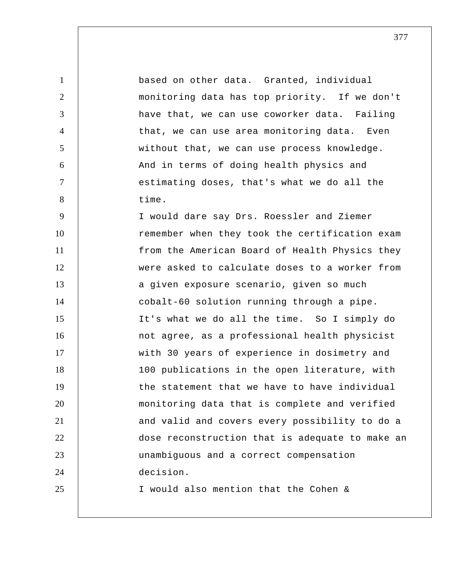1 2 3 4 5 6 7 8 9 based on other data. Granted, individual monitoring data has top priority. If we don't have that, we can use coworker data. Failing that, we can use area monitoring data. Even without that, we can use process knowledge. And in terms of doing health physics and estimating doses, that's what we do all the time. I would dare say Drs. Roessler and Ziemer

10 11 12 13 14 15 16 17 18 19 20 21 22 23 24 25 remember when they took the certification exam from the American Board of Health Physics they were asked to calculate doses to a worker from a given exposure scenario, given so much cobalt-60 solution running through a pipe. It's what we do all the time. So I simply do not agree, as a professional health physicist with 30 years of experience in dosimetry and 100 publications in the open literature, with the statement that we have to have individual monitoring data that is complete and verified and valid and covers every possibility to do a dose reconstruction that is adequate to make an unambiguous and a correct compensation decision. I would also mention that the Cohen &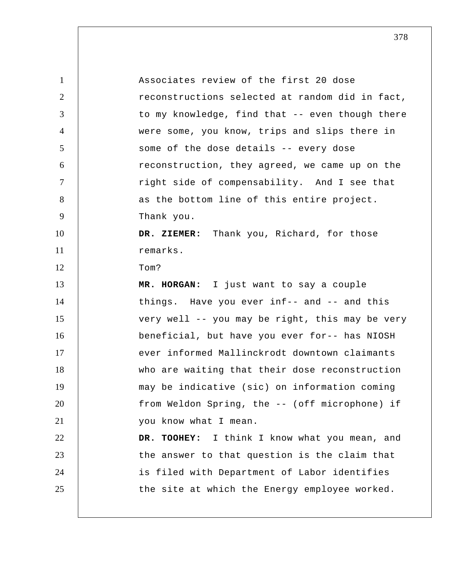| $\mathbf{1}$   | Associates review of the first 20 dose          |
|----------------|-------------------------------------------------|
| 2              | reconstructions selected at random did in fact, |
| 3              | to my knowledge, find that -- even though there |
| $\overline{4}$ | were some, you know, trips and slips there in   |
| 5              | some of the dose details -- every dose          |
| 6              | reconstruction, they agreed, we came up on the  |
| $\tau$         | right side of compensability. And I see that    |
| 8              | as the bottom line of this entire project.      |
| 9              | Thank you.                                      |
| 10             | DR. ZIEMER: Thank you, Richard, for those       |
| 11             | remarks.                                        |
| 12             | Tom?                                            |
| 13             | MR. HORGAN: I just want to say a couple         |
| 14             | things. Have you ever inf-- and -- and this     |
| 15             | very well -- you may be right, this may be very |
| 16             | beneficial, but have you ever for-- has NIOSH   |
| 17             | ever informed Mallinckrodt downtown claimants   |
| 18             | who are waiting that their dose reconstruction  |
| 19             | may be indicative (sic) on information coming   |
| 20             | from Weldon Spring, the -- (off microphone) if  |
| 21             | you know what I mean.                           |
| 22             | DR. TOOHEY: I think I know what you mean, and   |
| 23             | the answer to that question is the claim that   |
| 24             | is filed with Department of Labor identifies    |
| 25             | the site at which the Energy employee worked.   |
|                |                                                 |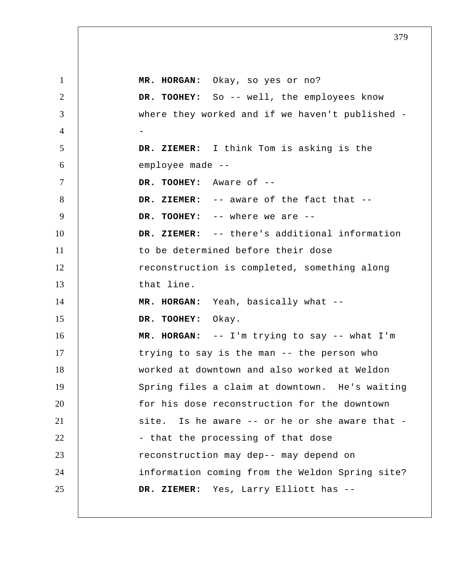1 2 3 4 5 6 7 8 9 10 11 12 13 14 15 16 17 18 19 20 21 22 23 24 25  **MR. HORGAN:** Okay, so yes or no?  **DR. TOOHEY:** So -- well, the employees know where they worked and if we haven't published --  **DR. ZIEMER:** I think Tom is asking is the employee made --  **DR. TOOHEY:** Aware of --  **DR. ZIEMER:** -- aware of the fact that --  **DR. TOOHEY:** -- where we are --  **DR. ZIEMER:** -- there's additional information to be determined before their dose reconstruction is completed, something along that line.  **MR. HORGAN:** Yeah, basically what --  **DR. TOOHEY:** Okay.  **MR. HORGAN:** -- I'm trying to say -- what I'm trying to say is the man -- the person who worked at downtown and also worked at Weldon Spring files a claim at downtown. He's waiting for his dose reconstruction for the downtown site. Is he aware -- or he or she aware that - - that the processing of that dose reconstruction may dep-- may depend on information coming from the Weldon Spring site?  **DR. ZIEMER:** Yes, Larry Elliott has --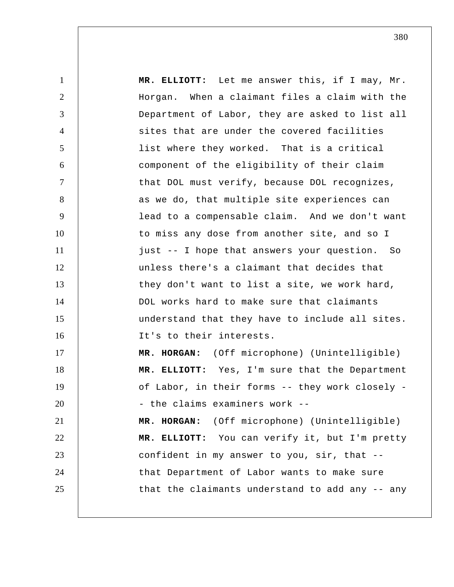1 2 3 4 5 6 7 8 9 10 11 12 13 14 15 16 17 18 19 20 21 22 23 24 25  **MR. ELLIOTT:** Let me answer this, if I may, Mr. Horgan. When a claimant files a claim with the Department of Labor, they are asked to list all sites that are under the covered facilities list where they worked. That is a critical component of the eligibility of their claim that DOL must verify, because DOL recognizes, as we do, that multiple site experiences can lead to a compensable claim. And we don't want to miss any dose from another site, and so I just -- I hope that answers your question. So unless there's a claimant that decides that they don't want to list a site, we work hard, DOL works hard to make sure that claimants understand that they have to include all sites. It's to their interests.  **MR. HORGAN:** (Off microphone) (Unintelligible)  **MR. ELLIOTT:** Yes, I'm sure that the Department of Labor, in their forms -- they work closely - - the claims examiners work --  **MR. HORGAN:** (Off microphone) (Unintelligible)  **MR. ELLIOTT:** You can verify it, but I'm pretty confident in my answer to you, sir, that - that Department of Labor wants to make sure that the claimants understand to add any -- any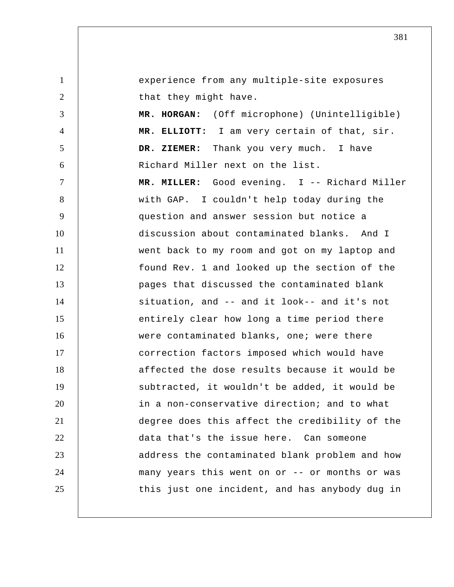1 2 3 4 5 6 7 8 9 10 11 12 13 14 15 16 17 18 19 20 21 22 23 24 25 experience from any multiple-site exposures that they might have.  **MR. HORGAN:** (Off microphone) (Unintelligible)  **MR. ELLIOTT:** I am very certain of that, sir.  **DR. ZIEMER:** Thank you very much. I have Richard Miller next on the list.  **MR. MILLER:** Good evening. I -- Richard Miller with GAP. I couldn't help today during the question and answer session but notice a discussion about contaminated blanks. And I went back to my room and got on my laptop and found Rev. 1 and looked up the section of the pages that discussed the contaminated blank situation, and -- and it look-- and it's not entirely clear how long a time period there were contaminated blanks, one; were there correction factors imposed which would have affected the dose results because it would be subtracted, it wouldn't be added, it would be in a non-conservative direction; and to what degree does this affect the credibility of the data that's the issue here. Can someone address the contaminated blank problem and how many years this went on or -- or months or was this just one incident, and has anybody dug in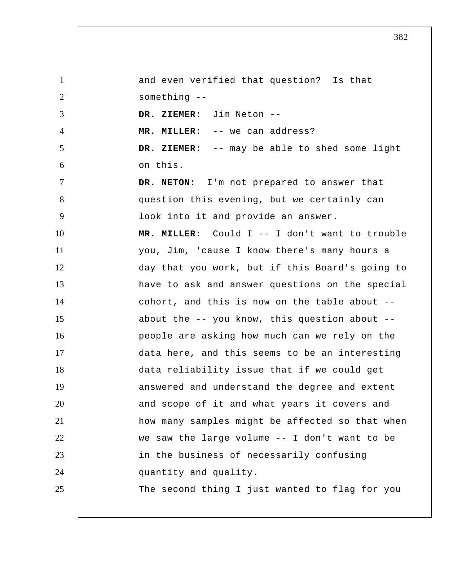1 2 3 4 5 6 7 8 9 10 11 12 13 14 15 16 17 18 19 20 21 22 23 24 25 and even verified that question? Is that something --  **DR. ZIEMER:** Jim Neton --  **MR. MILLER:** -- we can address?  **DR. ZIEMER:** -- may be able to shed some light on this. **DR. NETON:** I'm not prepared to answer that question this evening, but we certainly can look into it and provide an answer.  **MR. MILLER:** Could I -- I don't want to trouble you, Jim, 'cause I know there's many hours a day that you work, but if this Board's going to have to ask and answer questions on the special cohort, and this is now on the table about - about the -- you know, this question about - people are asking how much can we rely on the data here, and this seems to be an interesting data reliability issue that if we could get answered and understand the degree and extent and scope of it and what years it covers and how many samples might be affected so that when we saw the large volume -- I don't want to be in the business of necessarily confusing quantity and quality. The second thing I just wanted to flag for you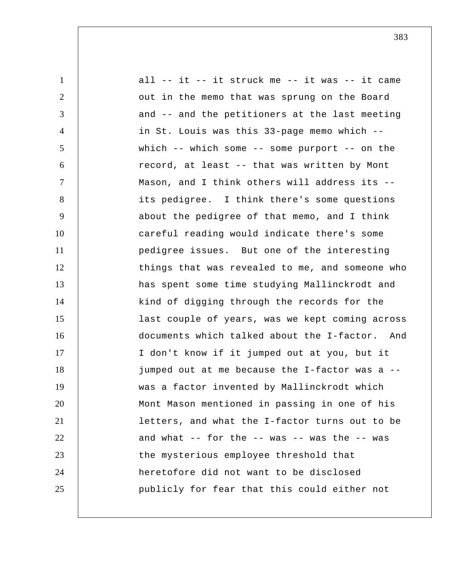1 2 3 4 5 6 7 8 9 10 11 12 13 14 15 16 17 18 19 20 21 22 23 24 25 all -- it -- it struck me -- it was -- it came out in the memo that was sprung on the Board and -- and the petitioners at the last meeting in St. Louis was this 33-page memo which - which  $--$  which some  $--$  some purport  $--$  on the record, at least -- that was written by Mont Mason, and I think others will address its - its pedigree. I think there's some questions about the pedigree of that memo, and I think careful reading would indicate there's some pedigree issues. But one of the interesting things that was revealed to me, and someone who has spent some time studying Mallinckrodt and kind of digging through the records for the last couple of years, was we kept coming across documents which talked about the I-factor. And I don't know if it jumped out at you, but it jumped out at me because the I-factor was a - was a factor invented by Mallinckrodt which Mont Mason mentioned in passing in one of his letters, and what the I-factor turns out to be and what  $-$ - for the  $-$ - was  $-$ - was the  $-$ - was the mysterious employee threshold that heretofore did not want to be disclosed publicly for fear that this could either not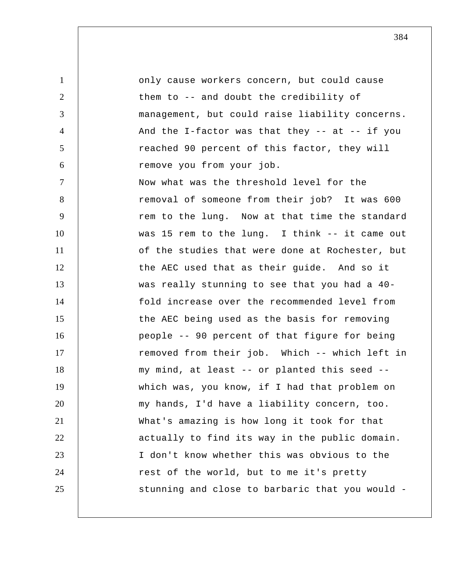1 2 3 4 5 6 7 8 9 10 11 12 13 14 15 16 17 18 19 20 21 22 23 24 25 only cause workers concern, but could cause them to -- and doubt the credibility of management, but could raise liability concerns. And the I-factor was that they  $--$  at  $--$  if you reached 90 percent of this factor, they will remove you from your job. Now what was the threshold level for the removal of someone from their job? It was 600 rem to the lung. Now at that time the standard was 15 rem to the lung. I think -- it came out of the studies that were done at Rochester, but the AEC used that as their guide. And so it was really stunning to see that you had a 40 fold increase over the recommended level from the AEC being used as the basis for removing people -- 90 percent of that figure for being removed from their job. Which -- which left in my mind, at least -- or planted this seed - which was, you know, if I had that problem on my hands, I'd have a liability concern, too. What's amazing is how long it took for that actually to find its way in the public domain. I don't know whether this was obvious to the rest of the world, but to me it's pretty stunning and close to barbaric that you would -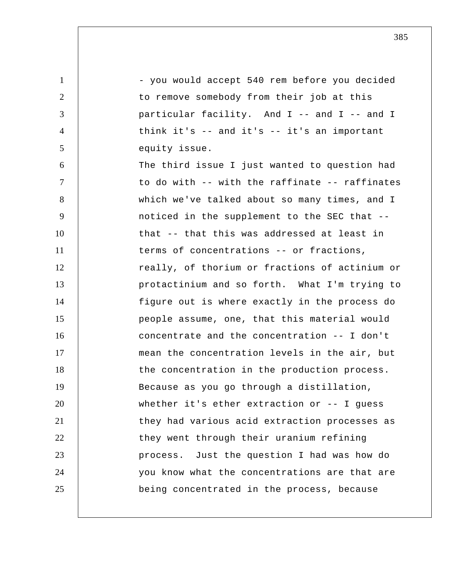1 2 3 4 5 6 7 8 9 10 11 12 13 14 15 16 17 18 19 20 21 22 23 24 25 - you would accept 540 rem before you decided to remove somebody from their job at this particular facility. And I -- and I -- and I think it's -- and it's -- it's an important equity issue. The third issue I just wanted to question had to do with -- with the raffinate -- raffinates which we've talked about so many times, and I noticed in the supplement to the SEC that - that -- that this was addressed at least in terms of concentrations -- or fractions, really, of thorium or fractions of actinium or protactinium and so forth. What I'm trying to figure out is where exactly in the process do people assume, one, that this material would concentrate and the concentration -- I don't mean the concentration levels in the air, but the concentration in the production process. Because as you go through a distillation, whether it's ether extraction or -- I quess they had various acid extraction processes as they went through their uranium refining process. Just the question I had was how do you know what the concentrations are that are being concentrated in the process, because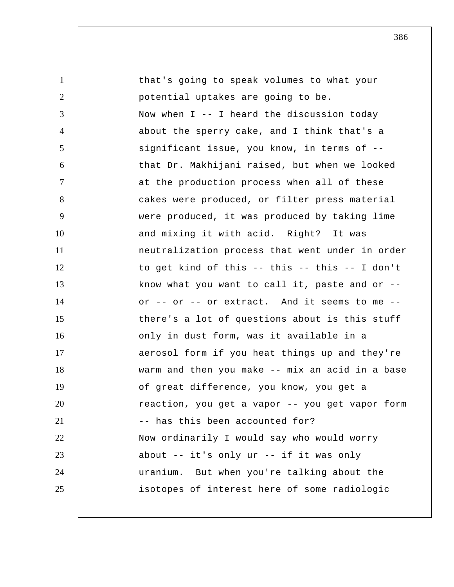| $\mathbf{1}$   | that's going to speak volumes to what your      |
|----------------|-------------------------------------------------|
| $\overline{2}$ | potential uptakes are going to be.              |
| 3              | Now when $I$ -- I heard the discussion today    |
| $\overline{4}$ | about the sperry cake, and I think that's a     |
| 5              | significant issue, you know, in terms of --     |
| 6              | that Dr. Makhijani raised, but when we looked   |
| $\tau$         | at the production process when all of these     |
| 8              | cakes were produced, or filter press material   |
| 9              | were produced, it was produced by taking lime   |
| 10             | and mixing it with acid. Right? It was          |
| 11             | neutralization process that went under in order |
| 12             | to get kind of this -- this -- this -- I don't  |
| 13             | know what you want to call it, paste and or --  |
| 14             | or -- or -- or extract. And it seems to me --   |
| 15             | there's a lot of questions about is this stuff  |
| 16             | only in dust form, was it available in a        |
| 17             | aerosol form if you heat things up and they're  |
| 18             | warm and then you make -- mix an acid in a base |
| 19             | of great difference, you know, you get a        |
| 20             | reaction, you get a vapor -- you get vapor form |
| 21             | -- has this been accounted for?                 |
| 22             | Now ordinarily I would say who would worry      |
| 23             | about -- it's only ur -- if it was only         |
| 24             | uranium. But when you're talking about the      |
| 25             | isotopes of interest here of some radiologic    |
|                |                                                 |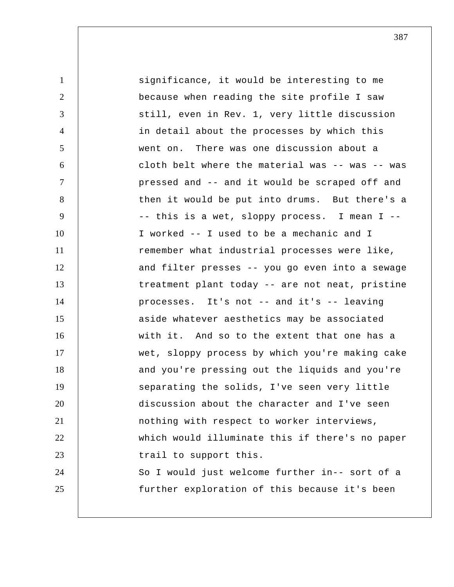| $\mathbf{1}$   | significance, it would be interesting to me     |
|----------------|-------------------------------------------------|
| $\overline{2}$ | because when reading the site profile I saw     |
| 3              | still, even in Rev. 1, very little discussion   |
| $\overline{4}$ | in detail about the processes by which this     |
| 5              | went on. There was one discussion about a       |
| 6              | cloth belt where the material was -- was -- was |
| $\tau$         | pressed and -- and it would be scraped off and  |
| 8              | then it would be put into drums. But there's a  |
| 9              | -- this is a wet, sloppy process. I mean I --   |
| 10             | I worked -- I used to be a mechanic and I       |
| 11             | remember what industrial processes were like,   |
| 12             | and filter presses -- you go even into a sewage |
| 13             | treatment plant today -- are not neat, pristine |
| 14             | processes. It's not -- and it's -- leaving      |
| 15             | aside whatever aesthetics may be associated     |
| 16             | with it. And so to the extent that one has a    |
| 17             | wet, sloppy process by which you're making cake |
| 18             | and you're pressing out the liquids and you're  |
| 19             | separating the solids, I've seen very little    |
| 20             | discussion about the character and I've seen    |
| 21             | nothing with respect to worker interviews,      |
| 22             | which would illuminate this if there's no paper |
| 23             | trail to support this.                          |
| 24             | So I would just welcome further in-- sort of a  |
| 25             | further exploration of this because it's been   |
|                |                                                 |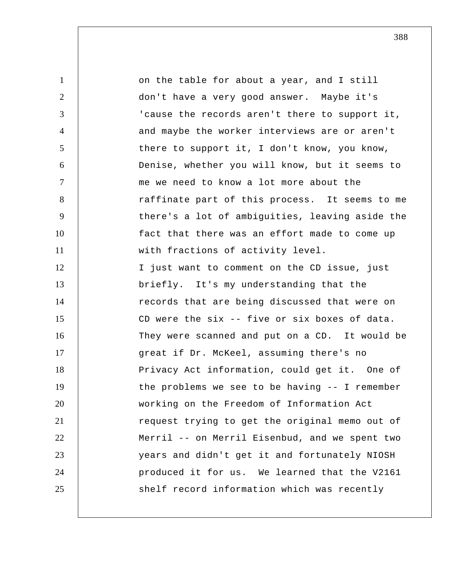1 2 3 4 5 6 7 8 9 10 11 12 13 14 15 16 17 18 19 20 21 22 23 24 25 on the table for about a year, and I still don't have a very good answer. Maybe it's 'cause the records aren't there to support it, and maybe the worker interviews are or aren't there to support it, I don't know, you know, Denise, whether you will know, but it seems to me we need to know a lot more about the raffinate part of this process. It seems to me there's a lot of ambiguities, leaving aside the fact that there was an effort made to come up with fractions of activity level. I just want to comment on the CD issue, just briefly. It's my understanding that the records that are being discussed that were on CD were the six -- five or six boxes of data. They were scanned and put on a CD. It would be great if Dr. McKeel, assuming there's no Privacy Act information, could get it. One of the problems we see to be having -- I remember working on the Freedom of Information Act request trying to get the original memo out of Merril -- on Merril Eisenbud, and we spent two years and didn't get it and fortunately NIOSH produced it for us. We learned that the V2161 shelf record information which was recently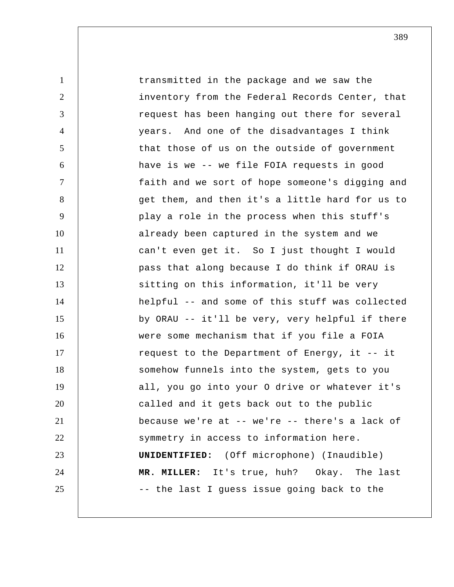1 2 3 4 5 6 7 8 9 10 11 12 13 14 15 16 17 18 19 20 21 22 23 24 25 transmitted in the package and we saw the inventory from the Federal Records Center, that request has been hanging out there for several years. And one of the disadvantages I think that those of us on the outside of government have is we -- we file FOIA requests in good faith and we sort of hope someone's digging and get them, and then it's a little hard for us to play a role in the process when this stuff's already been captured in the system and we can't even get it. So I just thought I would pass that along because I do think if ORAU is sitting on this information, it'll be very helpful -- and some of this stuff was collected by ORAU -- it'll be very, very helpful if there were some mechanism that if you file a FOIA request to the Department of Energy, it -- it somehow funnels into the system, gets to you all, you go into your O drive or whatever it's called and it gets back out to the public because we're at -- we're -- there's a lack of symmetry in access to information here. **UNIDENTIFIED:** (Off microphone) (Inaudible)  **MR. MILLER:** It's true, huh? Okay. The last -- the last I guess issue going back to the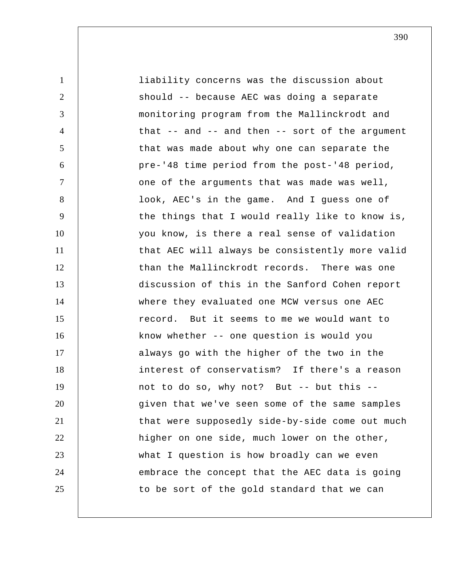1 2 3 4 5 6 7 8 9 10 11 12 13 14 15 16 17 18 19 20 21 22 23 24 25 liability concerns was the discussion about should -- because AEC was doing a separate monitoring program from the Mallinckrodt and that  $-$  and  $-$  and then  $-$  sort of the argument that was made about why one can separate the pre-'48 time period from the post-'48 period, one of the arguments that was made was well, look, AEC's in the game. And I guess one of the things that I would really like to know is, you know, is there a real sense of validation that AEC will always be consistently more valid than the Mallinckrodt records. There was one discussion of this in the Sanford Cohen report where they evaluated one MCW versus one AEC record. But it seems to me we would want to know whether -- one question is would you always go with the higher of the two in the interest of conservatism? If there's a reason not to do so, why not? But -- but this - given that we've seen some of the same samples that were supposedly side-by-side come out much higher on one side, much lower on the other, what I question is how broadly can we even embrace the concept that the AEC data is going to be sort of the gold standard that we can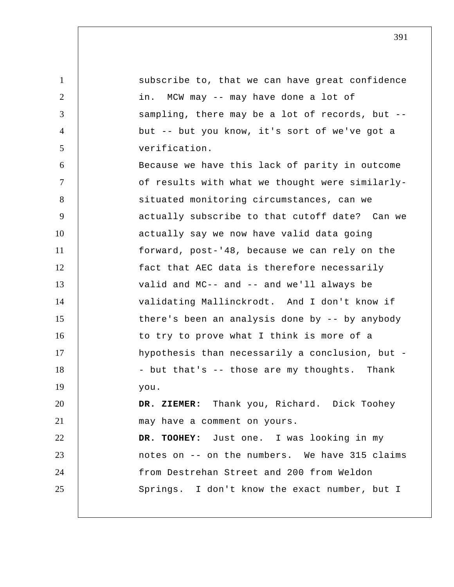1 2 3 4 5 6 7 8 9 10 11 12 13 14 15 16 17 18 19 20 21 22 23 24 25 subscribe to, that we can have great confidence in. MCW may -- may have done a lot of sampling, there may be a lot of records, but - but -- but you know, it's sort of we've got a verification. Because we have this lack of parity in outcome of results with what we thought were similarlysituated monitoring circumstances, can we actually subscribe to that cutoff date? Can we actually say we now have valid data going forward, post-'48, because we can rely on the fact that AEC data is therefore necessarily valid and MC-- and -- and we'll always be validating Mallinckrodt. And I don't know if there's been an analysis done by -- by anybody to try to prove what I think is more of a hypothesis than necessarily a conclusion, but - - but that's -- those are my thoughts. Thank you.  **DR. ZIEMER:** Thank you, Richard. Dick Toohey may have a comment on yours.  **DR. TOOHEY:** Just one. I was looking in my notes on -- on the numbers. We have 315 claims from Destrehan Street and 200 from Weldon Springs. I don't know the exact number, but I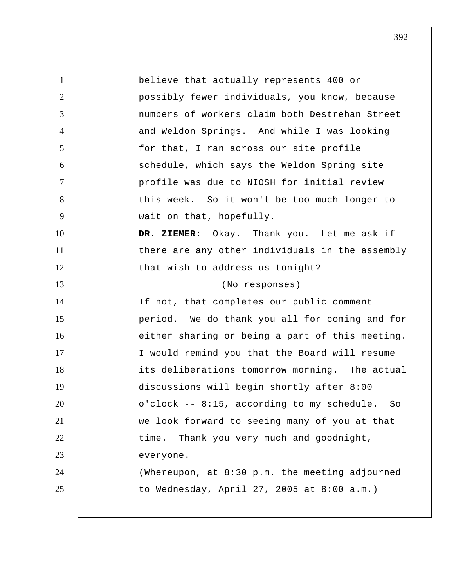1 2 3 4 5 6 7 8 9 10 11 12 13 14 15 16 17 18 19 20 21 22 23 24 25 believe that actually represents 400 or possibly fewer individuals, you know, because numbers of workers claim both Destrehan Street and Weldon Springs. And while I was looking for that, I ran across our site profile schedule, which says the Weldon Spring site profile was due to NIOSH for initial review this week. So it won't be too much longer to wait on that, hopefully.  **DR. ZIEMER:** Okay. Thank you. Let me ask if there are any other individuals in the assembly that wish to address us tonight? (No responses) If not, that completes our public comment period. We do thank you all for coming and for either sharing or being a part of this meeting. I would remind you that the Board will resume its deliberations tomorrow morning. The actual discussions will begin shortly after 8:00 o'clock -- 8:15, according to my schedule. So we look forward to seeing many of you at that time. Thank you very much and goodnight, everyone. (Whereupon, at 8:30 p.m. the meeting adjourned to Wednesday, April 27, 2005 at 8:00 a.m.)